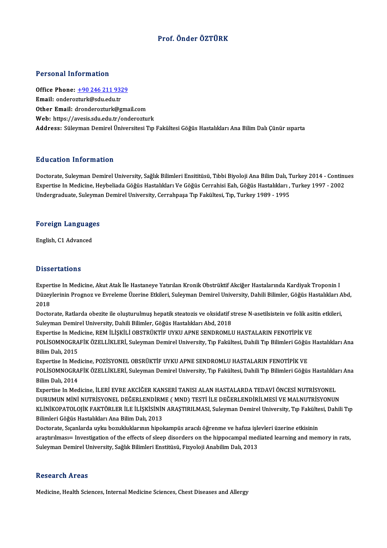### Prof. Önder ÖZTÜRK

#### Personal Information

Personal Information<br>Office Phone: <u>+90 246 211 9329</u><br>Email: enderesturk@sdu.edu.tr Fersonal Information<br>Office Phone: <u>+90 246 211 932</u><br>Email: ondero[zturk@sdu.edu.tr](tel:+90 246 211 9329) Email: onderozturk@sdu.edu.tr<br>Other Email: dronderozturk@gmail.com Web: https://avesis.sdu.edu.tr/onderozturk Address: Süleyman Demirel Üniversitesi Tıp Fakültesi Göğüs Hastalıkları Ana Bilim Dalı Çünür ısparta

#### Education Information

Doctorate, Suleyman Demirel University, Sağlık Bilimleri Ensititüsü, Tıbbi Biyoloji Ana Bilim Dalı, Turkey 2014 - Continues Expertisi Information<br>Doctorate, Suleyman Demirel University, Sağlık Bilimleri Ensititüsü, Tıbbi Biyoloji Ana Bilim Dalı, Turkey 2014 - Continu<br>Expertise In Medicine, Heybeliada Göğüs Hastalıkları Ve Göğüs Cerrahisi Eah, G Doctorate, Suleyman Demirel University, Sağlık Bilimleri Ensititüsü, Tıbbi Biyoloji Ana Bilim Dalı, T<br>Expertise In Medicine, Heybeliada Göğüs Hastalıkları Ve Göğüs Cerrahisi Eah, Göğüs Hastalıkları ,<br>Undergraduate, Suleyma

# <sub>ondergraduate, suleymal</sub><br>Foreign Languages F<mark>oreign Languag</mark>e<br>English, C1 Advanced

English, C1 Advanced<br>Dissertations

**Dissertations**<br>Expertise In Medicine, Akut Atak İle Hastaneye Yatırılan Kronik Obstrüktif Akciğer Hastalarında Kardiyak Troponin I<br>Düzeylerinin Prognaz ve Evrolome Ügerine Etkileri, Suleyman Demirel University, Debili Bil Düzezi tatrenis<br>Expertise In Medicine, Akut Atak İle Hastaneye Yatırılan Kronik Obstrüktif Akciğer Hastalarında Kardiyak Troponin I<br>Düzeylerinin Prognoz ve Evreleme Üzerine Etkileri, Suleyman Demirel University, Dahili Bil Exper<br>Düzey<br>2018 Düzeylerinin Prognoz ve Evreleme Üzerine Etkileri, Suleyman Demirel University, Dahili Bilimler, Göğüs Hastalıkları A<br>2018<br>Doctorate, Ratlarda obezite ile oluşturulmuş hepatik steatozis ve oksidatif strese N-asetilsistein

2018<br>Doctorate, Ratlarda obezite ile oluşturulmuş hepatik steatozis ve oksidatif s<br>Suleyman Demirel University, Dahili Bilimler, Göğüs Hastalıkları Abd, 2018<br>Evnertise In Medisine, PEM İl İSKİLİ ORSTRÜKTİR UYKU ARNE SENDRO Doctorate, Ratlarda obezite ile oluşturulmuş hepatik steatozis ve oksidatif strese N-asetilsistein ve folik asi<br>Suleyman Demirel University, Dahili Bilimler, Göğüs Hastalıkları Abd, 2018<br>Expertise In Medicine, REM İLİŞKİLİ

Suleyman Demirel University, Dahili Bilimler, Göğüs Hastalıkları Abd, 2018<br>Expertise In Medicine, REM İLİŞKİLİ OBSTRÜKTİF UYKU APNE SENDROMLU HASTALARIN FENOTİPİK VE<br>POLİSOMNOGRAFİK ÖZELLİKLERİ, Suleyman Demirel University Expertise In Med<br>POLISOMNOGRA<br>Bilim Dalı, 2015<br>Expertise In Med POLİSOMNOGRAFİK ÖZELLİKLERİ, Suleyman Demirel University, Tıp Fakültesi, Dahili Tıp Bilimleri Göğüs<br>Bilim Dalı, 2015<br>Expertise In Medicine, POZİSYONEL OBSRÜKTİF UYKU APNE SENDROMLU HASTALARIN FENOTİPİK VE<br>POLİSOMNOCRAFİK Ö

Bilim Dalı, 2015<br>Expertise In Medicine, POZİSYONEL OBSRÜKTİF UYKU APNE SENDROMLU HASTALARIN FENOTİPİK VE<br>POLİSOMNOGRAFİK ÖZELLİKLERİ, Suleyman Demirel University, Tıp Fakültesi, Dahili Tıp Bilimleri Göğüs Hastalıkları Ana<br> Expertise In Medicine, POZİSYONEL OBSRÜKTİF UYKU APNE SENDROMLU HASTALARIN FENOTİPİK VE

Expertise In Medicine, İLERİ EVRE AKCİĞER KANSERİ TANISI ALAN HASTALARDA TEDAVİ ÖNCESİ NUTRİSYONEL DURUMUN MİNİ NUTRİSYONEL DEĞERLENDİRME (MND) TESTİ İLE DEĞERLENDİRİLMESİ VE MALNUTRİSYONUN Expertise In Medicine, İLERİ EVRE AKCİĞER KANSERİ TANISI ALAN HASTALARDA TEDAVİ ÖNCESİ NUTRİSYONEL<br>DURUMUN MİNİ NUTRİSYONEL DEĞERLENDİRME ( MND) TESTİ İLE DEĞERLENDİRİLMESİ VE MALNUTRİSYONUN<br>KLİNİKOPATOLOJİK FAKTÖRLER İLE DURUMUN MİNİ NUTRİSYONEL DEĞERLENDİRM<br>KLİNİKOPATOLOJİK FAKTÖRLER İLE İLİŞKİSİNİN<br>Bilimleri Göğüs Hastalıkları Ana Bilim Dalı, 2013<br>Destarata Sısanlarda uylu başukluklarının binal KLİNİKOPATOLOJİK FAKTÖRLER İLE İLİŞKİSİNİN ARAŞTIRILMASI, Suleyman Demirel University, Tıp Fakülte<br>Bilimleri Göğüs Hastalıkları Ana Bilim Dalı, 2013<br>Doctorate, Sıçanlarda uyku bozukluklarının hipokampüs aracılı öğrenme ve

Bilimleri Göğüs Hastalıkları Ana Bilim Dalı, 2013<br>Doctorate, Sıçanlarda uyku bozukluklarının hipokampüs aracılı öğrenme ve hafıza işlevleri üzerine etkisinin<br>araştırılması= Investigation of the effects of sleep disorders o Doctorate, Sıçanlarda uyku bozukluklarının hipokampüs aracılı öğrenme ve hafıza işle<br>araştırılması= Investigation of the effects of sleep disorders on the hippocampal med<br>Suleyman Demirel University, Sağlık Bilimleri Ensti Suleyman Demirel University, Sağlık Bilimleri Enstitüsü, Fizyoloji Anabilim Dalı, 2013<br>Research Areas

Medicine, Health Sciences, Internal Medicine Sciences, Chest Diseases and Allergy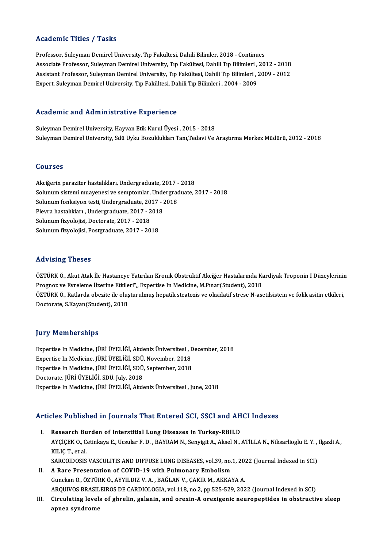#### Academic Titles / Tasks

Professor, Suleyman Demirel University, Tıp Fakültesi, Dahili Bilimler, 2018 - Continues Associate Professor, Suleyman Demirel University, Tıp Fakültesi, Dahili Tıp Bilimleri , 2012 - 2018 Professor, Suleyman Demirel University, Tıp Fakültesi, Dahili Bilimler, 2018 - Continues<br>Associate Professor, Suleyman Demirel University, Tıp Fakültesi, Dahili Tıp Bilimleri , 2012 - 2018<br>Assistant Professor, Suleyman Dem Associate Professor, Suleyman Demirel University, Tıp Fakültesi, Dahili Tıp Bilimleri ,<br>Assistant Professor, Suleyman Demirel University, Tıp Fakültesi, Dahili Tıp Bilimleri , <br>Expert, Suleyman Demire Expert, Suleyman Demirel University, Tıp Fakültesi, Dahili Tıp Bilimleri , 2004 - 2009<br>Academic and Administrative Experience

Suleyman Demirel University, Hayvan Etik Kurul Üyesi , 2015 - 2018 Suleyman Demirel University, Sdü Uyku Bozuklukları Tanı,Tedavi Ve Araştırma Merkez Müdürü, 2012 - 2018

#### Courses

Courses<br>Akciğerin paraziter hastalıkları, Undergraduate, 2017 - 2018<br>Selunum sistemi muayanesi ve semptemlar. Undergraduate Sourbos<br>Akciğerin paraziter hastalıkları, Undergraduate, 2017 - 2018<br>Solunum sistemi muayenesi ve semptomlar, Undergraduate, 2017 - 2018<br>Solunum fonksiven testi Undergraduate 2017 - 2019 Akciğerin paraziter hastalıkları, Undergraduate, 2017 -<br>Solunum sistemi muayenesi ve semptomlar, Undergrad<br>Solunum fonksiyon testi, Undergraduate, 2017 - 2018<br>Playre bastalıkları, Undergraduate, 2017 - 2018 Solunum sistemi muayenesi ve semptomlar, Unde<br>Solunum fonksiyon testi, Undergraduate, 2017 - 2<br>Plevra hastalıkları , Undergraduate, 2017 - 2018<br>Solunum firmelajisi, Desterste, 2017 - 2019 Solunum fonksiyon testi, Undergraduate, 2017 - 2018<br>Plevra hastalıkları , Undergraduate, 2017 - 2018<br>Solunum fizyolojisi, Doctorate, 2017 - 2018 Solunum fizyolojisi, Postgraduate, 2017 - 2018

#### Advising Theses

ÖZTÜRKÖ., Akut Atak İle Hastaneye Yatırılan Kronik Obstrüktif Akciğer Hastalarında Kardiyak Troponin I Düzeylerinin Prognoz ve Evreleme Üzerine Etkileri",, Expertise In Medicine, M.Pınar(Student), 2018 ÖZTÜRK Ö., Akut Atak İle Hastaneye Yatırılan Kronik Obstrüktif Akciğer Hastalarında Kardiyak Troponin I Düzeylerinin<br>Prognoz ve Evreleme Üzerine Etkileri",, Expertise In Medicine, M.Pınar(Student), 2018<br>ÖZTÜRK Ö., Ratlarda Prognoz ve Evreleme Üzerine Etkile<br>ÖZTÜRK Ö., Ratlarda obezite ile oluş<br>Doctorate, S.Kayan(Student), 2018 Doctorate, S.Kayan(Student), 2018<br>Jury Memberships

Jury Memberships<br>Expertise In Medicine, JÜRİ ÜYELİĞİ, Akdeniz Üniversitesi , December, 2018<br>Evpertise In Medicine, JÜRİ ÜYELİĞİ, SDÜ, Nevember, 2018 Jary Fromborumpu<br>Expertise In Medicine, JÜRİ ÜYELİĞİ, Akdeniz Üniversitesi , I<br>Expertise In Medicine, JÜRİ ÜYELİĞİ, SDÜ, November, 2018<br>Evnertise In Medicine, JÜRİ ÜYELİĞİ, SDÜ, November, 2018 Expertise In Medicine, JÜRİ ÜYELİĞİ, Akdeniz Üniversitesi , D<br>Expertise In Medicine, JÜRİ ÜYELİĞİ, SDÜ, November, 2018<br>Expertise In Medicine, JÜRİ ÜYELİĞİ, SDÜ, September, 2018<br>Pesterata IÜPİ ÜYELİĞİ, SDÜ, Luki, 2019 Expertise In Medicine, JÜRİ ÜYELİĞİ, SDÜ, November, 2018<br>Expertise In Medicine, JÜRİ ÜYELİĞİ, SDÜ, September, 2018<br>Doctorate, JÜRİ ÜYELİĞİ, SDÜ, July, 2018 Expertise InMedicine, JÜRİÜYELİĞİ,AkdenizÜniversitesi , June,2018

# experuse in Medicine, JORI OTELIGI, Akdeniz Oniversitesi , June, 2018<br>Articles Published in Journals That Entered SCI, SSCI and AHCI Indexes

- rticles Published in Journals That Entered SCI, SSCI and AH<br>I. Research Burden of Interstitial Lung Diseases in Turkey-RBILD<br>AVCICEKO Cotinkaya E Heavlar E.D., BAVRAM N. Senvigit A. Aksel N. AYÇİÇEK O., Cetinkaya E., Ucsular F. D., , BAYRAM N., Senyigit A., Aksel N., ATİLLA N., Niksarlioglu E. Y. , Ilgazli A.,<br>AYÇİÇEK O., Cetinkaya E., Ucsular F. D. , BAYRAM N., Senyigit A., Aksel N., ATİLLA N., Niksarlioglu E I. Research Burden of Interstitial Lung Diseases in Turkey-RBILD<br>AYÇİÇEK O., Cetinkaya E., Ucsular F. D. , BAYRAM N., Senyigit A., Aksel N., ATİLLA N., Niksarlioglu E. Y. ,<br>KILIÇ T., et al.<br>SARCOIDOSIS VASCULITIS AND DIFFU AYÇİÇEK O., Cetinkaya E., Ucsular F. D. , BAYRAM N., Senyigit A., Aksel N., ATİLLA N., Niksarlioglu E. Y. ,<br>KILIÇ T., et al.<br>SARCOIDOSIS VASCULITIS AND DIFFUSE LUNG DISEASES, vol.39, no.1, 2022 (Journal Indexed in SCI)<br>A B
- II. A Rare Presentation of COVID-19 with Pulmonary Embolism GunckanO.,ÖZTÜRKÖ.,AYYILDIZV.A. ,BAĞLANV.,ÇAKIRM.,AKKAYAA. ARQUIVOSBRASILEIROSDECARDIOLOGIA,vol.118,no.2,pp.525-529,2022 (Journal Indexed inSCI) Gunckan O., ÖZTÜRK Ö., AYYILDIZ V. A. , BAĞLAN V., ÇAKIR M., AKKAYA A.<br>ARQUIVOS BRASILEIROS DE CARDIOLOGIA, vol.118, no.2, pp.525-529, 2022 (Journal Indexed in SCI)<br>III. Circulating levels of ghrelin, galanin, and orexin-A
- ARQUIVOS BRASIL<br>Circulating level:<br>apnea syndrome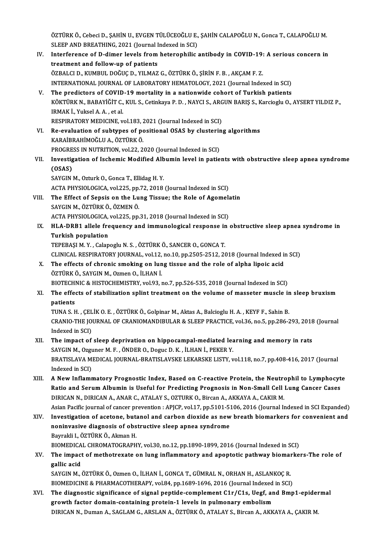ÖZTÜRK Ö., Cebeci D., ŞAHİN U., EVGEN TÜLÜCEOĞLU E., ŞAHİN CALAPOĞLU N., Gonca T., CALAPOĞLU M.<br>SLEER AND RREATHING, 2021 (Jaunnal Indoved in SCD) ÖZTÜRK Ö., Cebeci D., ŞAHİN U., EVGEN TÜLÜCEOĞLU E.,<br>SLEEP AND BREATHING, 2021 (Journal Indexed in SCI)<br>Interference of D. dimer levels from betarenbilis ÖZTÜRK Ö., Cebeci D., ŞAHİN U., EVGEN TÜLÜCEOĞLU E., ŞAHİN CALAPOĞLU N., Gonca T., CALAPOĞLU M.<br>SLEEP AND BREATHING, 2021 (Journal Indexed in SCI)<br>IV. Interference of D-dimer levels from heterophilic antibody in COVID-19:

- SLEEP AND BREATHING, 2021 (Journal Indexed in SCI)<br>IV. Interference of D-dimer levels from heterophilic antibody in COVID-19: A serious concern in<br>treatment and follow-up of patients ÖZBALCI D., KUMBUL DOĞUÇ D., YILMAZ G., ÖZTÜRK Ö., ŞİRİN F. B. , AKÇAM F. Z. treatment and follow-up of patients<br>ÖZBALCI D., KUMBUL DOĞUÇ D., YILMAZ G., ÖZTÜRK Ö., ŞİRİN F. B. , AKÇAM F. Z.<br>INTERNATIONAL JOURNAL OF LABORATORY HEMATOLOGY, 2021 (Journal Indexed in SCI)<br>The predistars of COVID 19 mert ÖZBALCI D., KUMBUL DOĞUÇ D., YILMAZ G., ÖZTÜRK Ö., ŞİRİN F. B., AKÇAM F. Z.<br>INTERNATIONAL JOURNAL OF LABORATORY HEMATOLOGY, 2021 (Journal Indexed in SCI)<br>V. The predictors of COVID-19 mortality in a nationwide cohort of Tu V. The predictors of COVID-19 mortality in a nationwide cohort of Turkish patients
- KÖKTÜRK N., BABAYİĞİT C., KUL S., Cetinkaya P. D. , NAYCI S., ARGUN BARIŞ S., Karcioglu O., AYSERT YILDIZ P.,<br>IRMAK İ. Yuksel A. A. . et al. KÖKTÜRK N., BABAYİĞİT C., KUL S., Cetinkaya P. D. , NAYCI S., ARG<br>IRMAK İ., Yuksel A. A. , et al.<br>RESPIRATORY MEDICINE, vol.183, 2021 (Journal Indexed in SCI)<br>Be evreluation of subtypes of positional OSAS by slusterin
- IRMAK İ., Yuksel A. A. , et al.<br>RESPIRATORY MEDICINE, vol.183, 2021 (Journal Indexed in SCI)<br>VI. Re-evaluation of subtypes of positional OSAS by clustering algorithms<br>KARAİPRAHİMOČLU A. ÖZTÜRKÖ RESPIRATORY MEDICINE, vol.183, 2<br>Re-evaluation of subtypes of po<br>KARAİBRAHİMOĞLU A., ÖZTÜRK Ö.<br>PROCRESS IN NITRITION vol.22-2 Re-evaluation of subtypes of positional OSAS by clusterin<br>KARAİBRAHİMOĞLU A., ÖZTÜRK Ö.<br>PROGRESS IN NUTRITION, vol.22, 2020 (Journal Indexed in SCI)<br>Investigation of Isabemis Modified Albumin level in natio
- KARAİBRAHİMOĞLU A., ÖZTÜRK Ö.<br>PROGRESS IN NUTRITION, vol.22, 2020 (Journal Indexed in SCI)<br>VII. Investigation of Ischemic Modified Albumin level in patients with obstructive sleep apnea syndrome<br>(OSAS) PROGRE<br>Investig<br>(OSAS)<br>SAVCIN Investigation of Ischemic Modified Alb<br>(OSAS)<br>SAYGIN M., Ozturk O., Gonca T., Ellidag H. Y.<br>ACTA PHYSIOLOCICA, vol.225, pp.72, 2019.

(OSAS)<br>SAYGIN M., Ozturk O., Gonca T., Ellidag H. Y.<br>ACTA PHYSIOLOGICA, vol.225, pp.72, 2018 (Journal Indexed in SCI)<br>The Effect of Sensis on the Lung Tissue: the Pole of Agemel:

- SAYGIN M., Ozturk O., Gonca T., Ellidag H. Y.<br>ACTA PHYSIOLOGICA, vol.225, pp.72, 2018 (Journal Indexed in SCI)<br>VIII. The Effect of Sepsis on the Lung Tissue; the Role of Agomelatin<br>SAYGIN M., ÖZTÜRK Ö., ÖZMEN Ö. ACTA PHYSIOLOGICA, vol.225, pp.<br>The Effect of Sepsis on the Lu<br>SAYGIN M., ÖZTÜRK Ö., ÖZMEN Ö.<br>ACTA PHYSIOLOGICA .vol.335, pp. The Effect of Sepsis on the Lung Tissue; the Role of Agomel:<br>SAYGIN M., ÖZTÜRK Ö., ÖZMEN Ö.<br>ACTA PHYSIOLOGICA, vol.225, pp.31, 2018 (Journal Indexed in SCI)<br>HLA PPP1 allale frequency and immunalegical response in
	- IX. HLA-DRB1 allele frequency and immunological response in obstructive sleep apnea syndrome in<br>Turkish population ACTA PHYSIOLOGICA,<br>HLA-DRB1 allele fre<br>Turkish population<br>TEDEPASIM Y - Calan

TEPEBAŞI M.Y., Calapoglu N.S., ÖZTÜRKÖ., SANCER O., GONCAT. Turkish population<br>TEPEBAŞI M. Y. , Calapoglu N. S. , ÖZTÜRK Ö., SANCER O., GONCA T.<br>CLINICAL RESPIRATORY JOURNAL, vol.12, no.10, pp.2505-2512, 2018 (Journal Indexed in SCI)<br>The effects of chronic smoking on lung tissue an TEPEBAŞI M. Y., Calapoglu N. S., ÖZTÜRK Ö., SANCER O., GONCA T.<br>CLINICAL RESPIRATORY JOURNAL, vol.12, no.10, pp.2505-2512, 2018 (Journal Indexed in<br>X. The effects of chronic smoking on lung tissue and the role of alpha lip

- CLINICAL RESPIRATORY JOURNAL, vol.12,<br>The effects of chronic smoking on lun<br>ÖZTÜRK Ö., SAYGIN M., Ozmen O., İLHAN İ.<br>PIOTECHNIC & HISTOCHEMISTPY vol.92 The effects of chronic smoking on lung tissue and the role of alpha lipoic acid<br>ÖZTÜRK Ö., SAYGIN M., Ozmen O., İLHAN İ.<br>BIOTECHNIC & HISTOCHEMISTRY, vol.93, no.7, pp.526-535, 2018 (Journal Indexed in SCI)<br>The effects of s
- ÖZTÜRK Ö., SAYGIN M., Ozmen O., İLHAN İ.<br>BIOTECHNIC & HISTOCHEMISTRY, vol.93, no.7, pp.526-535, 2018 (Journal Indexed in SCI)<br>XI. The effects of stabilization splint treatment on the volume of masseter muscle in sleep **BIOTECHI**<br>The effer<br>patients<br>TIMAS E The effects of stabilization splint treatment on the volume of masseter muscle in<br>patients<br>TUNA S. H. , ÇELİK O. E. , ÖZTÜRK Ö., Golpinar M., Aktas A., Balcioglu H. A. , KEYF F., Sahin B.<br>CRANIO THE JOURNAL OF CRANIOMANDIR

CRANIO-THE JOURNAL OF CRANIOMANDIBULAR & SLEEP PRACTICE, vol.36, no.5, pp.286-293, 2018 (Journal Indexed in SCI) TUNA S. H. , ÇEL<br>CRANIO-THE JO<br>Indexed in SCI)<br>The impect of CRANIO-THE JOURNAL OF CRANIOMANDIBULAR & SLEEP PRACTICE, vol.36, no.5, pp.286-293, 2018<br>Indexed in SCI)<br>XII. The impact of sleep deprivation on hippocampal-mediated learning and memory in rats<br>SAVCIN M. OTTURON E. ÖNDER O

- Indexed in SCI)<br>The impact of sleep deprivation on hippocampal-mediated lea<br>SAYGIN M., Ozguner M. F. , ÖNDER O., Doguc D. K. , İLHAN İ., PEKER Y.<br>PRATISLAVA MEDICAL JOUPMAL PRATISLAVSKE LEKARSKE LISTY .. The impact of sleep deprivation on hippocampal-mediated learning and memory in rats<br>SAYGIN M., Ozguner M. F. , ÖNDER O., Doguc D. K. , İLHAN İ., PEKER Y.<br>BRATISLAVA MEDICAL JOURNAL-BRATISLAVSKE LEKARSKE LISTY, vol.118, no. SAYGIN M., Ozgu<br>BRATISLAVA M.<br>Indexed in SCI) BRATISLAVA MEDICAL JOURNAL-BRATISLAVSKE LEKARSKE LISTY, vol.118, no.7, pp.408-416, 2017 (Journal<br>Indexed in SCI)<br>XIII. A New Inflammatory Prognostic Index, Based on C-reactive Protein, the Neutrophil to Lymphocyte<br>Patie an
- Indexed in SCI)<br>A New Inflammatory Prognostic Index, Based on C-reactive Protein, the Neutrophil to Lymphocyt<br>Ratio and Serum Albumin is Useful for Predicting Prognosis in Non-Small Cell Lung Cancer Cases<br>RIPICAN N. RIPICA A New Inflammatory Prognostic Index, Based on C-reactive Protein, the Neutro<br>Ratio and Serum Albumin is Useful for Predicting Prognosis in Non-Small Cell<br>DIRICAN N., DIRICAN A., ANAR C., ATALAY S., OZTURK O., Bircan A., AK Ratio and Serum Albumin is Useful for Predicting Prognosis in Non-Small Cell Lung Cancer Cases<br>DIRICAN N., DIRICAN A., ANAR C., ATALAY S., OZTURK O., Bircan A., AKKAYA A., CAKIR M.<br>Asian Pacific journal of cancer preventio
- XIV. Investigation of acetone, butanol and carbon dioxide as newbreath biomarkers for convenient and Asian Pacific journal of cancer prevention : APJCP, vol.17, pp.5101-51<br>Investigation of acetone, butanol and carbon dioxide as new<br>noninvasive diagnosis of obstructive sleep apnea syndrome<br>Payrakki Löztüpk Ö. Alman u Investigation of acetone, but:<br>noninvasive diagnosis of obs<br>Bayrakli I., ÖZTÜRK Ö., Akman H.<br>PIOMEDICAL CHROMATOCRAPH Bayrakli I., ÖZTÜRK Ö., Akman H.<br>BIOMEDICAL CHROMATOGRAPHY, vol.30, no.12, pp.1890-1899, 2016 (Journal Indexed in SCI)

Bayrakli I., ÖZTÜRK Ö., Akman H.<br>BIOMEDICAL CHROMATOGRAPHY, vol.30, no.12, pp.1890-1899, 2016 (Journal Indexed in SCI)<br>XV. The impact of methotrexate on lung inflammatory and apoptotic pathway biomarkers-The role of

gallic acid<br>SAYGIN M., ÖZTÜRK Ö., Ozmen O., İLHAN İ., GONCA T., GÜMRAL N., ORHAN H., ASLANKOÇ R. The impact of methotrexate on lung inflammatory and apoptotic pathway biomal<br>gallic acid<br>SAYGIN M., ÖZTÜRK Ö., Ozmen O., İLHAN İ., GONCA T., GÜMRAL N., ORHAN H., ASLANKOÇ R.<br>PIOMEDICINE & PHAPMACOTHERARY .vol 84 nn 1689 16 gallic acid<br>SAYGIN M., ÖZTÜRK Ö., Ozmen O., İLHAN İ., GONCA T., GÜMRAL N., ORHAN H., ASLANKOÇ R.<br>BIOMEDICINE & PHARMACOTHERAPY, vol.84, pp.1689-1696, 2016 (Journal Indexed in SCI)<br>The disensatis signifisanse of signal pent SAYGIN M., ÖZTÜRK Ö., Ozmen O., İLHAN İ., GONCA T., GÜMRAL N., ORHAN H., ASLANKOÇ R.<br>BIOMEDICINE & PHARMACOTHERAPY, vol.84, pp.1689-1696, 2016 (Journal Indexed in SCI)<br>XVI. The diagnostic significance of signal peptide-com

BIOMEDICINE & PHARMACOTHERAPY, vol.84, pp.1689-1696, 2016 (Journal Indexed<br>The diagnostic significance of signal peptide-complement C1r/C1s, Uegf, ar<br>growth factor domain-containing protein-1 levels in pulmonary embolism<br>P The diagnostic significance of signal peptide-complement C1r/C1s, Uegf, and Bmp1-epidermal<br>growth factor domain-containing protein-1 levels in pulmonary embolism<br>DIRICAN N., Duman A., SAGLAM G., ARSLAN A., ÖZTÜRK Ö., ATALA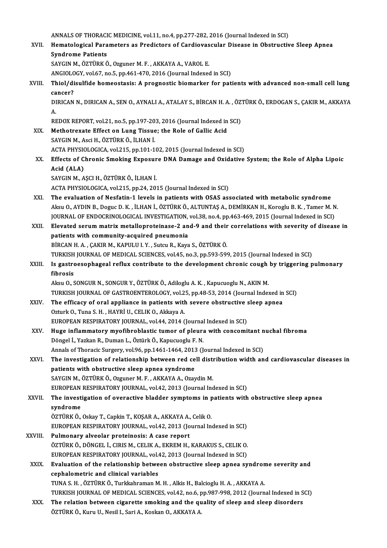ANNALS OF THORACIC MEDICINE, vol.11, no.4, pp.277-282, 2016 (Journal Indexed in SCI)<br>Hamatalogiaal Parametare as Prodistare of Cardiouassular Disease in Obstructiv

ANNALS OF THORACIC MEDICINE, vol.11, no.4, pp.277-282, 2016 (Journal Indexed in SCI)<br>XVII. Hematological Parameters as Predictors of Cardiovascular Disease in Obstructive Sleep Apnea<br>Syndrome Patients **ANNALS OF THORACI<br>Hematological Para<br>Syndrome Patients<br>SAVCIN M. ÖZTÜDV Ö** Hematological Parameters as Predictors of Cardiovas<br>Syndrome Patients<br>SAYGIN M., ÖZTÜRK Ö., Ozguner M. F. , AKKAYA A., VAROL E.<br>ANGIOLOGY val 67. no 5. nn 461,470,2016 (Jaunnal Indevee Syndrome Patients<br>SAYGIN M., ÖZTÜRK Ö., Ozguner M. F. , AKKAYA A., VAROL E.<br>ANGIOLOGY, vol.67, no.5, pp.461-470, 2016 (Journal Indexed in SCI)<br>Thiol (disulfide homeostasis: A prognestis hiomerker for pat

SAYGIN M., ÖZTÜRK Ö., Ozguner M. F. , AKKAYA A., VAROL E.<br>ANGIOLOGY, vol.67, no.5, pp.461-470, 2016 (Journal Indexed in SCI)<br>XVIII. Thiol/disulfide homeostasis: A prognostic biomarker for patients with advanced non-sma ANGIOLC<br>Thiol/di<br>cancer?<br>DIRICAN Thiol/disulfide homeostasis: A prognostic biomarker for patients with advanced non-small cell lung<br>cancer?<br>DIRICAN N., DIRICAN A., SEN O., AYNALI A., ATALAY S., BİRCAN H. A. , ÖZTÜRK Ö., ERDOGAN S., ÇAKIR M., AKKAYA<br>^

ca<br>DI<br><sub>DI</sub> DIRICAN N., DIRICAN A., SEN O., AYNALI A., ATALAY S., BİRCAN H. A. , ÖZ'<br>A.<br>REDOX REPORT, vol.21, no.5, pp.197-203, 2016 (Journal Indexed in SCI)<br>Mathetrovate Effect on Lung Tissue: the Bole of Callis Asid

- A.<br>REDOX REPORT, vol.21, no.5, pp.197-203, 2016 (Journal Indexed in<br>XIX. Methotrexate Effect on Lung Tissue; the Role of Gallic Acid<br>SAVCIN M. Acci H. ÖZTÜRKÖ it HAN İ REDOX REPORT, vol.21, no.5, pp.197-20<br>Methotrexate Effect on Lung Tissue<br>SAYGIN M., Asci H., ÖZTÜRK Ö., İLHAN İ.<br>ACTA PHYSIQI QCICA, vol.215, np.101-1. Methotrexate Effect on Lung Tissue; the Role of Gallic Acid<br>SAYGIN M., Asci H., ÖZTÜRK Ö., İLHAN İ.<br>ACTA PHYSIOLOGICA, vol.215, pp.101-102, 2015 (Journal Indexed in SCI) SAYGIN M., Asci H., ÖZTÜRK Ö., İLHAN İ.<br>ACTA PHYSIOLOGICA, vol.215, pp.101-102, 2015 (Journal Indexed in SCI)<br>XX. Effects of Chronic Smoking Exposure DNA Damage and Oxidative System; the Role of Alpha Lipoic
- ACTA PHYSIC<br>Effects of C<br>Acid (ALA)<br>SAVCIN M. A SAYGINM.,AŞCIH.,ÖZTÜRKÖ., İLHANİ.

ACTA PHYSIOLOGICA, vol.215, pp.24, 2015 (Journal Indexed in SCI)

- XXI. The evaluation of Nesfatin-1 levels in patients with OSAS associated with metabolic syndrome ACTA PHYSIOLOGICA, vol.215, pp.24, 2015 (Journal Indexed in SCI)<br>The evaluation of Nesfatin-1 levels in patients with OSAS associated with metabolic syndrome<br>Aksu O., AYDIN B., Doguc D. K. , İLHAN İ., ÖZTÜRK Ö., ALTUNTAŞ A The evaluation of Nesfatin-1 levels in patients with OSAS associated with metabolic syndrome<br>Aksu 0., AYDIN B., Doguc D. K. , İLHAN İ., ÖZTÜRK Ö., ALTUNTAŞ A., DEMİRKAN H., Koroglu B. K. , Tamer M. N<br>JOURNAL OF ENDOCRINOLO JOURNAL OF ENDOCRINOLOGICAL INVESTIGATION, vol.38, no.4, pp.463-469, 2015 (Journal Indexed in SCI)
- XXII. Elevated serum matrix metalloproteinase-2 and-9 and their correlations with severity of disease in patients with community-acquired pneumonia BİRCAN H. A., ÇAKIR M., KAPULU I.Y., Sutcu R., Kaya S., ÖZTÜRKÖ. patients with community-acquired pneumonia<br>BİRCAN H. A. , ÇAKIR M., KAPULU I. Y. , Sutcu R., Kaya S., ÖZTÜRK Ö.<br>TURKISH JOURNAL OF MEDICAL SCIENCES, vol.45, no.3, pp.593-599, 2015 (Journal Indexed in SCI)<br>Is gastroosophaga BİRCAN H. A. , ÇAKIR M., KAPULU I. Y. , Sutcu R., Kaya S., ÖZTÜRK Ö.<br>TURKISH JOURNAL OF MEDICAL SCIENCES, vol.45, no.3, pp.593-599, 2015 (Journal Indexed in SCI)<br>XXIII. Is gastroesophageal reflux contribute to the developm
- TURKISH<br>Is gastro<br>fibrosis<br>Aksu O Is gastroesophageal reflux contribute to the development chronic cough<br>fibrosis<br>Aksu O., SONGUR N., SONGUR Y., ÖZTÜRK Ö., Adiloglu A. K. , Kapucuoglu N., AKIN M.<br>TURKISH JOURNAL OF CASTROENTEROLOCY vol 25. nn 42.52.2014 (J

fibrosis<br>Aksu O., SONGUR N., SONGUR Y., ÖZTÜRK Ö., Adiloglu A. K. , Kapucuoglu N., AKIN M.<br>TURKISH JOURNAL OF GASTROENTEROLOGY, vol.25, pp.48-53, 2014 (Journal Indexed in SCI) Aksu O., SONGUR N., SONGUR Y., ÖZTÜRK Ö., Adiloglu A. K., Kapucuoglu N., AKIN M.<br>TURKISH JOURNAL OF GASTROENTEROLOGY, vol.25, pp.48-53, 2014 (Journal Indexed in<br>XXIV. The efficacy of oral appliance in patients with severe

- TURKISH JOURNAL OF GASTROENTEROLOGY, vol.2.<br>The efficacy of oral appliance in patients with<br>Ozturk O., Tuna S. H. , HAYRİ U., CELIK O., Akkaya A.<br>FUROPEAN PESPIRATORY JOURNAL, vol.44, 2014.6 The efficacy of oral appliance in patients with severe obstructive :<br>Ozturk O., Tuna S. H. , HAYRİ U., CELIK O., Akkaya A.<br>EUROPEAN RESPIRATORY JOURNAL, vol.44, 2014 (Journal Indexed in SCI)<br>Hugo inflommatory muofibroblast Ozturk O., Tuna S. H. , HAYRİ U., CELIK O., Akkaya A.<br>EUROPEAN RESPIRATORY JOURNAL, vol.44, 2014 (Journal Indexed in SCI)<br>XXV. Huge inflammatory myofibroblastic tumor of pleura with concomitant nuchal fibroma<br>Dängel <sup>i</sup>
- EUROPEAN RESPIRATORY JOURNAL, vol.44, 2014 (Journal Indexed in SCI)<br>Huge inflammatory myofibroblastic tumor of pleura with concomitant r<br>Döngel İ., Yazkan R., Duman L., Öztürk Ö., Kapucuoglu F. N.<br>Annals of Thoracic Surger Huge inflammatory myofibroblastic tumor of pleura with concomitant n<br>Döngel İ., Yazkan R., Duman L., Öztürk Ö., Kapucuoglu F. N.<br>Annals of Thoracic Surgery, vol.96, pp.1461-1464, 2013 (Journal Indexed in SCI)<br>The investiga Döngel İ., Yazkan R., Duman L., Öztürk Ö., Kapucuoglu F. N.<br>Annals of Thoracic Surgery, vol.96, pp.1461-1464, 2013 (Journal Indexed in SCI)<br>XXVI. The investigation of relationship between red cell distribution width and ca
- Annals of Thoracic Surgery, vol.96, pp.1461-1464, 2013<br>The investigation of relationship between red ce<br>patients with obstructive sleep apnea syndrome<br>SAVGIN M. ÖZTÜRKÖ, OTTUROR M. E. AKKANA A. OTGI The investigation of relationship between red cell distributions with obstructive sleep apnea syndrome<br>SAYGIN M., ÖZTÜRK Ö., Ozguner M. F. , AKKAYA A., Ozaydin M.<br>FUROPEAN PESPIRATORY JOURNAL, vol.42, 2012 (Journal Inc patients with obstructive sleep apnea syndrome<br>SAYGIN M., ÖZTÜRK Ö., Ozguner M. F. , AKKAYA A., Ozaydin M.<br>EUROPEAN RESPIRATORY JOURNAL, vol.42, 2013 (Journal Indexed in SCI)<br>The investigation of overastive bladder symptom

SAYGIN M., ÖZTÜRK Ö., Ozguner M. F. , AKKAYA A., Ozaydin M.<br>EUROPEAN RESPIRATORY JOURNAL, vol.42, 2013 (Journal Indexed in SCI)<br>XXVII. The investigation of overactive bladder symptoms in patients with obstructive sleep EUROPEAN<br>The invest<br>syndrome<br>öz<del>r</del>űp*v* ö The investigation of overactive bladder symptoms in p<br>syndrome<br>ÖZTÜRK Ö., Oskay T., Capkin T., KOŞAR A., AKKAYA A., Celik O.<br>EUROPEAN PESPIRATORY JOURNAL, vol.42, 2012 (Journal In

EUROPEAN RESPIRATORY JOURNAL, vol.42, 2013 (Journal Indexed in SCI)<br>Pulmonary alveolar proteinosis: A case report

- ÖZTÜRK Ö., Oskay T., Capkin T., KOŞAR A., AKKAYA A.,<br>EUROPEAN RESPIRATORY JOURNAL, vol.42, 2013 (Jo<br>XXVIII. Pulmonary alveolar proteinosis: A case report<br>ÖZTÜRK Ö. DÖNCEL İ. CIRIS M. CELIK A. EKREM H EUROPEAN RESPIRATORY JOURNAL, vol.42, 2013 (Journal Indexed in SCI)<br>Pulmonary alveolar proteinosis: A case report<br>ÖZTÜRK Ö., DÖNGEL İ., CIRIS M., CELIK A., EKREM H., KARAKUS S., CELIK O.<br>FUROPEAN RESPIRATORY JOURNAL .vol.4 Pulmonary alveolar proteinosis: A case report<br>ÖZTÜRK Ö., DÖNGEL İ., CIRIS M., CELIK A., EKREM H., KARAKUS S., CELIK O.<br>EUROPEAN RESPIRATORY JOURNAL, vol.42, 2013 (Journal Indexed in SCI)<br>Evaluation of the relationship betw
	-

EUROPEAN RESPIRATORY JOURNAL, vol.42, 2013 (Journal Indexed in SCI)<br>XXIX. Evaluation of the relationship between obstructive sleep apnea syndrome severity and cephalometric and clinical variables Evaluation of the relationship between obstructive sleep apnea syndron<br>cephalometric and clinical variables<br>TUNA S. H. , ÖZTÜRK Ö., Turkkahraman M. H. , Alkis H., Balcioglu H. A. , AKKAYA A.<br>TURKISH JOURNAL OF MEDICAL SCIE cephalometric and clinical variables<br>TUNA S. H. , ÖZTÜRK Ö., Turkkahraman M. H. , Alkis H., Balcioglu H. A. , AKKAYA A.<br>TURKISH JOURNAL OF MEDICAL SCIENCES, vol.42, no.6, pp.987-998, 2012 (Journal Indexed in SCI)<br>The relat

TUNA S. H., ÖZTÜRK Ö., Turkkahraman M. H., Alkis H., Balcioglu H. A., AKKAYA A.<br>TURKISH JOURNAL OF MEDICAL SCIENCES, vol.42, no.6, pp.987-998, 2012 (Journal Indexed in S<br>XXX. The relation between cigarette smoking and the TURKISH JOURNAL OF MEDICAL SCIENCES, vol.42, no.6, pp.987-998, 2012 (Journal Indexed in SCI)<br>The relation between cigarette smoking and the quality of sleep and sleep disorders<br>ÖZTÜRK Ö., Kuru U., Nesil I., Sari A., Koskan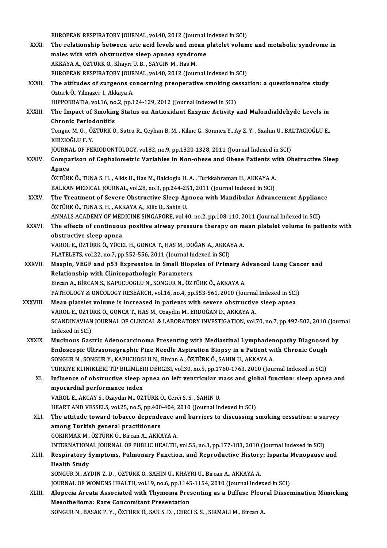EUROPEAN RESPIRATORY JOURNAL, vol.40, 2012 (Journal Indexed in SCI)

EUROPEAN RESPIRATORY JOURNAL, vol.40, 2012 (Journal Indexed in SCI)<br>XXXI. The relationship between uric acid levels and mean platelet volume and metabolic syndrome in EUROPEAN RESPIRATORY JOURNAL, vol.40, 2012 (Journal I<br>The relationship between uric acid levels and mean p<br>males with with obstructive sleep apnoea syndrome<br>AFFANA A ÖZTÜDE Ö. Ebermi U.B., SAYCIN M. Hec M. The relationship between uric acid levels and me<br>males with with obstructive sleep apnoea syndro<br>AKKAYA A., ÖZTÜRK Ö., Khayri U.B. , SAYGIN M., Has M.<br>EUROPEAN PESPIRATOPY JOURNAL .vol 40, 2012 (Jour males with with obstructive sleep apnoea syndrome<br>AKKAYA A., ÖZTÜRK Ö., Khayri U. B. , SAYGIN M., Has M.<br>EUROPEAN RESPIRATORY JOURNAL, vol.40, 2012 (Journal Indexed in SCI)<br>The attitudes of surgeons senserning preeperative AKKAYA A., ÖZTÜRK Ö., Khayri U. B. , SAYGIN M., Has M.<br>EUROPEAN RESPIRATORY JOURNAL, vol.40, 2012 (Journal Indexed in SCI)<br>XXXII. The attitudes of surgeons concerning preoperative smoking cessation: a questionnaire study<br>O EUROPEAN RESPIRATORY JOUR<br>The attitudes of surgeons contracts<br>Ozturk Ö., Yilmazer I., Akkaya A. The attitudes of surgeons concerning preoperative smoking ce<br>Ozturk Ö., Yilmazer I., Akkaya A.<br>HIPPOKRATIA, vol.16, no.2, pp.124-129, 2012 (Journal Indexed in SCI)<br>The Impact of Smoking Status on Antioxidant Engume Activit Ozturk Ö., Yilmazer I., Akkaya A.<br>HIPPOKRATIA, vol.16, no.2, pp.124-129, 2012 (Journal Indexed in SCI)<br>XXXIII. The Impact of Smoking Status on Antioxidant Enzyme Activity and Malondialdehyde Levels in<br>Chronic Poriodont HIPPOKRATIA, vol.16, no<br>The Impact of Smokin<br>Chronic Periodontitis<br>Tongue M. O. ÖZTÜPKÖ The Impact of Smoking Status on Antioxidant Enzyme Activity and Malondialdehyde Levels in<br>Chronic Periodontitis<br>Tonguc M. O. , ÖZTÜRK Ö., Sutcu R., Ceyhan B. M. , Kilinc G., Sonmez Y., Ay Z. Y. , Sxahin U., BALTACIOĞLU E., Chronic Period<br>Tonguc M. O. , Ö.<br>KIRZIOĞLU F. Y.<br>JOUPNAL OF PE Tonguc M. O. , ÖZTÜRK Ö., Sutcu R., Ceyhan B. M. , Kilinc G., Sonmez Y., Ay Z. Y. , Sxahin U., BA.<br>KIRZIOĞLU F. Y.<br>JOURNAL OF PERIODONTOLOGY, vol.82, no.9, pp.1320-1328, 2011 (Journal Indexed in SCI)<br>Comparison of Conhalam KIRZIOĞLU F. Y.<br>JOURNAL OF PERIODONTOLOGY, vol.82, no.9, pp.1320-1328, 2011 (Journal Indexed in SCI)<br>XXXIV. Comparison of Cephalometric Variables in Non-obese and Obese Patients with Obstructive Sleep<br>Annes JOURNA<br><mark>Compa</mark><br>Apnea<br>Öz<del>r</del>üpi Comparison of Cephalometric Variables in Non-obese and Obese Patients w<br>Apnea<br>ÖZTÜRK Ö., TUNA S. H. , Alkis H., Has M., Balcioglu H. A. , Turkkahraman H., AKKAYA A.<br>BALKAN MEDICAL JOURNAL .val 38. no 3. nn 344. 351. 3011 ( Apnea<br>ÖZTÜRK Ö., TUNA S. H. , Alkis H., Has M., Balcioglu H. A. , Turkkahraman H., AKKAYA A. XXXV. The Treatment of Severe Obstructive Sleep Apnoea with Mandibular Advancement Appliance<br>ÖZTÜRK Ö., TUNA S. H., AKKAYA A., Kilic O., Sahin U. BALKAN MEDICAL JOURNAL, vol.28, no.3, pp.244-251, 2011 (Journal Indexed in SCI) The Treatment of Severe Obstructive Sleep Apnoea with Mandibular Advancement Applian<br>ÖZTÜRK Ö., TUNA S. H. , AKKAYA A., Kilic O., Sahin U.<br>ANNALS ACADEMY OF MEDICINE SINGAPORE, vol.40, no.2, pp.108-110, 2011 (Journal Index XXXVI. The effects of continuous positive airway pressure therapy on mean platelet volume in patients with obstructive sleep apnea ANNALS ACADEMY OF MED<br>The effects of continuou<br>obstructive sleep apnea<br>VAPOL E ÖZTÜPKÖ VÜCE The effects of continuous positive airway pressure therapy on m<br>obstructive sleep apnea<br>VAROL E., ÖZTÜRK Ö., YÜCEL H., GONCA T., HAS M., DOĞAN A., AKKAYA A.<br>PLATELETS vol 22 no 7 nn 552 556 2011 (Journal Indoved in SCD) obstructive sleep apnea<br>VAROL E., ÖZTÜRK Ö., YÜCEL H., GONCA T., HAS M., DOĞAN A., AKKA'<br>PLATELETS, vol.22, no.7, pp.552-556, 2011 (Journal Indexed in SCI)<br>Masnin, VECE and n53. Eynrossian in Small Bionsias of Prime VAROL E., ÖZTÜRK Ö., YÜCEL H., GONCA T., HAS M., DOĞAN A., AKKAYA A.<br>PLATELETS, vol.22, no.7, pp.552-556, 2011 (Journal Indexed in SCI)<br>XXXVII. Maspin, VEGF and p53 Expression in Small Biopsies of Primary Advanced Lung Can PLATELETS, vol.22, no.7, pp.552-556, 2011 (Journal In<br>Maspin, VEGF and p53 Expression in Small Biop<br>Relationship with Clinicopathologic Parameters<br>Pircan A, PincAN S, KAPUCUOCUUN, SONCUP N, ÖZ Maspin, VEGF and p53 Expression in Small Biopsies of Primary A.<br>Relationship with Clinicopathologic Parameters<br>Bircan A., BİRCAN S., KAPUCUOGLU N., SONGUR N., ÖZTÜRK Ö., AKKAYA A.<br>PATHOLOGY & ONGOLOGY PESEARGU vel 16 no 4 Relationship with Clinicopathologic Parameters<br>Bircan A., BİRCAN S., KAPUCUOGLU N., SONGUR N., ÖZTÜRK Ö., AKKAYA A.<br>PATHOLOGY & ONCOLOGY RESEARCH, vol.16, no.4, pp.553-561, 2010 (Journal Indexed in SCI)<br>Mean platelet volum Bircan A., BIRCAN S., KAPUCUOGLU N., SONGUR N., ÖZTÜRK Ö., AKKAYA A.<br>PATHOLOGY & ONCOLOGY RESEARCH, vol.16, no.4, pp.553-561, 2010 (Journal Indexed in SCI)<br>XXXVIII. Mean platelet volume is increased in patients with severe PATHOLOGY & ONCOLOGY RESEARCH, vol.16, no.4, pp.553-561, 2010 (Journal Mean platelet volume is increased in patients with severe obstructive<br>VAROL E., ÖZTÜRK Ö., GONCA T., HAS M., Ozaydin M., ERDOĞAN D., AKKAYA A.<br>SCANDINA Mean platelet volume is increased in patients with severe obstructive sleep apnea<br>VAROL E., ÖZTÜRK Ö., GONCA T., HAS M., Ozaydin M., ERDOĞAN D., AKKAYA A.<br>SCANDINAVIAN JOURNAL OF CLINICAL & LABORATORY INVESTIGATION, vol.70 VAROL E., ÖZTÜ<br>SCANDINAVIAN<br>Indexed in SCI)<br>Musinaus Casi SCANDINAVIAN JOURNAL OF CLINICAL & LABORATORY INVESTIGATION, vol.70, no.7, pp.497-502, 2010 (Journal)<br>Indexed in SCI)<br>XXXIX. Mucinous Gastric Adenocarcinoma Presenting with Mediastinal Lymphadenopathy Diagnosed by Indexed in SCI)<br>Mucinous Gastric Adenocarcinoma Presenting with Mediastinal Lymphadenopathy Diagnosed<br>Endoscopic Ultrasonographic Fine Needle Aspiration Biopsy in a Patient with Chronic Cough<br>SONGUR N. SONGUR V. KARUCUOGLU SONGUR N., SONGUR Y., KAPUCUOGLU N., Bircan A., ÖZTÜRK Ö., SAHIN U., AKKAYA A.<br>TURKIYE KLINIKLERI TIP BILIMLERI DERGISI, vol.30, no.5, pp.1760-1763, 2010 (Journal Indexed in SCI) Endoscopic Ultrasonographic Fine Needle Aspiration Biopsy in a Patient with Chronic Cough XL. Influence of obstructive sleep apnea on left ventricular mass and global function: sleep apnea and myocardial performance index Influence of obstructive sleep apnea on left ventricular n<br>myocardial performance index<br>VAROL E., AKCAY S., Ozaydin M., ÖZTÜRK Ö., Cerci S. S. , SAHIN U.<br>HEAPT AND VESSELS vol 25, no 5, np 400,404,2010 (Journal In myocardial performance index<br>VAROL E., AKCAY S., Ozaydin M., ÖZTÜRK Ö., Cerci S. S. , SAHIN U.<br>HEART AND VESSELS, vol.25, no.5, pp.400-404, 2010 (Journal Indexed in SCI)<br>The ettitude toward tebesse dependense and berriers VAROL E., AKCAY S., Ozaydin M., ÖZTÜRK Ö., Cerci S. S. , SAHIN U.<br>HEART AND VESSELS, vol.25, no.5, pp.400-404, 2010 (Journal Indexed in SCI)<br>XLI. The attitude toward tobacco dependence and barriers to discussing smoking ce HEART AND VESSELS, vol.25, no.5, pp.400<br>The attitude toward tobacco depende<br>among Turkish general practitioners<br>COVIPMAV M. ÖZTÜRKÖ, Birgan A. AKK The attitude toward tobacco dependence a<br>among Turkish general practitioners<br>GOKIRMAK M., ÖZTÜRK Ö., Bircan A., AKKAYA A.<br>INTERNATIONAL JOURNAL OF BURLIC UFALTU among Turkish general practitioners<br>GOKIRMAK M., ÖZTÜRK Ö., Bircan A., AKKAYA A.<br>INTERNATIONAL JOURNAL OF PUBLIC HEALTH, vol.55, no.3, pp.177-183, 2010 (Journal Indexed in SCI)<br>Bespiratory Symptoms, Pulmonary Eunstian, and GOKIRMAK M., ÖZTÜRK Ö., Bircan A., AKKAYA A.<br>INTERNATIONAL JOURNAL OF PUBLIC HEALTH, vol.55, no.3, pp.177-183, 2010 (Journal Indexed in SCI)<br>XLII. Respiratory Symptoms, Pulmonary Function, and Reproductive History: Isparta INTERNATION<br>Respiratory S<br>Health Study<br>SONCUR N - AV SONGUR N., AYDIN Z.D., ÖZTÜRKÖ., SAHIN U., KHAYRI U., Bircan A., AKKAYA A. Health Study<br>SONGUR N., AYDIN Z. D. , ÖZTÜRK Ö., SAHIN U., KHAYRI U., Bircan A., AKKAYA A.<br>JOURNAL OF WOMENS HEALTH, vol.19, no.6, pp.1145-1154, 2010 (Journal Indexed in SCI)<br>Alonesia Aresta Assosisted with Thymome Present XLIII. Alopecia Areata Associated with Thymoma Presenting as a Diffuse Pleural Dissemination Mimicking<br>Mesothelioma: Rare Concomitant Presentation JOURNAL OF WOMENS HEALTH, vol.19, no.6, pp.1145<br>Alopecia Areata Associated with Thymoma Pres<br>Mesothelioma: Rare Concomitant Presentation<br>SONGUR N. BASAK R. X., ÖZTÜRKÖ, SAKS D., GERGI SONGUR N., BASAK P.Y., ÖZTÜRKÖ., SAKS.D., CERCI S.S., SIRMALI M., Bircan A.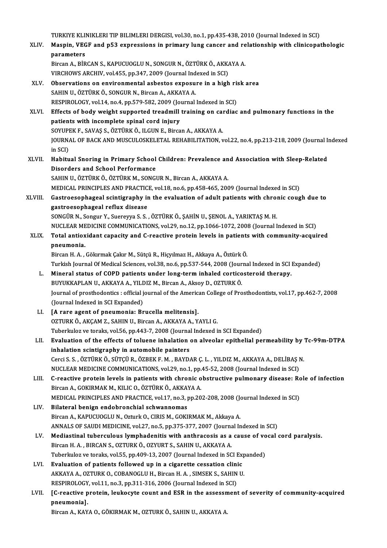TURKIYE KLINIKLERI TIP BILIMLERI DERGISI, vol.30, no.1, pp.435-438, 2010 (Journal Indexed in SCI)<br>Masnin, VECE and nE3, expressions in primary lung sansar and relationship with elinisancy

TURKIYE KLINIKLERI TIP BILIMLERI DERGISI, vol.30, no.1, pp.435-438, 2010 (Journal Indexed in SCI)<br>XLIV. Maspin, VEGF and p53 expressions in primary lung cancer and relationship with clinicopathologic<br>naramatare TURKIYE KLII<br>Maspin, VEG<br>parameters<br><sup>Pincon A.</sub> Pin</sup> Maspin, VEGF and p53 expressions in primary lung cancer and re<br>parameters<br>Bircan A., BİRCAN S., KAPUCUOGLU N., SONGUR N., ÖZTÜRK Ö., AKKAYA A.<br>VIRCHOWS ARGUN, vol 455 np 347, 3999 (Jaurnal Indoved in SCI) parameters<br>Bircan A., BİRCAN S., KAPUCUOGLU N., SONGUR N., ÖZTÜRK Ö., AKKAYA A.<br>VIRCHOWS ARCHIV, vol.455, pp.347, 2009 (Journal Indexed in SCI)

- Bircan A., BIRCAN S., KAPUCUOGLU N., SONGUR N., ÖZTÜRK Ö., AKKAYA A.<br>VIRCHOWS ARCHIV, vol.455, pp.347, 2009 (Journal Indexed in SCI)<br>XLV. Observations on environmental asbestos exposure in a high risk area<br>SAHIN IL ÖZTÜRK SAHIN U., ÖZTÜRK Ö., SONGUR N., Bircan A., AKKAYA A.<br>RESPIROLOGY, vol.14, no.4, pp.579-582, 2009 (Journal Indexed in SCI) Observations on environmental asbestos exposure in a high ristantino.<br>SAHIN U., ÖZTÜRK Ö., SONGUR N., Bircan A., AKKAYA A.<br>RESPIROLOGY, vol.14, no.4, pp.579-582, 2009 (Journal Indexed in SCI)<br>Effects of body woisht support SAHIN U., ÖZTÜRK Ö., SONGUR N., Bircan A., AKKAYA A.<br>RESPIROLOGY, vol.14, no.4, pp.579-582, 2009 (Journal Indexed in SCI)<br>XLVI. Effects of body weight supported treadmill training on cardiac and pulmonary functions in the<br>
- patients with incomplete spinal cord injury Effects of body weight supported treadmill training on car<br>patients with incomplete spinal cord injury<br>SOYUPEK F., SAVAŞ S., ÖZTÜRK Ö., ILGUN E., Bircan A., AKKAYA A.<br>JOUPNAL OF PACK AND MUSCULOSKEL ETAL PEHAPU ITATION v JOURNAL OF BACK AND MUSCULOSKELETAL REHABILITATION, vol.22, no.4, pp.213-218, 2009 (Journal Indexed in SCI) SOYUPEK F., SAVAŞ S., ÖZTÜRK Ö., ILGUN E., Bircan A., AKKAYA A. JOURNAL OF BACK AND MUSCULOSKELETAL REHABILITATION, vol.22, no.4, pp.213-218, 2009 (Journal Is<br>in SCI)<br>XLVII. Habitual Snoring in Primary School Children: Prevalence and Association with Sleep-Related<br>Disorders and School
- in SCI)<br>Habitual Snoring in Primary School<br>Disorders and School Performance<br>SAHIN U. ÖZTÜRKÖ ÖZTÜRKM, SONCI Habitual Snoring in Primary School Children: Prevalence an<br>Disorders and School Performance<br>SAHIN U., ÖZTÜRK Ö., ÖZTÜRK M., SONGUR N., Bircan A., AKKAYA A.<br>MEDICAL PRINCIPLES AND PRACTICE vol 18 no 6 nn 458 465 200 Disorders and School Performance<br>SAHIN U., ÖZTÜRK Ö., ÖZTÜRK M., SONGUR N., Bircan A., AKKAYA A.<br>MEDICAL PRINCIPLES AND PRACTICE, vol.18, no.6, pp.458-465, 2009 (Journal Indexed in SCI)<br>Cestreesenhageal seintigraphy in the
- SAHIN U., ÖZTÜRK Ö., ÖZTÜRK M., SONGUR N., Bircan A., AKKAYA A.<br>MEDICAL PRINCIPLES AND PRACTICE, vol.18, no.6, pp.458-465, 2009 (Journal Indexed in SCI)<br>XLVIII. Gastroesophageal scintigraphy in the evaluation of adult pati MEDICAL PRINCIPLES AND PRACTIC<br>Gastroesophageal scintigraphy in<br>gastroesophageal reflux disease<br>SONC<sup>(ip N</sup>. Songur <sup>y</sup>, Sueneure S.S.

SONGÜRN.,Songur Y.,Suereyya S.S. ,ÖZTÜRKÖ.,ŞAHİNU.,ŞENOLA.,YARIKTAŞM.H. gastroesophageal reflux disease<br>SONGÜR N., Songur Y., Suereyya S. S. , ÖZTÜRK Ö., ŞAHİN U., ŞENOL A., YARIKTAŞ M. H.<br>NUCLEAR MEDICINE COMMUNICATIONS, vol.29, no.12, pp.1066-1072, 2008 (Journal Indexed in SCI)<br>Total antioxi

## XLIX. Total antioxidant capacity and C-reactive protein levels in patients with community-acquired NUCLEAR ME<br>Total antiox<br>pneumonia.<br><sup>Pircon H</sub> A</sup>

Bircan H.A., Gökırmak Çakır M., Sütçü R., Hiçyılmaz H., Akkaya A., Öztürk Ö. Turkish Journal Of Medical Sciences, vol.38, no.6, pp.537-544, 2008 (Journal Indexed in SCI Expanded) Bircan H. A. , Gökırmak Çakır M., Sütçü R., Hiçyılmaz H., Akkaya A., Öztürk Ö.<br>Turkish Journal Of Medical Sciences, vol.38, no.6, pp.537-544, 2008 (Journal Indexed in SCI<br>L. Mineral status of COPD patients under long-term

- Turkish Journal Of Medical Sciences, vol.38, no.6, pp.537-544, 2008 (Journal status of COPD patients under long-term inhaled corticon<br>BUYUKKAPLAN U., AKKAYA A., YILDIZ M., Bircan A., Aksoy D., OZTURKÖ.<br>Journal of presthede BUYUKKAPLAN U., AKKAYA A., YILDIZ M., Bircan A., Aksoy D., OZTURK Ö.<br>Journal of prosthodontics : official journal of the American College of Prosthodontists, vol.17, pp.462-7, 2008 (Journal Indexed in SCI Expanded)
- LI. [A rare agent of pneumonia: Brucella melitensis]. OZTURKÖ.,AKÇAMZ.,SAHINU.,BircanA.,AKKAYAA.,YAYLIG. [A rare agent of pneumonia: Brucella melitensis].<br>OZTURK Ö., AKÇAM Z., SAHIN U., Bircan A., AKKAYA A., YAYLI G.<br>Tuberkuloz ve toraks, vol.56, pp.443-7, 2008 (Journal Indexed in SCI Expanded)<br>Evaluation of the offects of to
- LII. Evaluation of the effects of toluene inhalation on alveolar epithelial permeability by Tc-99m-DTPA inhalation scintigraphy in automobile painters Tuberkuloz ve toraks, vol.56, pp.443-7, 2008 (Journa<br>Evaluation of the effects of toluene inhalation<br>inhalation scintigraphy in automobile painters<br>Cersi S.S. ÖZTÜRKÖ SÜTCÜ B. ÖZREKE M. BAYD Evaluation of the effects of toluene inhalation on alveolar epithelial permeability by '<br>inhalation scintigraphy in automobile painters<br>Cerci S. S. , ÖZTÜRK Ö., SÜTÇÜ R., ÖZBEK F. M. , BAYDAR Ç. L. , YILDIZ M., AKKAYA A., inhalation scintigraphy in automobile painters<br>Cerci S. S. , ÖZTÜRK Ö., SÜTÇÜ R., ÖZBEK F. M. , BAYDAR Ç. L. , YILDIZ M., AKKAYA A., DELİBAŞ I<br>NUCLEAR MEDICINE COMMUNICATIONS, vol.29, no.1, pp.45-52, 2008 (Journal Indexed Cerci S. S. , ÖZTÜRK Ö., SÜTÇÜ R., ÖZBEK F. M. , BAYDAR Ç. L. , YILDIZ M., AKKAYA A., DELİBAŞ N.<br>NUCLEAR MEDICINE COMMUNICATIONS, vol.29, no.1, pp.45-52, 2008 (Journal Indexed in SCI)<br>LIII. C-reactive protein levels in pat
- NUCLEAR MEDICINE COMMUNICATIONS, vol.29, no.1, pp.<br>C-reactive protein levels in patients with chronic o<br>Bircan A., GOKIRMAK M., KILIC O., ÖZTÜRK Ö., AKKAYA A.<br>MEDICAL PRINCIPLES AND PRACTICE vol.17, no.3, np.30 C-reactive protein levels in patients with chronic obstructive pulmonary disease: Ro<br>Bircan A., GOKIRMAK M., KILIC O., ÖZTÜRK Ö., AKKAYA A.<br>MEDICAL PRINCIPLES AND PRACTICE, vol.17, no.3, pp.202-208, 2008 (Journal Indexed i Bircan A., GOKIRMAK M., KILIC O., ÖZTÜRK Ö., AKKA'<br>MEDICAL PRINCIPLES AND PRACTICE, vol.17, no.3, <sub>I</sub><br>LIV. Bilateral benign endobronchial schwannomas
- MEDICAL PRINCIPLES AND PRACTICE, vol.17, no.3, pp.202-208, 2008 (Journal Indexed in SCI)<br>LIV. Bilateral benign endobronchial schwannomas<br>Bircan A., KAPUCUOGLU N., Ozturk O., CIRIS M., GOKIRMAK M., Akkaya A. Bilateral benign endobronchial schwannomas<br>Bircan A., KAPUCUOGLU N., Ozturk O., CIRIS M., GOKIRMAK M., Akkaya A.<br>ANNALS OF SAUDI MEDICINE, vol.27, no.5, pp.375-377, 2007 (Journal Indexed in SCI)<br>Mediastinal tubersulous lym Bircan A., KAPUCUOGLU N., Ozturk O., CIRIS M., GOKIRMAK M., Akkaya A.<br>ANNALS OF SAUDI MEDICINE, vol.27, no.5, pp.375-377, 2007 (Journal Indexed in SCI)<br>LV. Mediastinal tuberculous lymphadenitis with anthracosis as a cause
- ANNALS OF SAUDI MEDICINE, vol.27, no.5, pp.375-377, 2007 (Journa<br>Mediastinal tuberculous lymphadenitis with anthracosis as a<br>Bircan H. A. , BIRCAN S., OZTURK Ö., OZYURT S., SAHIN U., AKKAYA A.<br>Tuberluler ve tenelse vel 55, Mediastinal tuberculous lymphadenitis with anthracosis as a cause of vo<br>Bircan H. A. , BIRCAN S., OZTURK Ö., OZYURT S., SAHIN U., AKKAYA A.<br>Tuberkuloz ve toraks, vol.55, pp.409-13, 2007 (Journal Indexed in SCI Expanded)<br>Ev Bircan H. A. , BIRCAN S., OZTURK Ö., OZYURT S., SAHIN U., AKKAYA A.<br>Tuberkuloz ve toraks, vol.55, pp.409-13, 2007 (Journal Indexed in SCI Expanded)<br>LVI. Evaluation of patients followed up in a cigarette cessation clinic
- Tuberkuloz ve toraks, vol.55, pp.409-13, 2007 (Journal Indexed in SCI Exp<br>**Evaluation of patients followed up in a cigarette cessation clinic**<br>AKKAYA A., OZTURK O., COBANOGLU H., Bircan H. A. , SIMSEK S., SAHIN U.<br>RESPIROL Evaluation of patients followed up in a cigarette cessation clini<br>AKKAYA A., OZTURK O., COBANOGLU H., Bircan H. A. , SIMSEK S., SAHIN<br>RESPIROLOGY, vol.11, no.3, pp.311-316, 2006 (Journal Indexed in SCI)<br>IC reastive protein RESPIROLOGY, vol.11, no.3, pp.311-316, 2006 (Journal Indexed in SCI)
- LVII. [C-reactive protein, leukocyte count and ESR in the assessment of severity of community-acquired pneumonia].

Bircan A., KAYA O., GÖKIRMAK M., OZTURKÖ., SAHINU., AKKAYA A.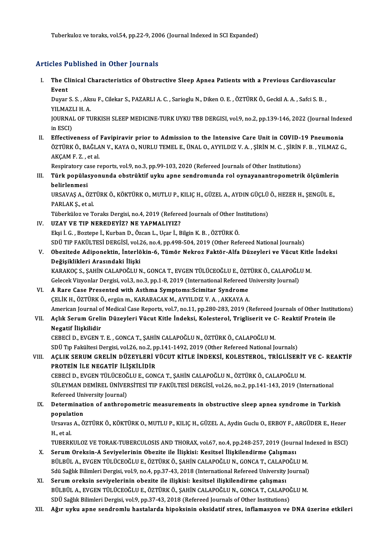Tuberkuloz ve toraks, vol.54, pp.22-9, 2006 (Journal Indexed in SCI Expanded)

### Articles Published in Other Journals

rticles Published in Other Journals<br>I. The Clinical Characteristics of Obstructive Sleep Apnea Patients with a Previous Cardiovascular<br>Firent The Clevent<br>Event<br>Duver The Clinical Characteristics of Obstructive Sleep Apnea Patients with a Previous Cardiovascu<br>Event<br>Duyar S. S. , Aksu F., Cilekar S., PAZARLI A. C. , Sarioglu N., Diken O. E. , ÖZTÜRK Ö., Geckil A. A. , Safci S. B. ,<br>VII M

Event<br>Duyar S. S. , Aksu F., Cilekar S., PAZARLI A. C. , Sarioglu N., Diken O. E. , ÖZTÜRK Ö., Geckil A. A. , Safci S. B. , YILMAZLI H.A.

JOURNAL OF TURKISH SLEEP MEDICINE-TURK UYKU TBB DERGISI, vol.9, no.2, pp.139-146, 2022 (Journal Indexed<br>in ESCI) I . JOURNAL OF TURKISH SLEEP MEDICINE-TURK UYKU TBB DERGISI, vol.9, no.2, pp.139-146, 2022 (Journal Index<br>in ESCI)<br>II. Effectiveness of Favipiravir prior to Admission to the Intensive Care Unit in COVID-19 Pneumonia<br>ÖZTÜPK

in ESCI)<br>Effectiveness of Favipiravir prior to Admission to the Intensive Care Unit in COVID-19 Pneumonia<br>ÖZTÜRK Ö., BAĞLAN V., KAYA O., NURLU TEMEL E., ÜNAL O., AYYILDIZ V. A. , ŞİRİN M. C. , ŞİRİN F. B. , YILMAZ G.,<br>AKÇA Effectiveness of<br>ÖZTÜRK Ö., BAĞLA<br>AKÇAM F. Z. , et al.<br>Recninatory 2000 r. ÖZTÜRK Ö., BAĞLAN V., KAYA O., NURLU TEMEL E., ÜNAL O., AYYILDIZ V. A. , ŞİRİN M. C. , ŞİRİN F. B. , YILMAZ G.,<br>AKCAM F. Z. , et al.

Respiratory case reports, vol.9, no.3, pp.99-103, 2020 (Refereed Journals of Other Institutions)

III. Türk popülasyonunda obstrüktif uyku apne sendromunda rol oynayanantropometrik ölçümlerin<br>belirlenmesi Türk popülasyonunda obstrüktif uyku apne sendromunda rol oynayanantropometrik ölçümleri<br>belirlenmesi<br>URSAVAŞ A., ÖZTÜRK Ö., KÖKTÜRK O., MUTLU P., KILIÇ H., GÜZEL A., AYDIN GÜÇLÜ Ö., HEZER H., ŞENGÜL E.,<br>PARLAK S. stel

<mark>belirlenmesi</mark><br>URSAVAŞ A., ÖZT<br>PARLAK Ş., et al.<br>Tüberkülez ve T URSAVAŞ A., ÖZTÜRK Ö., KÖKTÜRK O., MUTLU P., KILIÇ H., GÜZEL A., AYDIN GÜÇLÜ<br>PARLAK Ş., et al.<br>Tüberküloz ve Toraks Dergisi, no.4, 2019 (Refereed Journals of Other Institutions)<br>117 A.V. VE TIR NEREDEVIZ2 NE VARMALIVIZ2

PARLAK Ş., et al.<br>Tüberküloz ve Toraks Dergisi, no.4, 2019 (Refereed Journals of Other In<br>IV. UZAY VE TIP NEREDEYİZ? NE YAPMALIYIZ?<br>Ekşi İ. G., Boztepe İ., Kurban D., Özcan L., Uçar İ., Bilgin K. B., ÖZTÜRK Ö. Tüberküloz ve Toraks Dergisi, no.4, 2019 (Refereed Journals of Other Institutions)

SDÜTIPFAKÜLTESİDERGİSİ,vol.26,no.4,pp.498-504,2019 (OtherRefereedNational Journals) Ekşi İ. G. , Boztepe İ., Kurban D., Özcan L., Uçar İ., Bilgin K. B. , ÖZTÜRK Ö.<br>SDÜ TIP FAKÜLTESİ DERGİSİ, vol.26, no.4, pp.498-504, 2019 (Other Refereed National Journals)<br>V. Obezitede Adiponektin, İnterlökin-6, Tümör

SDÜ TIP FAKÜLTESİ DERGİSİ, vol.2<br>Obezitede Adiponektin, İnterlö<br>Değişiklikleri Arasındaki İlişki<br>KARAKOC S. SAHİN CALAROČLUA Obezitede Adiponektin, İnterlökin-6, Tümör Nekroz Faktör-Alfa Düzeyleri ve Vücut Kitle<br>Değişiklikleri Arasındaki İlişki<br>KARAKOÇ S., ŞAHİN CALAPOĞLU N., GONCA T., EVGEN TÜLÜCEOĞLU E., ÖZTÜRK Ö., CALAPOĞLU M.<br>Celesek Vizyonl

Değişiklikleri Arasındaki İlişki<br>KARAKOÇ S., ŞAHİN CALAPOĞLU N., GONCA T., EVGEN TÜLÜCEOĞLU E., ÖZTÜRK Ö., CALAPOĞL<br>Gelecek Vizyonlar Dergisi, vol.3, no.3, pp.1-8, 2019 (International Refereed University Journal)<br>A. Bara G KARAKOÇ S., ŞAHİN CALAPOĞLU N., GONCA T., EVGEN TÜLÜCEOĞLU E., ÖZT<br>Gelecek Vizyonlar Dergisi, vol.3, no.3, pp.1-8, 2019 (International Refereed VI.<br>VI. A Rare Case Presented with Asthma Symptoms:Scimitar Syndrome<br>CELİV H.

Gelecek Vizyonlar Dergisi, vol.3, no.3, pp.1-8, 2019 (International Refereed U<br>A Rare Case Presented with Asthma Symptoms:Scimitar Syndrome<br>CELİK H., ÖZTÜRK Ö., ergün m., KARABACAK M., AYYILDIZ V. A. , AKKAYA A.<br>American J A Rare Case Presented with Asthma Symptoms:Scimitar Syndrome<br>CELİK H., ÖZTÜRK Ö., ergün m., KARABACAK M., AYYILDIZ V. A. , AKKAYA A.<br>American Journal of Medical Case Reports, vol.7, no.11, pp.280-283, 2019 (Refereed Journa CELİK H., ÖZTÜRK Ö., ergün m., KARABACAK M., AYYILDIZ V. A. , AKKAYA A.<br>American Journal of Medical Case Reports, vol.7, no.11, pp.280-283, 2019 (Refereed Journals of Other Institu<br>VII. Açlık Serum Grelin Düzeyleri Vüc

## American Journal o<br>Açlık Serum Greli<br>Negatif İlişkilidir<br>CERECİ D. EVCEN 1 VII. Açlık Serum Grelin Düzeyleri Vücut Kitle İndeksi, Kolesterol, Trigliserit ve C- Reaktif Protein ile<br>Negatif İlişkilidir<br>CEBECİ D., EVGEN T. E. , GONCA T., ŞAHİN CALAPOĞLU N., ÖZTÜRK Ö., CALAPOĞLU M.

SDÜ Tıp Fakültesi Dergisi, vol.26, no.2, pp.141-1492, 2019 (Other Refereed National Journals)

## VIII. AÇLIK SERUM GRELİN DÜZEYLERİ VÜCUT KİTLE İNDEKSİ, KOLESTEROL, TRİGLİSERİT VE C- REAKTİF PROTEİN İLE NEGATİF İLİŞKİLİDİR AÇLIK SERUM GRELİN DÜZEYLERİ VÜCUT KİTLE İNDEKSİ, KOLESTEROL, TRİGLİSERİT<br>PROTEİN İLE NEGATİF İLİŞKİLİDİR<br>CEBECİ D., EVGEN TÜLÜCEOĞLU E., GONCA T., ŞAHİN CALAPOĞLU N., ÖZTÜRK Ö., CALAPOĞLU M.<br>SÜLEYMAN DEMİREL ÜNİVERSİTESI

PROTEİN İLE NEGATİF İLİŞKİLİDİR<br>CEBECİ D., EVGEN TÜLÜCEOĞLU E., GONCA T., ŞAHİN CALAPOĞLU N., ÖZTÜRK Ö., CALAPOĞLU M.<br>SÜLEYMAN DEMİREL ÜNİVERSİTESİ TIP FAKÜLTESİ DERGİSİ, vol.26, no.2, pp.141-143, 2019 (International<br>Refer CEBECİ D., EVGEN TÜLÜCEOĞ<br>SÜLEYMAN DEMİREL ÜNİVEI<br>Refereed University Journal)<br>Determination of anthron Refereed University Journal)

# SÜLEYMAN DEMIREL ÜNIVERSITESI TIP FAKÜLTESI DERGISI, vol.26, no.2, pp.141-143, 2019 (International<br>Refereed University Journal)<br>IX. Determination of anthropometric measurements in obstructive sleep apnea syndrome in Turkis Determination of anthropometric measurements in obstructive sleep apnea syndrome in Turkish<br>population<br>Ursavas A., ÖZTÜRK Ö., KÖKTÜRK O., MUTLU P., KILIÇ H., GÜZEL A., Aydin Guclu O., ERBOY F., ARGÜDER E., Hezer<br>Hastel

**popula<br>Ursavas<br>H., et al.<br>TUPFPL** Ursavas A., ÖZTÜRK Ö., KÖKTÜRK O., MUTLU P., KILIÇ H., GÜZEL A., Aydin Guclu O., ERBOY F., ARGÜDER E., Hezer<br>H., et al.<br>TUBERKULOZ VE TORAK-TUBERCULOSIS AND THORAX, vol.67, no.4, pp.248-257, 2019 (Journal Indexed in ESCI)<br>

H., et al.<br>TUBERKULOZ VE TORAK-TUBERCULOSIS AND THORAX, vol.67, no.4, pp.248-257, 2019 (Journ<br>X. Serum Oreksin-A Seviyelerinin Obezite ile İlişkisi: Kesitsel İlişkilendirme Çalışması

- TUBERKULOZ VE TORAK-TUBERCULOSIS AND THORAX, vol.67, no.4, pp.248-257, 2019 (Journal In<br>Serum Oreksin-A Seviyelerinin Obezite ile İlişkisi: Kesitsel İlişkilendirme Çalışması<br>BÜLBÜL A., EVGEN TÜLÜCEOĞLU E., ÖZTÜRK Ö., ŞAHİN Serum Oreksin-A Seviyelerinin Obezite ile İlişkisi: Kesitsel İlişkilendirme Çalışması<br>BÜLBÜL A., EVGEN TÜLÜCEOĞLU E., ÖZTÜRK Ö., ŞAHİN CALAPOĞLU N., GONCA T., CALAPOĞLU M.<br>Sdü Sağlık Bilimleri Dergisi, vol.9, no.4, pp.37-4 BÜLBÜL A., EVGEN TÜLÜCEOĞLU E., ÖZTÜRK Ö., ŞAHİN CALAPOĞLU N., GONCA T., CALAPO<br>Sdü Sağlık Bilimleri Dergisi, vol.9, no.4, pp.37-43, 2018 (International Refereed University<br>XI. Serum oreksin seviyelerinin obezite ile ilişk
- Sdü Sağlık Bilimleri Dergisi, vol.9, no.4, pp.37-43, 2018 (International Refereed University Journal)<br>Serum oreksin seviyelerinin obezite ile ilişkisi: kesitsel ilişkilendirme çalışması<br>BÜLBÜL A., EVGEN TÜLÜCEOĞLU E., ÖZTÜ Serum oreksin seviyelerinin obezite ile ilişkisi: kesitsel ilişkilendirme çalışması<br>BÜLBÜL A., EVGEN TÜLÜCEOĞLU E., ÖZTÜRK Ö., ŞAHİN CALAPOĞLU N., GONCA T., CALAPOĞ<br>SDÜ Sağlık Bilimleri Dergisi, vol.9, pp.37-43, 2018 (Refe
- SDÜ Sağlık Bilimleri Dergisi, vol.9, pp.37-43, 2018 (Refereed Journals of Other Institutions)<br>XII. Ağır uyku apne sendromlu hastalarda hipoksinin oksidatif stres, inflamasyon ve DNA üzerine etkileri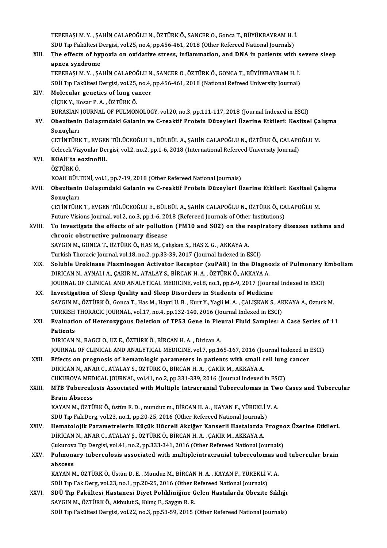TEPEBAŞIM.Y. ,ŞAHİNCALAPOĞLUN.,ÖZTÜRKÖ.,SANCERO.,GoncaT.,BÜYÜKBAYRAMH. İ. TEPEBAŞI M. Y. , ŞAHİN CALAPOĞLU N., ÖZTÜRK Ö., SANCER O., Gonca T., BÜYÜKBAYRAM H. İ<br>SDÜ Tıp Fakültesi Dergisi, vol.25, no.4, pp.456-461, 2018 (Other Refereed National Journals)<br>The effects of bunovis en evidative stress, XIII. The effects of hypoxia on oxidative stress, inflammation, and DNA in patients with severe sleep apnea syndrome SDÜ Tıp Fakültesi D<br>The effects of hy<sub>l</sub><br>apnea syndrome<br><del>TEDEPASI M X - S</del>A The effects of hypoxia on oxidative stress, inflammation, and DNA in patients with s<br>apnea syndrome<br>TEPEBAŞI M.Y., ŞAHİN CALAPOĞLU N., SANCER O., ÖZTÜRK Ö., GONCA T., BÜYÜKBAYRAM H. İ.<br>SDÜ Tın Fakültesi Dersisi vel 25. no. apnea syndrome<br>TEPEBAŞI M. Y. , ŞAHİN CALAPOĞLU N., SANCER O., ÖZTÜRK Ö., GONCA T., BÜYÜKBAYRAM H. İ.<br>SDÜ Tıp Fakültesi Dergisi, vol.25, no.4, pp.456-461, 2018 (National Refreed University Journal)<br>Melasular senetise of lu TEPEBAȘI M. Y., ȘAHİN CALAPOĞLU N<br>SDÜ Tıp Fakültesi Dergisi, vol.25, no.4,<br>XIV. Molecular genetics of lung cancer SDÜ Tıp Fakültesi Dergisi, vol.25,<br>Molecular genetics of lung ca<br>ÇİÇEK Y., Kosar P. A. , ÖZTÜRK Ö.<br>FURASIAN JOURNAL OF PULMON Molecular genetics of lung cancer<br>ÇİÇEK Y., Kosar P. A. , ÖZTÜRK Ö.<br>EURASIAN JOURNAL OF PULMONOLOGY, vol.20, no.3, pp.111-117, 2018 (Journal Indexed in ESCI)<br>Obegitanin Delasumdaki Calanin ve C. reaktif Brotein Dügevleri Ü ÇİÇEK Y., Kosar P. A. , ÖZTÜRK Ö.<br>EURASIAN JOURNAL OF PULMONOLOGY, vol.20, no.3, pp.111-117, 2018 (Journal Indexed in ESCI)<br>XV. Obezitenin Dolaşımdaki Galanin ve C-reaktif Protein Düzeyleri Üzerine Etkileri: Kesitsel Ç EURASIAN<br>Obezitenii<br>Sonuçları<br>CETİNTÜRI Obezitenin Dolaşımdaki Galanin ve C-reaktif Protein Düzeyleri Üzerine Etkileri: Kesitsel Ça<br>Sonuçları<br>ÇETİNTÜRK T., EVGEN TÜLÜCEOĞLU E., BÜLBÜL A., ŞAHİN CALAPOĞLU N., ÖZTÜRK Ö., CALAPOĞLU M.<br>Celesek Vizyonlar Dersisi vel Sonuçları<br>ÇETİNTÜRK T., EVGEN TÜLÜCEOĞLU E., BÜLBÜL A., ŞAHİN CALAPOĞLU N., ÖZTÜRK Ö., CALAPOĞLU M.<br>Gelecek Vizyonlar Dergisi, vol.2, no.2, pp.1-6, 2018 (International Refereed University Journal)<br>KOAH'ta eozinofili. CETİNTÜRK T., EVGEN<br>Gelecek Vizyonlar De:<br>XVI. KOAH'ta eozinofili.<br>ÖZTÜPK Ö Gelecek Viz<br>KOAH'ta e<br>ÖZTÜRK Ö.<br>KOAH PÜLI KOAH'ta eozinofili.<br>ÖZTÜRK Ö.<br>KOAH BÜLTENİ, vol.1, pp.7-19, 2018 (Other Refereed National Journals)<br>Oberitenin Delesumdaki Galanin ve G. neaktif Buetein Düzeyleri Ü ÖZTÜRK Ö.<br>KOAH BÜLTENİ, vol.1, pp.7-19, 2018 (Other Refereed National Journals)<br>XVII. Obezitenin Dolaşımdaki Galanin ve C-reaktif Protein Düzeyleri Üzerine Etkileri: Kesitsel Çalışma<br>Sonusları KOAH BÜL'<br>Obezitenii<br>Sonuçları<br>CETİNTÜDI Obezitenin Dolaşımdaki Galanin ve C-reaktif Protein Düzeyleri Üzerine Etkileri: Kesitsel Ça<br>Sonuçları<br>ÇETİNTÜRK T., EVGEN TÜLÜCEOĞLU E., BÜLBÜL A., ŞAHİN CALAPOĞLU N., ÖZTÜRK Ö., CALAPOĞLU M.<br>Future Vicione Journal val 2. Sonuçları<br>ÇETİNTÜRK T., EVGEN TÜLÜCEOĞLU E., BÜLBÜL A., ŞAHİN CALAPOĞLU N., ÖZTÜRK Ö., CA<br>Future Visions Journal, vol.2, no.3, pp.1-6, 2018 (Refereed Journals of Other Institutions)<br>Te investisate the effects of sin pollut CETINTÜRK T., EVGEN TÜLÜCEOĞLU E., BÜLBÜL A., ŞAHIN CALAPOĞLU N., ÖZTÜRK Ö., CALAPOĞLU M.<br>Future Visions Journal, vol.2, no.3, pp.1-6, 2018 (Refereed Journals of Other Institutions)<br>XVIII. To investigate the effects of air Future Visions Journal, vol.2, no.3, pp.1-6, 20<br>To investigate the effects of air pollutio<br>chronic obstructive pulmonary disease<br>SAVCIN M. CONCA T. ÖZTÜRKÖ, HAS M. Co To investigate the effects of air pollution (PM10 and SO2) on the r<br>chronic obstructive pulmonary disease<br>SAYGIN M., GONCA T., ÖZTÜRK Ö., HAS M., Çalışkan S., HAS Z. G. , AKKAYA A.<br>Turkich Therasis Journal vol 18, no 2, np chronic obstructive pulmonary disease<br>SAYGIN M., GONCA T., ÖZTÜRK Ö., HAS M., Çalışkan S., HAS Z. G. , AKKAYA A.<br>Turkish Thoracic Journal, vol.18, no.2, pp.33-39, 2017 (Journal Indexed in ESCI)<br>Soluble Urokinase Plesminase SAYGIN M., GONCA T., ÖZTÜRK Ö., HAS M., Çalışkan S., HAS Z. G. , AKKAYA A.<br>Turkish Thoracic Journal, vol.18, no.2, pp.33-39, 2017 (Journal Indexed in ESCI)<br>XIX. Soluble Urokinase Plasminogen Activator Receptor (suPAR) in t Turkish Thoracic Journal, vol.18, no.2, pp.33-39, 2017 (Journal Indexed in ESCI)<br>Soluble Urokinase Plasminogen Activator Receptor (suPAR) in the Diagno<br>DIRICAN N., AYNALI A., ÇAKIR M., ATALAY S., BİRCAN H. A. , ÖZTÜRK Ö., Soluble Urokinase Plasminogen Activator Receptor (suPAR) in the Diagnosis of Pulmonary I<br>DIRICAN N., AYNALI A., ÇAKIR M., ATALAY S., BİRCAN H. A. , ÖZTÜRK Ö., AKKAYA A.<br>JOURNAL OF CLINICAL AND ANALYTICAL MEDICINE, vol.8, n DIRICAN N., AYNALI A., ÇAKIR M., ATALAY S., BİRCAN H. A. , ÖZTÜRK Ö., AKKAYA A.<br>JOURNAL OF CLINICAL AND ANALYTICAL MEDICINE, vol.8, no.1, pp.6-9, 2017 (Journal Indexed in ESCI)<br>XX. Investigation of Sleep Quality and Sl JOURNAL OF CLINICAL AND ANALYTICAL MEDICINE, vol.8, no.1, pp.6-9, 2017 (Journal Indexed in ESCI)<br>Investigation of Sleep Quality and Sleep Disorders in Students of Medicine<br>SAYGIN M., ÖZTÜRK Ö., Gonca T., Has M., Hayri U. B Investigation of Sleep Quality and Sleep Disorders in Students of Medicine<br>SAYGIN M., ÖZTÜRK Ö., Gonca T., Has M., Hayri U. B. , Kurt Y., Yagli M. A. , ÇALIŞKAN S., AK<br>TURKISH THORACIC JOURNAL, vol.17, no.4, pp.132-140, 20 SAYGIN M., ÖZTÜRK Ö., Gonca T., Has M., Hayri U. B. , Kurt Y., Yagli M. A. , ÇALIŞKAN S., AKKAYA A., Ozturk M.<br>TURKISH THORACIC JOURNAL, vol.17, no.4, pp.132-140, 2016 (Journal Indexed in ESCI)<br>XXI. Bvaluation of Heterozyg TURKISH THORACIC JOURNAL, vol.17, no.4, pp.132-140, 2016 (Journal Indexed in ESCI)<br>Evaluation of Heterozygous Deletion of TP53 Gene in Pleural Fluid Samples: A Case Series of 11<br>Patients DIRICANN.,BAGCIO.,UZ E.,ÖZTÜRKÖ.,BİRCANH.A. ,DiricanA. JOURNAL OF CLINICAL AND ANALYTICAL MEDICINE, vol.7, pp.165-167, 2016 (Journal Indexed in ESCI) DIRICAN N., BAGCI O., UZ E., ÖZTÜRK Ö., BİRCAN H. A., Dirican A.<br>JOURNAL OF CLINICAL AND ANALYTICAL MEDICINE, vol.7, pp.165-167, 2016 (Journal Indexed in 1<br>XXII. Effects on prognosis of hematologic parameters in patients w JOURNAL OF CLINICAL AND ANALYTICAL MEDICINE, vol.7, pp.165-167, 2016 (Jo<br>Effects on prognosis of hematologic parameters in patients with small c<br>DIRICAN N., ANAR C., ATALAY S., ÖZTÜRK Ö., BİRCAN H. A. , ÇAKIR M., AKKAYA A. Effects on prognosis of hematologic parameters in patients with small cell lung<br>DIRICAN N., ANAR C., ATALAY S., ÖZTÜRK Ö., BİRCAN H. A. , ÇAKIR M., AKKAYA A.<br>CUKUROVA MEDICAL JOURNAL, vol.41, no.2, pp.331-339, 2016 (Journa DIRICAN N., ANAR C., ATALAY S., ÖZTÜRK Ö., BİRCAN H. A. , ÇAKIR M., AKKAYA A.<br>CUKUROVA MEDICAL JOURNAL, vol.41, no.2, pp.331-339, 2016 (Journal Indexed in ESCI)<br>XXIII. MTB Tuberculosis Associated with Multiple Intracra CUKUROVA ME<mark>C</mark><br>MTB Tubercule<br>Brain Abscess<br>KAVAN M. ÖZTÜ MTB Tuberculosis Associated with Multiple Intracranial Tuberculomas in Tw<br>Brain Abscess<br>KAYAN M., ÖZTÜRK Ö., üstün E. D. , munduz m., BİRCAN H. A. , KAYAN F., YÜREKLİ V. A.<br>SDÜ Tın Fek Ders vel 22, no 1, np 20, 25, 2016 (O Brain Abscess<br>KAYAN M., ÖZTÜRK Ö., üstün E. D. , munduz m., BİRCAN H. A. , KAYAN F., YÜREKLİ V<br>SDÜ Tıp Fak.Derg, vol.23, no.1, pp.20-25, 2016 (Other Refereed National Journals)<br>Hamatalajik Paramatralarin Küçük Hüçreli Aksi KAYAN M., ÖZTÜRK Ö., üstün E. D. , munduz m., BİRCAN H. A. , KAYAN F., YÜREKLİ V. A.<br>SDÜ Tıp Fak.Derg, vol.23, no.1, pp.20-25, 2016 (Other Refereed National Journals)<br>XXIV. Hematolojik Parametrelerin Küçük Hücreli Akci SDÜ Tıp Fak.Derg, vol.23, no.1, pp.20-25, 2016 (Other Refereed National Journals)<br>Hematolojik Parametrelerin Küçük Hücreli Akciğer Kanserli Hastalarda<br>DİRİCAN N., ANAR C., ATALAY Ş., ÖZTÜRK Ö., BİRCAN H. A. , ÇAKIR M., AKK Hematolojik Parametrelerin Küçük Hücreli Akciğer Kanserli Hastalarda Progno<br>DİRİCAN N., ANAR C., ATALAY Ş., ÖZTÜRK Ö., BİRCAN H. A. , ÇAKIR M., AKKAYA A.<br>Çukurova Tıp Dergisi, vol.41, no.2, pp.333-341, 2016 (Other Refereed DİRİCAN N., ANAR C., ATALAY Ş., ÖZTÜRK Ö., BİRCAN H. A. , ÇAKIR M., AKKAYA A.<br>Çukurova Tıp Dergisi, vol.41, no.2, pp.333-341, 2016 (Other Refereed National Journals)<br>XXV. Pulmonary tuberculosis associated with multiple Cukurova Tip Dergisi, vol.41, no.2, pp.333-341, 2016 (Other Refereed National Journals) Pulmonary tuberculosis associated with multipleintracranial tuberculomas a<br>abscess<br>KAYAN M., ÖZTÜRK Ö., Üstün D. E. , Munduz M., BİRCAN H. A. , KAYAN F., YÜREKLİ V. A.<br>SDÜ Tın Fek Ders vel 33. no.1.nn 30.35. 3016 (Other Pe abscess<br>KAYAN M., ÖZTÜRK Ö., Üstün D. E. , Munduz M., BİRCAN H. A. , KAYAN F., YÜREKLİ V<br>SDÜ Tıp Fak Derg, vol.23, no.1, pp.20-25, 2016 (Other Refereed National Journals)<br>SDÜ Tıp Fakültesi Hestanesi Divet Balikliniğine Cel KAYAN M., ÖZTÜRK Ö., Üstün D. E. , Munduz M., BİRCAN H. A. , KAYAN F., YÜREKLİ V. A.<br>SDÜ Tıp Fak Derg, vol.23, no.1, pp.20-25, 2016 (Other Refereed National Journals)<br>XXVI. SDÜ Tıp Fakültesi Hastanesi Diyet Polikliniğine G SDÜ Tıp Fak Derg, vol.23, no.1, pp.20-25, 2016 (Other Refereed National Journals)<br>SDÜ Tıp Fakültesi Hastanesi Diyet Polikliniğine Gelen Hastalarda Obezite Sıklığı<br>SAYGIN M., ÖZTÜRK Ö., Akbulut S., Kılınç F., Saygın R. R. SDÜ Tıp Fakültesi Dergisi, vol.22, no.3, pp.53-59, 2015 (Other Refereed National Journals)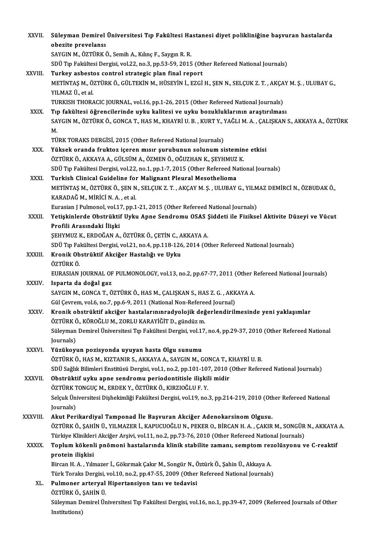| XXVII.       | Süleyman Demirel Üniversitesi Tıp Fakültesi Hastanesi diyet polikliniğine başvuran hastalarda                 |
|--------------|---------------------------------------------------------------------------------------------------------------|
|              | obezite prevelansı                                                                                            |
|              | SAYGIN M., ÖZTÜRK Ö., Semih A., Kılınç F., Saygın R. R.                                                       |
|              | SDÜ Tıp Fakültesi Dergisi, vol.22, no.3, pp.53-59, 2015 (Other Refereed National Journals)                    |
| XXVIII.      | Turkey asbestos control strategic plan final report                                                           |
|              | METİNTAŞ M., ÖZTÜRK Ö., GÜLTEKİN M., HÜSEYİN İ., EZGİ H., ŞEN N., SELÇUK Z. T. , AKÇAY M. Ş. , ULUBAY G.,     |
|              | YILMAZ Ü, et al.                                                                                              |
|              | TURKISH THORACIC JOURNAL, vol.16, pp.1-26, 2015 (Other Refereed National Journals)                            |
| XXIX.        | Tıp fakültesi öğrencilerinde uyku kalitesi ve uyku bozukluklarının araştırılması                              |
|              | SAYGIN M., ÖZTÜRK Ö., GONCA T., HAS M., KHAYRİ U. B., KURT Y., YAĞLI M. A., ÇALIŞKAN S., AKKAYA A., ÖZTÜRK    |
|              | M.                                                                                                            |
|              | TÜRK TORAKS DERGİSİ, 2015 (Other Refereed National Journals)                                                  |
| XXX.         | Yüksek oranda fruktoz içeren mısır şurubunun solunum sistemine etkisi                                         |
|              | ÖZTÜRK Ö., AKKAYA A., GÜLSÜM A., ÖZMEN Ö., OĞUZHAN K., ŞEYHMUZ K.                                             |
|              | SDÜ Tıp Fakültesi Dergisi, vol.22, no.1, pp.1-7, 2015 (Other Refereed National Journals)                      |
| XXXI.        | Turkish Clinical Guideline for Malignant Pleural Mesothelioma                                                 |
|              | METINTAŞ M., ÖZTÜRK Ö., ŞEN N., SELÇUK Z. T., AKÇAY M. Ş., ULUBAY G., YILMAZ DEMIRCI N., ÖZBUDAK Ö.,          |
|              | KARADAĞ M., MİRİCİ N. A., et al.                                                                              |
|              | Eurasian J Pulmonol, vol.17, pp.1-21, 2015 (Other Refereed National Journals)                                 |
| XXXII.       | Yetişkinlerde Obstrüktif Uyku Apne Sendromu OSAS Şiddeti ile Fiziksel Aktivite Düzeyi ve Vücut                |
|              | Profili Arasındaki İlişki<br>ŞEHYMUZ K., ERDOĞAN A., ÖZTÜRK Ö., ÇETİN C., AKKAYA A.                           |
|              | SDÜ Tıp Fakültesi Dergisi, vol.21, no.4, pp.118-126, 2014 (Other Refereed National Journals)                  |
| XXXIII.      | Kronik Obstrüktif Akciğer Hastalığı ve Uyku                                                                   |
|              | ÖZTÜRK Ö                                                                                                      |
|              | EURASIAN JOURNAL OF PULMONOLOGY, vol.13, no.2, pp.67-77, 2011 (Other Refereed National Journals)              |
| <b>XXXIV</b> | Isparta da doğal gaz                                                                                          |
|              | SAYGIN M., GONCA T., ÖZTÜRK Ö., HAS M., ÇALIŞKAN S., HAS Z. G., AKKAYA A.                                     |
|              | Gül Çevrem, vol.6, no.7, pp.6-9, 2011 (National Non-Refereed Journal)                                         |
| XXXV.        | Kronik obstrüktif akciğer hastalarınınradyolojik değerlendirilmesinde yeni yaklaşımlar                        |
|              | ÖZTÜRK Ö., KÖROĞLU M., ZORLU KARAYİĞİT D., gündüz m.                                                          |
|              | Süleyman Demirel Üniversitesi Tıp Fakültesi Dergisi, vol.17, no.4, pp.29-37, 2010 (Other Refereed National    |
|              | Journals)                                                                                                     |
| XXXVI.       | Yüzükoyun pozisyonda uyuyan hasta Olgu sunumu                                                                 |
|              | ÖZTÜRK Ö., HAS M., KIZTANIR S., AKKAYA A., SAYGIN M., GONCA T., KHAYRİ U. B.                                  |
|              | SDÜ Sağlık Bilimleri Enstitüsü Dergisi, vol.1, no.2, pp.101-107, 2010 (Other Refereed National Journals)      |
| XXXVII.      | Obstrüktif uyku apne sendromu periodontitisle ilişkili midir                                                  |
|              | ÖZTÜRK TONGUÇ M., ERDEK Y., ÖZTÜRK Ö., KIRZIOĞLU F.Y.                                                         |
|              | Selçuk Üniversitesi Dişhekimliği Fakültesi Dergisi, vol.19, no.3, pp.214-219, 2010 (Other Refereed National   |
|              | Journals)                                                                                                     |
| XXXVIII.     | Akut Perikardiyal Tamponad İle Başvuran Akciğer Adenokarsinom Olgusu.                                         |
|              | ÖZTÜRK Ö., ŞAHİN Ü., YILMAZER İ., KAPUCUOĞLU N., PEKER O., BİRCAN H. A. , ÇAKIR M., SONGÜR N., AKKAYA A.      |
|              | Türkiye Klinikleri Akciğer Arşivi, vol.11, no.2, pp.73-76, 2010 (Other Refereed National Journals)            |
| <b>XXXIX</b> | Toplum kökenli pnömoni hastalarında klinik stabilite zamanı, semptom rezolüsyonu ve C-reaktif                 |
|              | protein ilişkisi<br>Bircan H. A., Yılmazer İ., Gökırmak Çakır M., Songür N., Öztürk Ö., Şahin Ü., Akkaya A.   |
|              | Türk Toraks Dergisi, vol.10, no.2, pp.47-55, 2009 (Other Refereed National Journals)                          |
| XL.          | Pulmoner arteryal Hipertansiyon tanı ve tedavisi                                                              |
|              | ÖZTÜRK Ö., ŞAHİN Ü.                                                                                           |
|              | Süleyman Demirel Üniversitesi Tıp Fakültesi Dergisi, vol.16, no.1, pp.39-47, 2009 (Refereed Journals of Other |
|              | Institutions)                                                                                                 |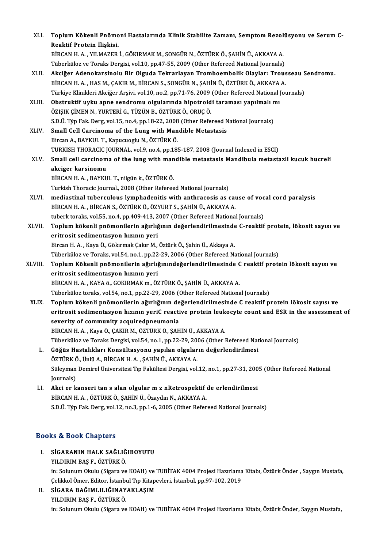| XLI.    | Toplum Kökenli Pnömoni Hastalarında Klinik Stabilite Zamanı, Semptom Rezolüsyonu ve Serum C-               |
|---------|------------------------------------------------------------------------------------------------------------|
|         | Reaktif Protein İlişkisi.                                                                                  |
|         | BİRCAN H. A., YILMAZER İ., GÖKIRMAK M., SONGÜR N., ÖZTÜRK Ö., ŞAHİN Ü., AKKAYA A.                          |
|         | Tüberküloz ve Toraks Dergisi, vol.10, pp.47-55, 2009 (Other Refereed National Journals)                    |
| XLII.   | Akciğer Adenokarsinolu Bir Olguda Tekrarlayan Tromboembolik Olaylar: Trousseau Sendromu.                   |
|         | BİRCAN H. A., HAS M., ÇAKIR M., BİRCAN S., SONGÜR N., ŞAHİN Ü., ÖZTÜRK Ö., AKKAYA A.                       |
|         | Türkiye Klinikleri Akciğer Arşivi, vol.10, no.2, pp.71-76, 2009 (Other Refereed National Journals)         |
| XLIII.  | Obstruktif uyku apne sendromu olgularında hipotroidi taraması yapılmalı mı                                 |
|         | ÖZIŞIK ÇİMEN N., YURTERİ G., TÜZÜN B., ÖZTÜRK Ö., ORUÇ Ö.                                                  |
|         | S.D.Ü. Týp Fak. Derg, vol.15, no.4, pp.18-22, 2008 (Other Refereed National Journals)                      |
| XLIV.   | Small Cell Carcinoma of the Lung with Mandible Metastasis                                                  |
|         | Bircan A., BAYKUL T., Kapucuoglu N., ÖZTÜRK Ö.                                                             |
|         | TURKISH THORACIC JOURNAL, vol.9, no.4, pp.185-187, 2008 (Journal Indexed in ESCI)                          |
| XLV.    | Small cell carcinoma of the lung with mandible metastasis Mandibula metastazli kucuk hucreli               |
|         | akciger karsinomu                                                                                          |
|         | BİRCAN H.A., BAYKUL T., nilgün k., ÖZTÜRK Ö.                                                               |
|         | Turkish Thoracic Journal., 2008 (Other Refereed National Journals)                                         |
| XLVI.   | mediastinal tuberculous lymphadenitis with anthracosis as cause of vocal cord paralysis                    |
|         | BİRCAN H. A., BİRCAN S., ÖZTÜRK Ö., ÖZYURT S., ŞAHİN Ü., AKKAYA A.                                         |
|         | tuberk toraks, vol.55, no.4, pp.409-413, 2007 (Other Refereed National Journals)                           |
| XLVII.  | Toplum kökenli pnömonilerin ağırlığının değerlendirilmesinde C-reaktif protein, lökosit sayısı ve          |
|         | eritrosit sedimentasyon hızının yeri                                                                       |
|         | Bircan H. A., Kaya Ö., Gökırmak Çakır M., Öztürk Ö., Şahin Ü., Akkaya A.                                   |
|         | Tüberküloz ve Toraks, vol.54, no.1, pp.22-29, 2006 (Other Refereed National Journals)                      |
| XLVIII. | Toplum Kökenli pnömonilerin ağırlığınındeğerlendirilmesinde C reaktif protein lökosit sayısı ve            |
|         | eritrosit sedimentasyon hızının yeri                                                                       |
|         | BİRCAN H. A., KAYA ö., GOKIRMAK m., ÖZTÜRK Ö., ŞAHİN Ü., AKKAYA A.                                         |
|         | Tüberküloz toraks, vol.54, no.1, pp.22-29, 2006 (Other Refereed National Journals)                         |
| XLIX.   | Toplum kökenli pnömonilerin ağırlığının değerlendirilmesinde C reaktif protein lökosit sayısı ve           |
|         | eritrosit sedimentasyon hizinin yeriC reactive protein leukocyte count and ESR in the assessment of        |
|         | severity of community acquiredpneumonia                                                                    |
|         | BİRCAN H. A., Kaya Ö., ÇAKIR M., ÖZTÜRK Ö., ŞAHİN Ü., AKKAYA A.                                            |
|         | Tüberküloz ve Toraks Dergisi, vol.54, no.1, pp.22-29, 2006 (Other Refereed National Journals)              |
| L.      | Göğüs Hastalıkları Konsültasyonu yapılan olguların değerlendirilmesi                                       |
|         | ÖZTÜRK Ö., Ünlü A., BİRCAN H. A., ŞAHİN Ü., AKKAYA A.                                                      |
|         | Süleyman Demirel Üniversitesi Tıp Fakültesi Dergisi, vol.12, no.1, pp.27-31, 2005 (Other Refereed National |
|         | Journals)                                                                                                  |
| LI.     | Akci er kanseri tan s alan olgular m z nRetrospektif de erlendirilmesi                                     |
|         | BİRCAN H. A., ÖZTÜRK Ö., ŞAHİN Ü., Özaydın N., AKKAYA A.                                                   |
|         | S.D.Ü. Týp Fak. Derg, vol.12, no.3, pp.1-6, 2005 (Other Refereed National Journals)                        |
|         |                                                                                                            |

### Books&Book Chapters

# Ooks & Book Chapters<br>I. SİGARANIN HALK SAĞLIĞIBOYUTU<br>VILDIDIM BAS E ÖZTÜRKÖ YAYA YERLETIMI<br>SİGARANIN HALK SAĞLIĞ<br>YILDIRIM BAŞ F., ÖZTÜRK Ö.

SİGARANIN HALK SAĞLIĞIBOYUTU<br>YILDIRIM BAŞ F., ÖZTÜRK Ö.<br>in: Solunum Okulu (Sigara ve KOAH) ve TUBİTAK 4004 Projesi Hazırlama Kitabı, Öztürk Önder , Saygın Mustafa,<br>Celikkal Ömer Editor, İstanbul Tın Kitanevleri, İstanbul, YILDIRIM BAŞ F., ÖZTÜRK Ö.<br>in: Solunum Okulu (Sigara ve KOAH) ve TUBİTAK 4004 Projesi Hazırlama<br>Çelikkol Ömer, Editor, İstanbul Tıp Kitapevleri, İstanbul, pp.97-102, 2019<br>SİCARA RAĞIMI II JĞINAYAKI ASIM in: Solunum Okulu (Sigara ve KOAH) ve<br>Çelikkol Ömer, Editor, İstanbul Tıp Kitap<br>II. SİGARA BAĞIMLILIĞINAYAKLAŞIM<br>VILDIPIM BAŞ E. ÖZTÜRKÖ

Çelikkol Ömer, Editor, İstanbı<br>SİGARA BAĞIMLILIĞINAY<br>YILDIRIM BAŞ F., ÖZTÜRK Ö.<br>in: Salunum Olulu (Sizara ya YILDIRIM BAŞ F., ÖZTÜRK Ö.<br>in: Solunum Okulu (Sigara ve KOAH) ve TUBİTAK 4004 Projesi Hazırlama Kitabı, Öztürk Önder, Saygın Mustafa,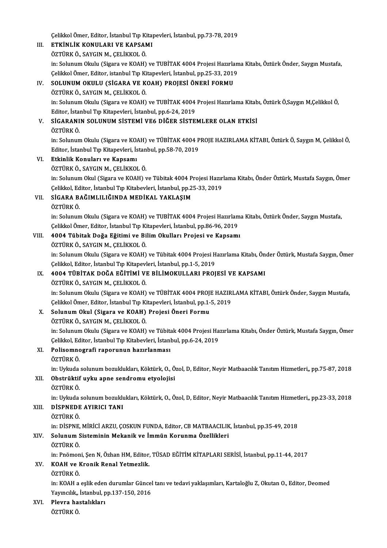## Çelikkol Ömer, Editor, İstanbul Tıp Kitapevleri, İstanbul, pp.73-78, 2019<br>ETKİNLİK KONULARLYE KARSAML III. ETKİNLİK KONULARI VE KAPSAMI<br>ÖZTÜRK Ö., SAYGIN M., CELİKKOL Ö. Çelikkol Ömer, Editor, İstanbul Tıp Ki<br>ETKİNLİK KONULARI VE KAPSAN<br>ÖZTÜRK Ö., SAYGIN M., ÇELİKKOL Ö.<br>in: Salunum Olulu (Sizara ve KOAH) ETKİNLİK KONULARI VE KAPSAMI<br>ÖZTÜRK Ö., SAYGIN M., ÇELİKKOL Ö.<br>in: Solunum Okulu (Sigara ve KOAH) ve TUBİTAK 4004 Projesi Hazırlama Kitabı, Öztürk Önder, Saygın Mustafa,<br>Celikkal Ömer, Editor, istanbul Tın Kitanevleri, İst ÖZTÜRK Ö., SAYGIN M., ÇELİKKOL Ö.<br>in: Solunum Okulu (Sigara ve KOAH) ve TUBİTAK 4004 Projesi Hazırlam<br>Çelikkol Ömer, Editor, istanbul Tıp Kitapevleri, İstanbul, pp.25-33, 2019<br>SOLUNUM OKULU (SİCARA VE KOAH) PROJESİ ÖNERİ F Çelikkol Ömer, Editor, istanbul Tıp Kitapevleri, İstanbul, pp.25-33, 2019<br>IV. SOLUNUM OKULU (SİGARA VE KOAH) PROJESİ ÖNERİ FORMU ÖZTÜRKÖ., SAYGIN M., ÇELİKKOLÖ. SOLUNUM OKULU (SİGARA VE KOAH) PROJESİ ÖNERİ FORMU<br>ÖZTÜRK Ö., SAYGIN M., ÇELİKKOL Ö.<br>in: Solunum Okulu (Sigara ve KOAH) ve TUBİTAK 4004 Projesi Hazırlama Kitabı, Öztürk Ö,Saygın M,Çelikkol Ö,<br>Editor, İstanbul Tın Kitapovla ÖZTÜRK Ö., SAYGIN M., ÇELİKKOL Ö.<br>in: Solunum Okulu (Sigara ve KOAH) ve TUBİTAK 4004<br>Editor, İstanbul Tıp Kitapevleri, İstanbul, pp.6-24, 2019<br>SİCARANIN SOLUNUM SİSTEMİ VE6 DİĞER SİSTE in: Solunum Okulu (Sigara ve KOAH) ve TUBİTAK 4004 Projesi Hazırlama Kitab<br>Editor, İstanbul Tıp Kitapevleri, İstanbul, pp.6-24, 2019<br>V. SİGARANIN SOLUNUM SİSTEMİ VE6 DİĞER SİSTEMLERE OLAN ETKİSİ<br>ÖZTÜPKÖ Editor, İstanbul Tıp Kitapevleri, İstanbul, pp.6-24, 2019<br>V. SİGARANIN SOLUNUM SİSTEMİ VE6 DİĞER SİSTEMLERE OLAN ETKİSİ<br>ÖZTÜRK Ö. SİGARANIN SOLUNUM SİSTEMİ VE6 DİĞER SİSTEMLERE OLAN ETKİSİ<br>ÖZTÜRK Ö.<br>in: Solunum Okulu (Sigara ve KOAH) ve TÜBİTAK 4004 PROJE HAZIRLAMA KİTABI, Öztürk Ö, Saygın M, Çelikkol Ö,<br>Editor, İstanbul Tın Kitanovlari, İstanbul np. ÖZTÜRK Ö.<br>in: Solunum Okulu (Sigara ve KOAH) ve TÜBİTAK 4004 P<br>Editor, İstanbul Tıp Kitapevleri, İstanbul, pp.58-70, 2019<br>Etkinlik Konulanı ve Kansamı Editor, İstanbul Tıp Kitapevleri, İstanbul, pp.58-70, 2019<br>VI. Etkinlik Konuları ve Kapsamı ÖZTÜRK Ö., SAYGIN M., ÇELİKKOL Ö. Etkinlik Konuları ve Kapsamı<br>ÖZTÜRK Ö., SAYGIN M., ÇELİKKOL Ö.<br>in: Solunum Okul (Sigara ve KOAH) ve Tübitak 4004 Projesi Hazırlama Kitabı, Önder Öztürk, Mustafa Saygın, Ömer<br>Celikkal, Editar, İstanbul Tın Kitabevleri, İsta ÖZTÜRK Ö., SAYGIN M., ÇELİKKOL Ö.<br>in: Solunum Okul (Sigara ve KOAH) ve Tübitak 4004 Projesi Hazır<br>Çelikkol, Editor, İstanbul Tıp Kitabevleri, İstanbul, pp.25-33, 2019<br>SİCARA RAĞIMI II IĞINDA MEDİKAL YAKLASIM VII. SİGARA BAĞIMLILIĞINDA MEDİKAL YAKLAŞIM<br>ÖZTÜRK Ö. Çelikkol, Editor, İstanbul Tıp Kitabevleri, İstanbul, pp.25-33, 2019 SİGARA BAĞIMLILIĞINDA MEDİKAL YAKLAŞIM<br>ÖZTÜRK Ö.<br>in: Solunum Okulu (Sigara ve KOAH) ve TUBİTAK 4004 Projesi Hazırlama Kitabı, Öztürk Önder, Saygın Mustafa,<br>Celikkal Ömer, Editor, İstanbul Tın Kitapevleri, İstanbul, np.96,9 ÖZTÜRK Ö.<br>in: Solunum Okulu (Sigara ve KOAH) ve TUBİTAK 4004 Projesi Hazırlam<br>Çelikkol Ömer, Editor, İstanbul Tıp Kitapevleri, İstanbul, pp.86-96, 2019<br>4004 Tübitak Doğa Eğitimi ve Bilim Okulları Projesi ve Kansamı in: Solunum Okulu (Sigara ve KOAH) ve TUBİTAK 4004 Projesi Hazırlamı<br>Çelikkol Ömer, Editor, İstanbul Tıp Kitapevleri, İstanbul, pp.86-96, 2019<br>VIII. 4004 Tübitak Doğa Eğitimi ve Bilim Okulları Projesi ve Kapsamı<br>ÖZTÜPKÖ SA Çelikkol Ömer, Editor, İstanbul Tıp Kitapevleri, İstanbul, pp.86-96, 2019<br>4004 Tübitak Doğa Eğitimi ve Bilim Okulları Projesi ve Kapsamı<br>ÖZTÜRK Ö., SAYGIN M., ÇELİKKOL Ö. 4004 Tübitak Doğa Eğitimi ve Bilim Okulları Projesi ve Kapsamı<br>ÖZTÜRK Ö., SAYGIN M., ÇELİKKOL Ö.<br>in: Solunum Okulu (Sigara ve KOAH) ve Tübitak 4004 Projesi Hazırlama Kitabı, Önder Öztürk, Mustafa Saygın, Ömer ÖZTÜRK Ö., SAYGIN M., ÇELİKKOL Ö.<br>in: Solunum Okulu (Sigara ve KOAH) ve Tübitak 4004 Projesi H<br>Çelikkol, Editor, İstanbul Tıp Kitapevleri, İstanbul, pp.1-5, 2019<br>4004 TÜRİTAK DOĞA EĞİTİMİ VE RİL İMOKULLARLPROL in: Solunum Okulu (Sigara ve KOAH) ve Tübitak 4004 Projesi Hazırlama Kitabı, Ön<br>Çelikkol, Editor, İstanbul Tıp Kitapevleri, İstanbul, pp.1-5, 2019<br>IX. 4004 TÜBİTAK DOĞA EĞİTİMİ VE BİLİMOKULLARI PROJESİ VE KAPSAMI<br>ÖZTÜPKÖ S Çelikkol, Editor, İstanbul Tıp Kitapevl<br>**4004 TÜBİTAK DOĞA EĞİTİMİ V**I<br>ÖZTÜRK Ö., SAYGIN M., ÇELİKKOL Ö.<br>in: Salunum Olulu *(Sigara ve K*OAH) 4004 TÜBİTAK DOĞA EĞİTİMİ VE BİLİMOKULLARI PROJESİ VE KAPSAMI<br>ÖZTÜRK Ö., SAYGIN M., ÇELİKKOL Ö.<br>in: Solunum Okulu (Sigara ve KOAH) ve TÜBİTAK 4004 PROJE HAZIRLAMA KİTABI, Öztürk Önder, Saygın Mustafa,<br>Celikkal Ömer Editer, ÖZTÜRK Ö., SAYGIN M., ÇELİKKOL Ö.<br>in: Solunum Okulu (Sigara ve KOAH) ve TÜBİTAK 4004 PROJE HAZIR<br>Çelikkol Ömer, Editor, İstanbul Tıp Kitapevleri, İstanbul, pp.1-5, 2019<br>Solunum Okul (Sigara ve KOAH) Projasi Öneri Formu in: Solunum Okulu (Sigara ve KOAH) ve TÜBİTAK 4004 PROJ<br>Çelikkol Ömer, Editor, İstanbul Tıp Kitapevleri, İstanbul, pp.1-<br>X. Solunum Okul (Sigara ve KOAH) Projesi Öneri Formu<br>ÖZTÜPKÖ SAVCIN M CELİKKOLÖ Çelikkol Ömer, Editor, İstanbul Tıp Kitapevleri, İstanbul, pp.1-5, 2019<br>X. Solunum Okul (Sigara ve KOAH) Projesi Öneri Formu<br>ÖZTÜRK Ö., SAYGIN M., ÇELİKKOL Ö. Solunum Okul (Sigara ve KOAH) Projesi Öneri Formu<br>ÖZTÜRK Ö., SAYGIN M., ÇELİKKOL Ö.<br>in: Solunum Okulu (Sigara ve KOAH) ve Tübitak 4004 Projesi Hazırlama Kitabı, Önder Öztürk, Mustafa Saygın, Ömer ÖZTÜRK Ö., SAYGIN M., ÇELİKKOL Ö.<br>in: Solunum Okulu (Sigara ve KOAH) ve Tübitak 4004 Projesi Ha<br>Çelikkol, Editor, İstanbul Tıp Kitabevleri, İstanbul, pp.6-24, 2019<br>Pelisemnesusfi nanenunun bazırlanması in: Solunum Okulu (Sigara ve KOAH) ve Tübit:<br>Çelikkol, Editor, İstanbul Tıp Kitabevleri, İstan<br>XI. Polisomnografi raporunun hazırlanması<br>ÖZTÜPKÖ Çelikkol, Editor, İstanbul Tıp Kitabevleri, İstanbul, pp.6-24, 2019<br>XI. Polisomnografi raporunun hazırlanması<br>ÖZTÜRK Ö. in: Uykuda solunum bozuklukları, Köktürk, O., Özol, D. Editor, Neyir Matbaacılık Tanıtım Hizmetleri,, pp.75-87, 2018 ÖZTÜRK Ö.<br>in: Uykuda solunum bozuklukları, Köktürk, O., Ö<br>XII. Obstrüktif uyku apne sendromu etyolojisi<br>ÖZTÜPK Ö in: Uykuda<br>**Obstrüktif**<br>ÖZTÜRK Ö.<br>in: Uykuda ÖZTÜRK Ö.<br>in: Uykuda solunum bozuklukları, Köktürk, O., Özol, D, Editor, Neyir Matbaacılık Tanıtım Hizmetleri,, pp.23-33, 2018 XIII. DİSPNEDE AYIRICI TANI ÖZTÜRKÖ. in: DİSPNE, MİRİCİ ARZU, ÇOSKUN FUNDA, Editor, CB MATBAACILIK, İstanbul, pp.35-49, 2018 XIV. Solunum Sisteminin Mekanik ve İmmün Korunma Özellikleri ÖZTÜRKÖ. Solunum Sisteminin Mekanik ve İmmün Korunma Özellikleri<br>ÖZTÜRK Ö.<br>in: Pnömoni, Şen N, Özhan HM, Editor, TÜSAD EĞİTİM KİTAPLARI SERİSİ, İstanbul, pp.11-44, 2017<br>KOAH ve Knonik Benel Yetmeslik. XV. KOAH ve Kronik Renal Yetmezlik. in: Pnömon<br>KOAH ve I<br>ÖZTÜRK Ö.<br>in: <sup>KOAH</sup> 3 KOAH ve Kronik Renal Yetmezlik.<br>ÖZTÜRK Ö.<br>in: KOAH a eşlik eden durumlar Güncel tanı ve tedavi yaklaşımları, Kartaloğlu Z, Okutan O., Editor, Deomed<br>Yaynalık, İstanbul an 137,150, 2016 ÖZTÜRK Ö.<br>in: KOAH a eşlik eden durumlar Güncel<br>Yayıncılık,, İstanbul, pp.137-150, 2016<br>Playna bestalıkları in: KOAH a eşlik eden<br>Yayıncılık,, İstanbul, p<br>XVI. Plevra hastalıkları<br>Öztüpk Ö Yayıncılık,,<br><mark>Plevra ha</mark>:<br>ÖZTÜRK Ö.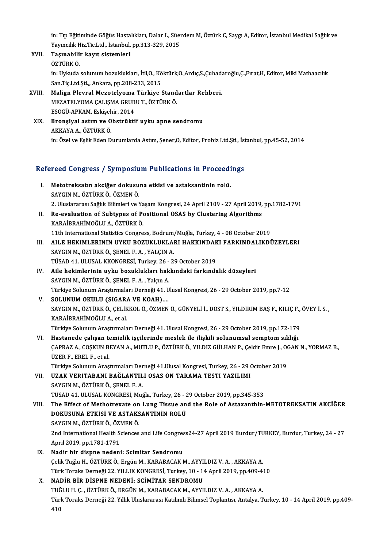in: Tıp Eğitiminde Göğüs Hastalıkları, Dalar L, Süerdem M, Öztürk C, Saygı A, Editor, İstanbul Medikal Sağlık ve<br>Yaynalık Hiz Tie Ltd. İstanbul an 313-320-3015 in: Tıp Eğitiminde Göğüs Hastalıkları, Dalar L, Süe<br>Yayıncılık Hiz.Tic.Ltd., İstanbul, pp.313-329, 2015<br>Tasınabilin kevyt sistemleri Yayıncılık Hiz Tic Ltd., İstanbul, pp 313-329, 2015

- XVII. Taşınabilir kayıt sistemleri<br>ÖZTÜRK Ö.
	-

Taşınabilir kayıt sistemleri<br>ÖZTÜRK Ö.<br>in: Uykuda solunum bozuklukları, İtil,O., Köktürk,O.,Ardıç,S.,Çuhadaroğlu,Ç.,Fırat,H, Editor, Miki Matbaacılık<br>San Tis Ltd Sti - Ankara, np 208-222-2015 ÖZTÜRK Ö.<br>in: Uykuda solunum bozuklukları, İtil,O., Kö<br>San.Tiç.Ltd.Şti.,, Ankara, pp.208-233, 2015<br>Malian Plovral Maratelyoma Türkiye İ in: Uykuda solunum bozuklukları, İtil,O., Köktürk,O.,Ardıç,S.,Çuhad:<br>San.Tiç.Ltd.Şti.,, Ankara, pp.208-233, 2015<br>XVIII. Malign Plevral Mezotelyoma Türkiye Standartlar Rehberi.<br>MEZATELYOMA CALISMA CRUBLLT, ÖZTÜRKÖ

- San.Tiç.Ltd.Şti.,, Ankara, pp.208-233, 2015<br>Malign Plevral Mezotelyoma Türkiye Stand<br>MEZATELYOMA ÇALIŞMA GRUBU T., ÖZTÜRK Ö.<br>ESOCÜ APKAM Eskişebir 2014 Malign Plevral Mezotelyoma<br>MEZATELYOMA ÇALIŞMA GRUB<br>ESOGÜ-APKAM, Eskişehir, 2014<br>Pronsival astım ve Obstrülti MEZATELYOMA ÇALIŞMA GRUBU T., ÖZTÜRK Ö.<br>ESOGÜ-APKAM, Eskişehir, 2014<br>XIX. Bronşiyal astım ve Obstrüktif uyku apne sendromu<br>AKKAYA A. ÖZTÜPK Ö.
- ESOGÜ-APKAM, Eskişeh<br>Bronşiyal astım ve O<br>AKKAYA A., ÖZTÜRK Ö.<br>in:Özel ve Eslik Eden D AKKAYA A., ÖZTÜRK Ö.<br>in: Özel ve Eşlik Eden Durumlarda Astım, Şener,O, Editor, Probiz Ltd.Şti., İstanbul, pp.45-52, 2014

# m: ozel ve eşlik eden Durumlarda Asum, şeher,0, edilor, Probiz Lid.şu., isi<br>Refereed Congress / Symposium Publications in Proceedings

- efereed Congress / Symposium Publications in Proceedi<br>I. Metotreksatın akciğer dokusuna etkisi ve astaksantinin rolü.<br>SAVCIN M ÖZTÜRKÖ ÖZMENÖ I. Metotreksatın akciğer dokusuna etkisi ve astaksantinin rolü.<br>SAYGIN M., ÖZTÜRKÖ., ÖZMENÖ. Metotreksatın akciğer dokusuna etkisi ve astaksantinin rolü.<br>SAYGIN M., ÖZTÜRK Ö., ÖZMEN Ö.<br>2. Uluslararası Sağlık Bilimleri ve Yaşam Kongresi, 24 April 2109 - 27 April 2019, pp.1782-1791<br>Be evaluation of Subtynes of Bosit 2. Uluslararası Sağlık Bilimleri ve Ya<br>Re-evaluation of Subtypes of Pe<br>KARAİBRAHİMOĞLU A., ÖZTÜRK Ö.<br>11th International Statistics Congre
- II. Re-evaluation of Subtypes of Positional OSAS by Clustering Algorithms<br>KARAİBRAHİMOĞLU A., ÖZTÜRK Ö. 11th International Statistics Congress, Bodrum/Muğla, Turkey, 4 - 08 October 2019 KARAİBRAHİMOĞLU A., ÖZTÜRK Ö.<br>11th International Statistics Congress, Bodrum/Muğla, Turkey, 4 - 08 October 2019<br>III. AILE HEKIMLERININ UYKU BOZUKLUKLARI HAKKINDAKI FARKINDALIKDÜZEYLERI<br>SAVCIN M. ÖZTÜRK Ö. SENEL E. A.,
- 11th International Statistics Congress, Bodrum.<br>AILE HEKIMLERININ UYKU BOZUKLUKLA.<br>SAYGIN M., ÖZTÜRK Ö., ŞENEL F.A., YALÇIN A. AILE HEKIMLERININ UYKU BOZUKLUKLARI HAKKINDAK<br>SAYGIN M., ÖZTÜRK Ö., ŞENEL F. A. , YALÇIN A.<br>TÜSAD 41. ULUSAL KKONGRESİ, Turkey, 26 - 29 October 2019<br>Aila bakimlerinin uyku bazuklukları bakkındaki farkında SAYGIN M., ÖZTÜRK Ö., ŞENEL F. A. , YALÇIN A.<br>TÜSAD 41. ULUSAL KKONGRESİ, Turkey, 26 - 29 October 2019<br>IV. Aile hekimlerinin uyku bozuklukları hakkındaki farkındalık düzeyleri<br>SAYGIN M., ÖZTÜRK Ö., ŞENEL F. A. , Yalçın
- TÜSAD 41. ULUSAL KKONGRESİ, Turkey, 26 -<br>Aile hekimlerinin uyku bozuklukları hak<br>SAYGIN M., ÖZTÜRK Ö., ŞENEL F. A. , Yalçın A.<br>Türkiye Solunum Arastırmaları Derneği 41. II Türkiye SolunumAraştırmalarıDerneği41.UlusalKongresi,26 -29October 2019,pp.7-12
- V. SOLUNUM OKULU (SIGARA VE KOAH).... Türkiye Solunum Araştırmaları Derneği 41. Ulusal Kongresi, 26 - 29 October 2019, pp.7-12<br>SOLUNUM OKULU (SIGARA VE KOAH)....<br>SAYGIN M., ÖZTÜRK Ö., ÇELİKKOL Ö., ÖZMEN Ö., GÜNYELİ İ., DOST S., YILDIRIM BAŞ F., KILIÇ F., ÖVEY SOLUNUM OKULU (SIGAR)<br>SAYGIN M., ÖZTÜRK Ö., ÇELİK<br>KARAİBRAHİMOĞLU A., et al.<br>Türkiye Solunum Arastrumala SAYGIN M., ÖZTÜRK Ö., ÇELİKKOL Ö., ÖZMEN Ö., GÜNYELİ İ., DOST S., YILDIRIM BAŞ F., KILIÇ F.,<br>KARAİBRAHİMOĞLU A., et al.<br>Türkiye Solunum Araştırmaları Derneği 41. Ulusal Kongresi, 26 - 29 October 2019, pp.172-179<br>Hastanada KARAİBRAHİMOĞLU A., et al.<br>179 Türkiye Solunum Araştırmaları Derneği 41. Ulusal Kongresi, 26 - 29 October 2019, pp.172-179<br>179 VI. Hastanede çalışan temizlik işçilerinde meslek ile ilişkili solunumsal semptom sıklığı

## Türkiye Solunum Araştırmaları Derneği 41. Ulusal Kongresi, 26 - 29 October 2019, pp.172-179<br>Hastanede çalışan temizlik işçilerinde meslek ile ilişkili solunumsal semptom sıklığı<br>ÇAPRAZ A., COŞKUN BEYAN A., MUTLU P., ÖZTÜRK Hastanede çalışan te<br>ÇAPRAZ A., COŞKUN B.<br>ÜZER F., EREL F., et al.<br>Türkiye Solunum Anas ÇAPRAZ A., COŞKUN BEYAN A., MUTLU P., ÖZTÜRK Ö., YILDIZ GÜLHAN P., Çeldir Emre J., O<br>ÜZER F., EREL F., et al.<br>Türkiye Solunum Araştırmaları Derneği 41.Ulusal Kongresi, Turkey, 26 - 29 October 2019<br>UZAK VERITARANI RAĞI ANTI

ÜZER F., EREL F., et al.<br>Türkiye Solunum Araştırmaları Derneği 41.Ulusal Kongresi, Turkey, 26 - 29 (<br>VII. UZAK VERITABANI BAĞLANTILI OSAS ÖN TARAMA TESTI YAZILIMI<br>SAVÇIN M. ÖZTÜRKÖ, SENEL E A Türkiye Solunum Araştırmaları Der<br>UZAK VERITABANI BAĞLANTIL<br>SAYGIN M., ÖZTÜRK Ö., ŞENEL F. A.<br>TÜSAD 41 HI HSAL KONGPESİ Muğ UZAK VERITABANI BAĞLANTILI OSAS ÖN TARAMA TESTI YAZILIMI<br>SAYGIN M., ÖZTÜRK Ö., ŞENEL F. A.<br>TÜSAD 41. ULUSAL KONGRESİ, Muğla, Turkey, 26 - 29 October 2019, pp.345-353<br>The Effect of Methotrovate on Lung Tissue and the Bole o

SAYGIN M., ÖZTÜRK Ö., ŞENEL F. A.<br>TÜSAD 41. ULUSAL KONGRESİ, Muğla, Turkey, 26 - 29 October 2019, pp.345-353<br>VIII. The Effect of Methotrexate on Lung Tissue and the Role of Astaxanthin-METOTREKSATIN AKCİĞER<br>DOKUSUNA ET TÜSAD 41. ULUSAL KONGRESİ, Muğla, Turkey, 26 - 2<br>The Effect of Methotrexate on Lung Tissue an<br>DOKUSUNA ETKİSİ VE ASTAKSANTİNİN ROLÜ<br>SAVCIN M ÖZTÜRKÖ ÖZMENÖ The Effect of Methotrexate on<br>DOKUSUNA ETKİSİ VE ASTAKS<br>SAYGIN M., ÖZTÜRK Ö., ÖZMEN Ö.<br>2nd International Health Sciences 2000)<br>2nd International Health Sciences and Life Congress24-27 April 2019 Burdur/TURKEY, Burdur, Turkey, 24 - 27<br>2nd International Health Sciences and Life Congress24-27 April 2019 Burdur/TURKEY, Burdur, Turkey, 24 - 27<br>Ap SAYGIN M., ÖZTÜRK Ö., ÖZMEN Ö.

IX. Nadir bir dispne nedeni: Scimitar Sendromu ÇelikTuğluH.,ÖZTÜRKÖ.,ErgünM.,KARABACAKM.,AYYILDIZV.A. ,AKKAYAA. Türk Toraks Derneği 22. YILLIK KONGRESİ, Turkey, 10 - 14 April 2019, pp.409-410

## X. NADİR BİR DİSPNE NEDENİ: SCİMİTAR SENDROMU Türk Toraks Derneği 22. YILLIK KONGRESİ, Turkey, 10 - 14 April 2019, pp.409-4<br><mark>NADİR BİR DİSPNE NEDENİ: SCİMİTAR SENDROMU</mark><br>TÜĞLU H. Ç. , ÖZTÜRK Ö., ERGÜN M., KARABACAK M., AYYILDIZ V. A. , AKKAYA A.<br>Türk Toraka Darnaği 22. Türk Toraks Derneği 22. Yıllık Uluslararası Katılımlı Bilimsel Toplantısı, Antalya, Turkey, 10 - 14 April 2019, pp.409-<br>410 TUĞ<br>Tür<br>410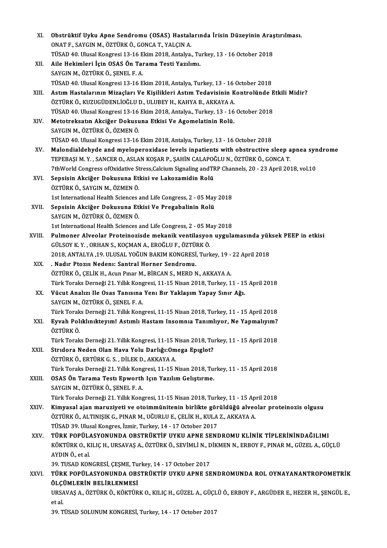| XI.    | Obstrüktif Uyku Apne Sendromu (OSAS) Hastalarında İrisin Düzeyinin Araştırılması.                                                     |
|--------|---------------------------------------------------------------------------------------------------------------------------------------|
|        | ONAT F., SAYGIN M., ÖZTÜRK Ö., GONCA T., YALÇIN A.                                                                                    |
|        | TÜSAD 40. Ulusal Kongresi 13-16 Ekim 2018, Antalya., Turkey, 13 - 16 October 2018                                                     |
| XII.   | Aile Hekimleri İçin OSAS Ön Tarama Testi Yazılımı.                                                                                    |
|        | SAYGIN M., ÖZTÜRK Ö., ŞENEL F. A.                                                                                                     |
|        | TÜSAD 40. Ulusal Kongresi 13-16 Ekim 2018, Antalya, Turkey, 13 - 16 October 2018                                                      |
| XIII.  | Astım Hastalarının Mizaçları Ve Kişilikleri Astım Tedavisinin Kontrolünde Etkili Midir?                                               |
|        | ÖZTÜRK Ö., KUZUGÜDENLİOĞLU D., ULUBEY H., KAHYA B., AKKAYA A.                                                                         |
|        | TÜSAD 40. Ulusal Kongresi 13-16 Ekim 2018, Antalya., Turkey, 13 - 16 October 2018                                                     |
| XIV.   | Metotreksatın Akciğer Dokusuna Etkisi Ve Agomelatinin Rolü.                                                                           |
|        | SAYGIN M., ÖZTÜRK Ö., ÖZMEN Ö.                                                                                                        |
|        | TÜSAD 40. Ulusal Kongresi 13-16 Ekim 2018, Antalya, Turkey, 13 - 16 October 2018                                                      |
| XV.    | Malondialdehyde and myeloperoxidase levels inpatients with obstructive sleep apnea syndrome                                           |
|        | TEPEBAŞI M.Y., SANCER O., ASLAN KOŞAR P., ŞAHİN CALAPOĞLU N., ÖZTÜRK Ö., GONCA T.                                                     |
|        | 7thWorld Congress ofOxidative Stress, Calcium Signaling and TRP Channels, 20 - 23 April 2018, vol.10                                  |
| XVI.   | Sepsisin Akciğer Dokusuna Etkisi ve Lakozamidin Rolü                                                                                  |
|        | ÖZTÜRK Ö., SAYGIN M., ÖZMEN Ö.                                                                                                        |
|        | 1st International Health Sciences and Life Congress, 2 - 05 May 2018                                                                  |
| XVII.  | Sepsisin Akciğer Dokusuna Etkisi Ve Pregabalinin Rolü<br>SAYGIN M., ÖZTÜRK Ö., ÖZMEN Ö.                                               |
|        | 1st International Health Sciences and Life Congress, 2 - 05 May 2018                                                                  |
| XVIII. | Pulmoner Alveolar Proteinozisde mekanik ventilasyon uygulamasında yüksek PEEP in etkisi                                               |
|        | GÜLSOY K.Y., ORHAN S., KOÇMAN A., EROĞLU F., ÖZTÜRK Ö.                                                                                |
|        | 2018, ANTALYA ,19. ULUSAL YOĞUN BAKIM KONGRESİ, Turkey, 19 - 22 April 2018                                                            |
| XIX.   | . Nadır Ptozis Nedeni: Santral Horner Sendromu.                                                                                       |
|        | ÖZTÜRK Ö., ÇELİK H., Acun Pınar M., BİRCAN S., MERD N., AKKAYA A.                                                                     |
|        | Türk Toraks Derneği 21. Yıllık Kongresi, 11-15 Nisan 2018, Turkey, 11 - 15 April 2018                                                 |
| XX.    | Vücut Analızı Ile Osas Tanısına Yenı Bır Yaklaşım Yapay Sınır Ağı.                                                                    |
|        | SAYGIN M. ÖZTÜRK Ö. SENEL F. A.                                                                                                       |
|        | Türk Toraks Derneği 21. Yıllık Kongresi, 11-15 Nisan 2018, Turkey, 11 - 15 April 2018                                                 |
| XXI.   | Eyvah Poliklinikteyim! Astimli Hastam Insomnia Tanımlıyor, Ne Yapmalıyım?                                                             |
|        | ÖZTÜRK Ö                                                                                                                              |
|        | Türk Toraks Derneği 21. Yıllık Kongresi, 11-15 Nisan 2018, Turkey, 11 - 15 April 2018                                                 |
| XXII.  | Stridora Neden Olan Hava Yolu Darlığı: Omega Epiglot?                                                                                 |
|        | ÖZTÜRK Ö., ERTÜRK G. S., DİLEK D., AKKAYA A.<br>Türk Toraks Derneği 21. Yıllık Kongresi, 11-15 Nisan 2018, Turkey, 11 - 15 April 2018 |
| XXIII. | OSAS Ön Tarama Testı Epworth Içın Yazılım Geliştirme.                                                                                 |
|        | SAYGIN M., ÖZTÜRK Ö., ŞENEL F. A.                                                                                                     |
|        | Türk Toraks Derneği 21. Yıllık Kongresi, 11-15 Nisan 2018, Turkey, 11 - 15 April 2018                                                 |
| XXIV.  | Kimyasal ajan maruziyeti ve otoimmünitenin birlikte görüldüğü alveolar proteinozis olgusu                                             |
|        | ÖZTÜRK Ö., ALTINIŞIK G., PINAR M., UĞURLU E., ÇELİK H., KULA Z., AKKAYA A.                                                            |
|        | TÜSAD 39. Ulusal Kongres, İzmir, Turkey, 14 - 17 October 2017                                                                         |
| XXV.   | TÜRK POPÜLASYONUNDA OBSTRÜKTİF UYKU APNE SENDROMU KLİNİK TİPLERİNİNDAĞILIMI                                                           |
|        | KÖKTÜRK O., KILIÇ H., URSAVAŞ A., ÖZTÜRK Ö., SEVİMLİ N., DİKMEN N., ERBOY F., PINAR M., GÜZEL A., GÜÇLÜ                               |
|        | AYDIN Ö., et al.                                                                                                                      |
|        | 39. TUSAD KONGRESİ, ÇEŞME, Turkey, 14 - 17 October 2017                                                                               |
| XXVI.  | TÜRK POPÜLASYONUNDA OBSTRÜKTİF UYKU APNE SENDROMUNDA ROL OYNAYANANTROPOMETRİK                                                         |
|        | ÖLÇÜMLERİN BELİRLENMESİ                                                                                                               |
|        | URSAVAŞ A., ÖZTÜRK Ö., KÖKTÜRK O., KILIÇ H., GÜZEL A., GÜÇLÜ Ö., ERBOY F., ARGÜDER E., HEZER H., ŞENGÜL E.,                           |
|        | et al.                                                                                                                                |
|        | 39. TÜSAD SOLUNUM KONGRESİ, Turkey, 14 - 17 October 2017                                                                              |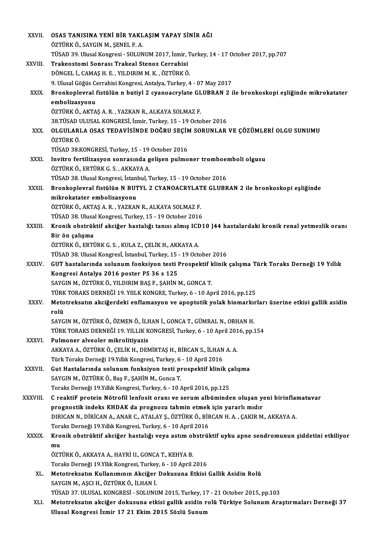| <b>XXVII</b> | OSAS TANISINA YENİ BİR YAKLAŞIM YAPAY SİNİR AĞI                                                                           |
|--------------|---------------------------------------------------------------------------------------------------------------------------|
|              | ÖZTÜRK Ö., SAYGIN M., ŞENEL F. A.                                                                                         |
|              | TÜSAD 39. Ulusal Kongresi - SOLUNUM 2017, İzmir, Turkey, 14 - 17 October 2017, pp.707                                     |
| XXVIII.      | Trakeostomi Sonrası Trakeal Stenoz Cerrahisi                                                                              |
|              | DÖNGEL İ., CAMAŞ H. E., YILDIRIM M. K., ÖZTÜRK Ö.                                                                         |
|              | 9. Ulusal Göğüs Cerrahisi Kongresi, Antalya, Turkey, 4 - 07 May 2017                                                      |
| XXIX.        | Bronkoplevral fistülün n butiyl 2 cyanoacrylate GLUBRAN 2 ile bronkoskopi eşliğinde mikrokatater                          |
|              | embolizasyonu                                                                                                             |
|              | ÖZTÜRK Ö., AKTAŞ A. R., YAZKAN R., ALKAYA SOLMAZ F.                                                                       |
|              | 38. TÜSAD ULUSAL KONGRESİ, İzmir, Turkey, 15 - 19 October 2016                                                            |
| XXX.         | OLGULARLA OSAS TEDAVISINDE DOĞRU SEÇIM SORUNLAR VE ÇÖZÜMLERİ OLGU SUNUMU                                                  |
|              | ÖZTÜRK Ö                                                                                                                  |
|              | TÜSAD 38 KONGRESİ, Turkey, 15 - 19 October 2016                                                                           |
| XXXI.        | Invitro fertilizasyon sonrasında gelişen pulmoner tromboemboli olgusu                                                     |
|              | ÖZTÜRK Ö., ERTÜRK G. S., AKKAYA A.                                                                                        |
|              | TÜSAD 38. Ulusal Kongresi, İstanbul, Turkey, 15 - 19 October 2016                                                         |
| <b>XXXII</b> | Bronkoplevral fistülün N BUTYL 2 CYANOACRYLATE GLUBRAN 2 ile bronkoskopi eşliğinde                                        |
|              | mikrokatater embolizasyonu                                                                                                |
|              | ÖZTÜRK Ö., AKTAŞ A. R., YAZKAN R., ALKAYA SOLMAZ F.                                                                       |
|              | TÜSAD 38. Ulusal Kongresi, Turkey, 15 - 19 October 2016                                                                   |
| XXXIII.      | Kronik obstrüktif akciğer hastalığı tanısı almış ICD10 J44 hastalardaki kronik renal yetmezlik oranı                      |
|              | Bir ön çalışma                                                                                                            |
|              | ÖZTÜRK Ö., ERTÜRK G. S., KULA Z., ÇELİK H., AKKAYA A.                                                                     |
|              | TÜSAD 38. Ulusal Kongresİ, İstanbul, Turkey, 15 - 19 October 2016                                                         |
| <b>XXXIV</b> | GUT hastalarında solunum fonksiyon testi Prospektif klinik çalışma Türk Toraks Derneği 19 Yıllık                          |
|              | Kongresi Antalya 2016 poster PS 36 s 125                                                                                  |
|              | SAYGIN M., ÖZTÜRK Ö., YILDIRIM BAŞ F., ŞAHİN M., GONCA T.                                                                 |
|              | TÜRK TORAKS DERNEĞİ 19. YIILK KONGRE, Turkey, 6 - 10 April 2016, pp.125                                                   |
| <b>XXXV</b>  | Metotreksatın akciğerdeki enflamasyon ve apoptotik yolak biomarkırları üzerine etkisi gallik asidin                       |
|              | rolü                                                                                                                      |
|              | SAYGIN M., ÖZTÜRK Ö., ÖZMEN Ö., İLHAN İ., GONCA T., GÜMRAL N., ORHAN H.                                                   |
|              | TÜRK TORAKS DERNEĞİ 19. YILLIK KONGRESİ, Turkey, 6 - 10 April 2016, pp.154                                                |
| <b>XXXVI</b> | Pulmoner alveoler mikrolitiyazis                                                                                          |
|              | AKKAYA A., ÖZTÜRK Ö., ÇELİK H., DEMİRTAŞ H., BİRCAN S., İLHAN A. A.                                                       |
|              | Türk Toraks Derneği 19.Yıllık Kongresi, Turkey, 6 - 10 April 2016                                                         |
| XXXVII.      | Gut Hastalarında solunum fonksiyon testi prospektif klinik çalışma                                                        |
|              | SAYGIN M., ÖZTÜRK Ö., Baş F., ŞAHİN M., Gonca T.                                                                          |
|              | Toraks Derneği 19.Yıllık Kongresi, Turkey, 6 - 10 April 2016, pp.125                                                      |
| XXXVIII.     | C reaktiF protein Nötrofil lenfosit oranı ve serum albüminden oluşan yeni birinflamatuvar                                 |
|              | prognostik indeks KHDAK da prognozu tahmin etmek için yararlı mıdır                                                       |
|              | DIRICAN N., DIRICAN A., ANAR C., ATALAY Ş., ÖZTÜRK Ö., BIRCAN H. A., ÇAKIR M., AKKAYA A.                                  |
|              | Toraks Derneği 19 Yıllık Kongresi, Turkey, 6 - 10 April 2016                                                              |
| <b>XXXIX</b> | Kronik obstrüktif akciğer hastalığı veya astım obstrüktif uyku apne sendromunun şiddetini etkiliyor                       |
|              | mu                                                                                                                        |
|              | ÖZTÜRK Ö., AKKAYA A., HAYRİ U., GONCA T., KEHYA B.                                                                        |
|              | Toraks Derneği 19 Yllık Kongresi, Turkey, 6 - 10 April 2016                                                               |
| XL.          | Metotreksatın Kullanımının Akciğer Dokusuna Etkisi Gallik Asidin Rolü                                                     |
|              | SAYGIN M., AŞCI H., ÖZTÜRK Ö., İLHAN İ.<br>TÜSAD 37. ULUSAL KONGRESİ - SOLUNUM 2015, Turkey, 17 - 21 October 2015, pp.103 |
| XLI.         | Metotreksatın akciğer dokusuna etkisi gallik asidin rolü Türkiye Solunum Araştırmaları Derneği 37                         |
|              | Ulusal Kongresi İzmir 17 21 Ekim 2015 Sözlü Sunum                                                                         |
|              |                                                                                                                           |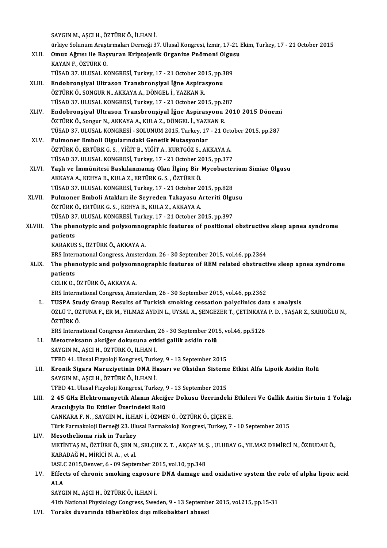SAYGINM.,AŞCIH.,ÖZTÜRKÖ., İLHANİ.

- ürkiye SolunumAraştırmalarıDerneği37.UlusalKongresi, İzmir,17-21Ekim,Turkey,17 -21October 2015 XLI . Omuz Ağrısı ile Başvuran Kriptojenik Organize Pnömoni Olgusu
	- ürkiye Solunum Araşt<br>**Omuz Ağrısı ile Baş**<br>KAYAN F., ÖZTÜRK Ö.<br>TÜSAD 27 JUJISAL *VI* KAYAN F., ÖZTÜRK Ö.<br>TÜSAD 37. ULUSAL KONGRESİ, Turkey, 17 - 21 October 2015, pp.389
- XLIII. Endobronşiyal Ultrason Transbronşiyal İğne Aspirasyonu TÜSAD 37. ULUSAL KONGRESİ, Turkey, 17 - 21 October 20.<br><mark>Endobronşiyal Ultrason Transbronşiyal İğne Aspira</mark>.<br>ÖZTÜRK Ö., SONGUR N., AKKAYA A., DÖNGEL İ., YAZKAN R.<br>TÜSAD 27. ULUSAL KONGRESİ Turkov. 17 - 21 Ostober 20. Endobronşiyal Ultrason Transbronşiyal İğne Aspirasyonu<br>ÖZTÜRK Ö., SONGUR N., AKKAYA A., DÖNGEL İ., YAZKAN R.<br>TÜSAD 37. ULUSAL KONGRESİ, Turkey, 17 - 21 October 2015, pp.287<br>Endobronsiyal Ultrason Transbronsiyal İğne Aspira
- XLIV. Endobronşiyal Ultrason Transbronşiyal İğne Aspirasyonu 2010 2015 Dönemi ÖZTÜRK Ö., Songur N., AKKAYA A., KULA Z., DÖNGEL İ., YAZKAN R. Endobronşiyal Ultrason Transbronşiyal İğne Aspirasyonu 2010 2015 Dönemi<br>ÖZTÜRK Ö., Songur N., AKKAYA A., KULA Z., DÖNGEL İ., YAZKAN R.<br>TÜSAD 37. ULUSAL KONGRESİ - SOLUNUM 2015, Turkey, 17 - 21 October 2015, pp.287<br>Pulmanar
- XLV. Pulmoner Emboli Olgularındaki Genetik Mutasyonlar<br>ÖZTÜRK Ö., ERTÜRK G. S., YİĞİT B., YİĞİT A., KURTGÖZ S., AKKAYA A. TÜSAD 37. ULUSAL KONGRESİ - SOLUNUM 2015, Turkey, 17 - 21 Octorial Pulmoner Emboli Olgularındaki Genetik Mutasyonlar<br>ÖZTÜRK Ö., ERTÜRK G. S. , YİĞİT B., YİĞİT A., KURTGÖZ S., AKKAYA A.<br>TÜSAD 27. ULUSAL KONGRESİ Turkov. 17. Pulmoner Emboli Olgularındaki Genetik Mutasyonlar<br>ÖZTÜRK Ö., ERTÜRK G. S. , YİĞİT B., YİĞİT A., KURTGÖZ S., AKKAYA A.<br>TÜSAD 37. ULUSAL KONGRESİ, Turkey, 17 - 21 October 2015, pp.377<br>Yesli ve İmmünitesi Baskılanmamıs Olan İ ÖZTÜRK Ö., ERTÜRK G. S. , YİĞİT B., YİĞİT A., KURTGÖZ S., AKKAYA A.<br>TÜSAD 37. ULUSAL KONGRESİ, Turkey, 17 - 21 October 2015, pp.377<br>XLVI. Yaşlı ve İmmünitesi Baskılanmamış Olan İlginç Bir Mycobacterium Simiae Olgusu
- TÜSAD 37. ULUSAL KONGRESİ, Turkey, 17 21 October 2<br>Yaşlı ve İmmünitesi Baskılanmamış Olan İlginç Bir<br>AKKAYA A., KEHYA B., KULA Z., ERTÜRK G. S. , ÖZTÜRK Ö.<br>TÜSAD 27. ULUSAL KONGRESİ Turkey 17 21 Ostabar 2. Yaşlı ve İmmünitesi Baskılanmamış Olan İlginç Bir Mycobacteı<br>AKKAYA A., KEHYA B., KULA Z., ERTÜRK G. S. , ÖZTÜRK Ö.<br>TÜSAD 37. ULUSAL KONGRESİ, Turkey, 17 - 21 October 2015, pp.828<br>Bulmanar Embali Atakları ilə Sayından Taka AKKAYA A., KEHYA B., KULA Z., ERTÜRK G. S. , ÖZTÜRK Ö.<br>TÜSAD 37. ULUSAL KONGRESİ, Turkey, 17 - 21 October 2015, pp.828<br>XLVII. Pulmoner Emboli Atakları ile Seyreden Takayasu Arteriti Olgusu<br>ÖZTÜRK Ö., ERTÜRK G. S. , KEH TÜSAD 37. ULUSAL KONGRESİ, Turkey, 17 - 21 October 2015, pp.828
- Pulmoner Emboli Atakları ile Seyreden Takayasu Arteriti Olgu<br>ÖZTÜRK Ö., ERTÜRK G. S. , KEHYA B., KULA Z., AKKAYA A.<br>TÜSAD 37. ULUSAL KONGRESİ, Turkey, 17 21 October 2015, pp.397<br>The phenotunis and nolusemnographis fostun
- XLVIII. The phenotypic and polysomnographic features of positional obstructive sleep apnea syndrome<br>patients TÜSAD 37<br>The phen<br>patients<br>KARAKUS patients<br>KARAKUS S., ÖZTÜRK Ö., AKKAYA A.<br>ERS International Congress, Amsterdam, 26 - 30 September 2015, vol.46, pp.2364<br>The phenotunis and polysempegraphic features of PEM related obstructi

KARAKUS S.,ÖZTÜRKÖ.,AKKAYAA.

KARAKUS S., ÖZTÜRK Ö., AKKAYA A.<br>ERS International Congress, Amsterdam, 26 - 30 September 2015, vol.46, pp.2364<br>XLIX. The phenotypic and polysomnographic features of REM related obstructive sleep apnea syndrome<br>nationt ERS Inter<br>The phen<br>patients<br>CELIK O The phenotypic and polysom<br>patients<br>CELIK O., ÖZTÜRK Ö., AKKAYA A.<br>EPS International Congress, Ame patients<br>CELIK O., ÖZTÜRK Ö., AKKAYA A.<br>ERS International Congress, Amsterdam, 26 - 30 September 2015, vol.46, pp.2362

CELIK O., ÖZTÜRK Ö., AKKAYA A.<br>ERS International Congress, Amsterdam, 26 - 30 September 2015, vol.46, pp.2362<br>L. TUSPA Study Group Results of Turkish smoking cessation polyclinics data s analysis<br>ÖZLÜT, ÖZTUNA E. ER M. VU ÖZLÜ T., ÖZTUNA F., ER M., YILMAZ AYDIN L., UYSAL A., ŞENGEZER T., ÇETİNKAYA P. D. , YAŞAR Z., SARIOĞLU N.,<br>ÖZTÜRK Ö. <mark>TUSPA Stu</mark><br>ÖZLÜ T., ÖZ<br>ÖZTÜRK Ö.<br>EPS Interne ÖZLÜ T., ÖZTUNA F., ER M., YILMAZ AYDIN L., UYSAL A., ŞENGEZER T., ÇETİNKAYA<br>ÖZTÜRK Ö.<br>ERS International Congress Amsterdam, 26 - 30 September 2015, vol.46, pp.5126<br>Matatrakastın aksiğan dakusuna atkisi gallik asidin ralı.

LI. Metotreksatın akciğer dokusuna etkisi gallik asidin rolü<br>SAYGIN M., AŞCI H., ÖZTÜRK Ö., İLHAN İ.

ERS International Congress Amsterdam,<br>Metotreksatın akciğer dokusuna etk<br>SAYGIN M., AŞCI H., ÖZTÜRK Ö., İLHAN İ.<br>TEPD 41, Ulusel Eirveleji Kensusci Turk Metotreksatın akciğer dokusuna etkisi gallik asidin rolü<br>SAYGIN M., AŞCI H., ÖZTÜRK Ö., İLHAN İ.<br>TFBD 41. Ulusal Fizyoloji Kongresi, Turkey, 9 - 13 September 2015<br>Knonik Sizona Manuriyatinin DNA Hasanı ve Oksidan Sistema

LII. Kronik Sigara Maruziyetinin DNA Hasarı ve Oksidan Sisteme Etkisi Alfa Lipoik Asidin Rolü<br>SAYGIN M., AŞCI H., ÖZTÜRK Ö., İLHAN İ. TFBD 41. Ulusal Fizyoloji Kongresi, Turk<br><mark>Kronik Sigara Maruziyetinin DNA H</mark>:<br>SAYGIN M., AŞCI H., ÖZTÜRK Ö., İLHAN İ.<br>TEPD 41. Ulusal Fizyoloji Kongresi, Turk Kronik Sigara Maruziyetinin DNA Hasarı ve Oksidan Sisteme<br>SAYGIN M., AŞCI H., ÖZTÜRK Ö., İLHAN İ.<br>TFBD 41. Ulusal Fizyoloji Kongresi, Turkey, 9 - 13 September 2015<br>2.45 GHz Elektromanyatik Alanın Aksiğer Dokusu Üzerindel

- LIII. 245 GHz Elektromanyetik Alanın Akciğer Dokusu Üzerindeki Etkileri Ve Gallik Asitin Sirtuin 1 Yolağı<br>Aracılığıyla Bu Etkiler Üzerindeki Rolü TFBD 41. Ulusal Fizyoloji Kongresi, Turkey, ?<br>2 45 GHz Elektromanyetik Alanın Akciğ<br>Aracılığıyla Bu Etkiler Üzerindeki Rolü<br>CANKARA E N. SAYCIN M. İLHAN İ. ÖZMEL CANKARAF.N. ,SAYGINM., İLHANİ.,ÖZMENÖ.,ÖZTÜRKÖ.,ÇİÇEKE. TürkFarmakolojiDerneği23.UlusalFarmakolojiKongresi,Turkey,7 -10 September 2015
- LIV. Mesothelioma risk in Turkey Türk Farmakoloji Derneği 23. Ulusal Farmakoloji Kongresi, Turkey, 7 - 10 September 2015<br><mark>Mesothelioma risk in Turkey</mark><br>METİNTAŞ M., ÖZTÜRK Ö., ŞEN N., SELÇUK Z. T. , AKÇAY M. Ş. , ULUBAY G., YILMAZ DEMİRCİ N., ÖZBUDAK Ö.,<br>K Mesothelioma risk in Turkey<br>METİNTAŞ M., ÖZTÜRK Ö., ŞEN N<br>KARADAĞ M., MİRİCİ N. A. , et al.<br>14SLC 2015 Denyer 6, .00 Sente METİNTAŞ M., ÖZTÜRK Ö., ŞEN N., SELÇUK Z. T. , AKÇAY M. Ş<br>KARADAĞ M., MİRİCİ N. A. , et al.<br>IASLC 2015,Denver, 6 - 09 September 2015, vol.10, pp.348<br>Effects of shranis smaking aynosuna DNA damage ar KARADAĞ M., MİRİCİ N. A. , et al.<br>IASLC 2015,Denver, 6 - 09 September 2015, vol.10, pp.348<br>LV. Effects of chronic smoking exposure DNA damage and oxidative system the role of alpha lipoic acid
- IASLC 2015, Denver, 6 09 September 2015, vol.10, pp.348<br>Effects of chronic smoking exposure DNA damage an<br>ALA<br>SAYGIN M., ASCI H., ÖZTÜRK Ö., İLHAN İ. Effects of chronic smoking exposure<br>ALA<br>SAYGIN M., AŞCI H., ÖZTÜRK Ö., İLHAN İ.<br>41th National Physiology Congress, Syre

41th National Physiology Congress, Sweden, 9 - 13 September 2015, vol.215, pp.15-31

LVI. Toraks duvarında tüberküloz dışımikobakteri absesi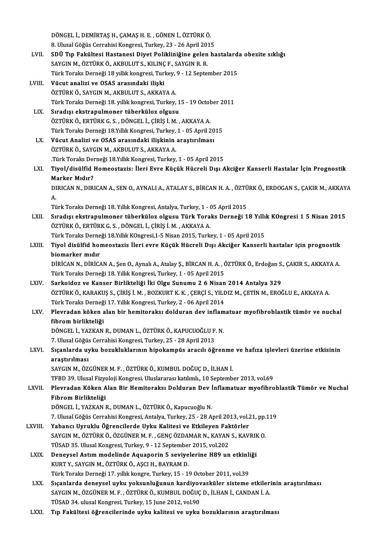|         | DÖNGEL İ., DEMİRTAŞ H., ÇAMAŞ H. E., GÖNEN İ., ÖZTÜRK Ö.                                                             |
|---------|----------------------------------------------------------------------------------------------------------------------|
|         | 8. Ulusal Göğüs Cerrahisi Kongresi, Turkey, 23 - 26 April 2015                                                       |
| LVII.   | SDÜ Tıp Fakültesi Hastanesi Diyet Polikliniğine gelen hastalarda obezite sıklığı                                     |
|         | SAYGIN M., ÖZTÜRK Ö., AKBULUT S., KILINÇ F., SAYGIN R. R.                                                            |
|         | Türk Toraks Derneği 18 yıllık kongresi, Turkey, 9 - 12 September 2015                                                |
| LVIII.  | Vücut analizi ve OSAS arasındaki ilişki                                                                              |
|         | ÖZTÜRK Ö., SAYGIN M., AKBULUT S., AKKAYA A.                                                                          |
|         | Türk Toraks Derneği 18. yıllık kongresi, Turkey, 15 - 19 October 2011                                                |
| LIX.    | Sıradışı ekstrapulmoner tüberküloz olgusu                                                                            |
|         | ÖZTÜRK Ö., ERTÜRK G. S., DÖNGEL İ., ÇİRİŞ İ. M., AKKAYA A.                                                           |
|         | Türk Toraks Derneği 18 Yıllık Kongresi, Turkey, 1 - 05 April 2015                                                    |
| LX.     | Vücut Analizi ve OSAS arasındaki ilişkinin araştırılması                                                             |
|         | ÖZTÜRK Ö., SAYGIN M., AKBULUT S., AKKAYA A.                                                                          |
|         | Türk Toraks Derneği 18 Yıllık Kongresi, Turkey, 1 - 05 April 2015                                                    |
| LXI.    | Tiyol/disülfid Homeostazis: İleri Evre Küçük Hücreli Dışı Akciğer Kanserli Hastalar İçin Prognostik                  |
|         | Marker Midir?                                                                                                        |
|         | DIRICAN N., DIRICAN A., SEN O., AYNALI A., ATALAY S., BİRCAN H. A., ÖZTÜRK Ö., ERDOGAN S., ÇAKIR M., AKKAYA          |
|         | А.                                                                                                                   |
|         | Türk Toraks Derneği 18. Yıllık Kongresi, Antalya, Turkey, 1 - 05 April 2015                                          |
| LXII.   | Sıradışı ekstrapulmoner tüberküloz olgusu Türk Toraks Derneği 18 Yıllık KOngresi 1 5 Nisan 2015                      |
|         | ÖZTÜRK Ö., ERTÜRK G. S. , DÖNGEL İ., ÇİRİŞ İ. M. , AKKAYA A.                                                         |
|         | Türk Toraks Derneği 18.Yıllık KOngresi,1-5 Nisan 2015, Turkey, 1 - 05 April 2015                                     |
| LXIII.  | Tiyol disülfid homeostazis İleri evre Küçük Hücreli Dışı Akciğer Kanserli hastalar için prognostik                   |
|         | biomarker mıdır                                                                                                      |
|         | DİRİCAN N., DİRİCAN A., Şen O., Aynalı A., Atalay Ş., BİRCAN H. A., ÖZTÜRK Ö., Erdoğan S., ÇAKIR S., AKKAYA A.       |
|         | Türk Toraks Derneği 18. Yıllık Kongresi, Turkey, 1 - 05 April 2015                                                   |
| LXIV.   | Sarkoidoz ve Kanser Birlikteliği İki Olgu Sunumu 2 6 Nisan 2014 Antalya 329                                          |
|         | ÖZTÜRK Ö., KARAKUŞ S., ÇİRİŞ İ. M. , BOZKURT K. K. , ÇERÇİ S., YILDIZ M., ÇETİN M., EROĞLU E., AKKAYA A.             |
|         | Türk Toraks Derneği 17. Yıllık Kongresi, Turkey, 2 - 06 April 2014                                                   |
| LXV.    | Plevradan köken alan bir hemitoraksı dolduran dev inflamatuar myofibroblastik tümör ve nuchal<br>fibrom birlikteliği |
|         | DÖNGEL İ., YAZKAN R., DUMAN L., ÖZTÜRK Ö., KAPUCUOĞLU F. N.                                                          |
|         | 7. Ulusal Göğüs Cerrahisi Kongresi, Turkey, 25 - 28 April 2013                                                       |
| LXVI.   | Sıçanlarda uyku bozukluklarının hipokampüs aracılı öğrenme ve hafıza işlevleri üzerine etkisinin                     |
|         | araştırılması                                                                                                        |
|         | SAYGIN M., ÖZGÜNER M. F., ÖZTÜRK Ö., KUMBUL DOĞUÇ D., İLHAN İ.                                                       |
|         | TFBD 39. Ulusal Fizyoloji Kongresi. Uluslararası katılımlı., 10 September 2013, vol.69                               |
| LXVII.  | Plevradan Köken Alan Bir Hemitoraksı Dolduran Dev İnflamatuar myofibroblastik Tümör ve Nuchal                        |
|         | Fibrom Birlikteliği                                                                                                  |
|         | DÖNGEL İ., YAZKAN R., DUMAN L., ÖZTÜRK Ö., Kapucuoğlu N.                                                             |
|         | 7. Ulusal Göğüs Cerrahisi Kongresi, Antalya, Turkey, 25 - 28 April 2013, vol.21, pp.119                              |
| LXVIII. | Yabancı Uyruklu Öğrencilerde Uyku Kalitesi ve Etkileyen Faktörler                                                    |
|         | SAYGIN M., ÖZTÜRK Ö., ÖZGÜNER M. F. , GENÇ ÖZDAMAR N., KAYAN S., KAVRIK O.                                           |
|         | TÜSAD 35. Ulusal Kongresi, Turkey, 9 - 12 September 2015, vol.202                                                    |
| LXIX.   | Deneysel Astım modelinde Aquaporin 5 seviyelerine H89 un etkinliği                                                   |
|         | KURT Y., SAYGIN M., ÖZTÜRK Ö., AŞCI H., BAYRAM D.                                                                    |
|         | Türk Toraks Derneği 17. yıllık kongre, Turkey, 15 - 19 October 2011, vol.39                                          |
| LXX.    | Sıçanlarda deneysel uyku yoksunluğunun kardiyovasküler sisteme etkilerinin araştırılması                             |
|         | SAYGIN M., ÖZGÜNER M. F., ÖZTÜRK Ö., KUMBUL DOĞUÇ D., İLHAN İ., CANDAN İ. A.                                         |
|         | TÜSAD 34. ulusal Kongresi, Turkey, 15 June 2012, vol.90                                                              |
| LXXI.   | Tıp Fakültesi öğrencilerinde uyku kalitesi ve uyku bozuklarının araştırılması                                        |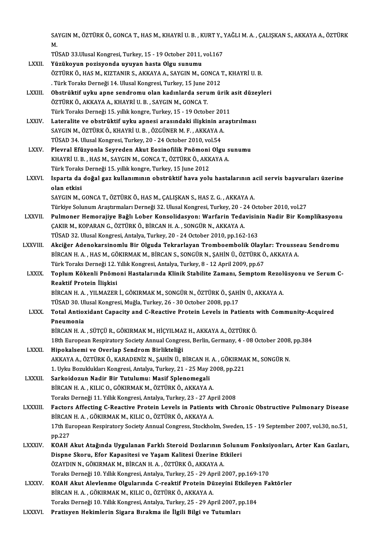SAYGIN M., ÖZTÜRK Ö., GONCA T., HAS M., KHAYRİ U. B. , KURT Y., YAĞLI M. A. , ÇALIŞKAN S., AKKAYA A., ÖZTÜRK<br>M SA<br>M<br>ייד SAYGIN M., ÖZTÜRK Ö., GONCA T., HAS M., KHAYRİ U. B. , KURT Y., '<br>M.<br>TÜSAD 33.Ulusal Kongresi, Turkey, 15 - 19 October 2011, vol.167<br>Yüzükonun posisyonda uyuyan basta Olsu sunumu

- M.<br>167 . TÜSAD 33.Ulusal Kongresi, Turkey, 15 19 October 2011, vol.167<br>167 . LXXII. Yüzükoyun pozisyonda uyuyan hasta Olgu sunumu TÜSAD 33.Ulusal Kongresi, Turkey, 15 - 19 October 2011, vol.167<br>Yüzükoyun pozisyonda uyuyan hasta Olgu sunumu<br>ÖZTÜRK Ö., HAS M., KIZTANIR S., AKKAYA A., SAYGIN M., GONCA T., KHAYRİ U. B.<br>Türk Toraks Derneği 14 Ulusal Kongr Yüzükoyun pozisyonda uyuyan hasta Olgu sunumu<br>ÖZTÜRK Ö., HAS M., KIZTANIR S., AKKAYA A., SAYGIN M., GONCA 7<br>. Türk Toraks Derneği 14. Ulusal Kongresi, Turkey, 15 June 2012<br>Obstrüktif uyku anna sandramu alan kadınlarda saru ÖZTÜRK Ö., HAS M., KIZTANIR S., AKKAYA A., SAYGIN M., GONCA T., KHAYRİ U. B.<br>Türk Toraks Derneği 14. Ulusal Kongresi, Turkey, 15 June 2012.<br>LXXIII. Obstrüktif uyku apne sendromu olan kadınlarda serum ürik asit düzeyler
- . Türk Toraks Derneği 14. Ulusal Kongresi, Turkey, 15 June 2<br>Obstrüktif uyku apne sendromu olan kadınlarda seru<br>ÖZTÜRK Ö., AKKAYA A., KHAYRİ U. B. , SAYGIN M., GONCA T.<br>Türk Toraks Derneği 15. yıllık kongre Turkey, 15., 19 Obstrüktif uyku apne sendromu olan kadınlarda serum ürik<br>ÖZTÜRK Ö., AKKAYA A., KHAYRİ U. B. , SAYGIN M., GONCA T.<br>Türk Toraks Derneği 15. yıllık kongre, Turkey, 15 - 19 October 2011<br>Lataralita ve ebstrüktif uyku annesi ara ÖZTÜRK Ö., AKKAYA A., KHAYRİ U. B. , SAYGIN M., GONCA T.<br>Türk Toraks Derneği 15. yıllık kongre, Turkey, 15 - 19 October 2011<br>LXXIV. Lateralite ve obstrüktif uyku apnesi arasındaki ilişkinin araştırılması<br>SAVCIN M. ÖZTÜNE Ö
- Türk Toraks Derneği 15. yıllık kongre, Turkey, 15 19 October 201<br>Lateralite ve obstrüktif uyku apnesi arasındaki ilişkinin ar<br>SAYGIN M., ÖZTÜRK Ö., KHAYRİ U. B. , ÖZGÜNER M. F. , AKKAYA A.<br>TÜSAD 24. Ulusel Kongresi Turke Lateralite ve obstrüktif uyku apnesi arasındaki ilişkinin al<br>SAYGIN M., ÖZTÜRK Ö., KHAYRİ U. B. , ÖZGÜNER M. F. , AKKAYA A<br>TÜSAD 34. Ulusal Kongresi, Turkey, 20 - 24 October 2010, vol.54<br>Blaural Efüzyenle Souredon Akut Eoz SAYGIN M., ÖZTÜRK Ö., KHAYRİ U. B. , ÖZGÜNER M. F. , AKKAYA A.<br>TÜSAD 34. Ulusal Kongresi, Turkey, 20 - 24 October 2010, vol.54<br>LXXV. Plevral Efüzyonla Seyreden Akut Eozinofilik Pnömoni Olgu sunumu
- TÜSAD 34. Ulusal Kongresi, Turkey, 20 24 October 2010, vol.54<br>Plevral Efüzyonla Seyreden Akut Eozinofilik Pnömoni Olgu s<br>KHAYRİ U. B. , HAS M., SAYGIN M., GONCA T., ÖZTÜRK Ö., AKKAYA A.<br>Türk Toreks Derneği 15. yıllık kon Plevral Efüzyonla Seyreden Akut Eozinofilik Pnömoni<br>KHAYRİ U. B. , HAS M., SAYGIN M., GONCA T., ÖZTÜRK Ö., AKK<br>Türk Toraks Derneği 15. yıllık kongre, Turkey, 15 June 2012<br>Japarta da dağal gaz kullanımının abetrülttif have
- KHAYRİ U. B. , HAS M., SAYGIN M., GONCA T., ÖZTÜRK Ö., AKKAYA A.<br>Türk Toraks Derneği 15. yıllık kongre, Turkey, 15 June 2012<br>LXXVI. Isparta da doğal gaz kullanımının obstrüktif hava yolu hastalarının acil servis başvur Türk Toraks Derneği 15. yıllık kongre, Turkey, 15 June 2012<br>Isparta da doğal gaz kullanımının obstrüktif hava yolu hastalarının a<br>olan etkisi<br>SAYGIN M., GONCA T., ÖZTÜRK Ö., HAS M., CALISKAN S., HAS Z. G. , AKKAYA A. Isparta da doğal gaz kullanımının obstrüktif hava yolu hastalarının a<br>olan etkisi<br>SAYGIN M., GONCA T., ÖZTÜRK Ö., HAS M., ÇALIŞKAN S., HAS Z. G. , AKKAYA A.<br>Türkiye Solunum Arestumaları Derneği 32 Ulusel Konspesi Turkey 30

Türkiye SolunumAraştırmalarıDerneği32.UlusalKongresi,Turkey,20 -24October 2010,vol.27

- SAYGIN M., GONCA T., ÖZTÜRK Ö., HAS M., ÇALIŞKAN S., HAS Z. G. , AKKAYA A.<br>Türkiye Solunum Araştırmaları Derneği 32. Ulusal Kongresi, Turkey, 20 24 October 2010, vol.27<br>LXXVII. Pulmoner Hemorajiye Bağlı Lober Konsolidasy Türkiye Solunum Araştırmaları Derneği 32. Ulusal Kongresi, Turkey, 20 - 2<br>Pulmoner Hemorajiye Bağlı Lober Konsolidasyon: Warfarin Teda<br>ÇAKIR M., KOPARAN G., ÖZTÜRK Ö., BİRCAN H. A. , SONGÜR N., AKKAYA A.<br>TÜSAD 32. Ulusal K Pulmoner Hemorajiye Bağlı Lober Konsolidasyon: Warfarin Tedavisin<br>ÇAKIR M., KOPARAN G., ÖZTÜRK Ö., BİRCAN H. A. , SONGÜR N., AKKAYA A.<br>TÜSAD 32. Ulusal Kongresi, Antalya, Turkey, 20 - 24 October 2010, pp.162-163<br>Aksiğer Ad
	-
- CAKIR M., KOPARAN G., ÖZTÜRK Ö., BİRCAN H. A. , SONGÜR N., AKKAYA A.<br>TÜSAD 32. Ulusal Kongresi, Antalya, Turkey, 20 24 October 2010, pp.162-163<br>LXXVIII. Akciğer Adenokarsinomlu Bir Olguda Tekrarlayan Tromb TÜSAD 32. Ulusal Kongresi, Antalya, Turkey, 20 - 24 October 2010, pp.162-163<br><mark>Akciğer Adenokarsinomlu Bir Olguda Tekrarlayan Tromboembolik Olaylar: Trousse</mark><br>BİRCAN H. A. , HAS M., GÖKIRMAK M., BİRCAN S., SONGÜR N., ŞAHİN Ü Akciğer Adenokarsinomlu Bir Olguda Tekrarlayan Tromboembolik Olayl<br>BİRCAN H. A. , HAS M., GÖKIRMAK M., BİRCAN S., SONGÜR N., ŞAHİN Ü., ÖZTÜRK Ö<br>Türk Toraks Derneği 12. Yıllık Kongresi, Antalya, Turkey, 8 - 12 April 2009, p BİRCAN H. A. , HAS M., GÖKIRMAK M., BİRCAN S., SONGÜR N., ŞAHİN Ü., ÖZTÜRK Ö., AKKAYA A.<br>Türk Toraks Derneği 12. Yıllık Kongresi, Antalya, Turkey, 8 - 12 April 2009, pp.67<br>LXXIX. Toplum Kökenli Pnömoni Hastalarında Kli Türk Toraks Derneği 12. Yıllık Kongresi, Antalya, Turkey, 8 - 12 April 2009, pp.67
- Toplum Kökenli Pnömoni Hastalarında Klinik Stabilite Zamanı, Semptom Rezol<br>Reaktif Protein İlişkisi<br>BİRCAN H.A., YILMAZER İ., GÖKIRMAK M., SONGÜR N., ÖZTÜRK Ö., ŞAHİN Ü., AKKAYA A.<br>TÜSAD 20 Ulusel Kongresi Muğla Turkey, 26

Reaktif Protein İlişkisi<br>BİRCAN H. A. , YILMAZER İ., GÖKIRMAK M., SONGÜR N., ÖZTÜRK Ö., ŞAHİ<br>TÜSAD 30. Ulusal Kongresi, Muğla, Turkey, 26 - 30 October 2008, pp.17<br>Tetel Antioxident Conegity and G. Beastive Pretein Levele i TÜSAD 30. Ulusal Kongresi, Muğla, Turkey, 26 - 30 October 2008, pp.17

LXXX. Total Antioxidant Capacity and C-Reactive Protein Levels in Patients with Community-Acquired Total Antioxidant Capacity and C-Reactive Protein Levels in Patients<br>Pneumonia<br>BİRCAN H.A., SÜTÇÜ R., GÖKIRMAK M., HİÇYILMAZ H., AKKAYA A., ÖZTÜRK Ö.<br>18th European Bespiratory Sosisty Annual Consuess, Berlin Cormany 4, 08

18th European Respiratory Society Annual Congress, Berlin, Germany, 4 - 08 October 2008, pp.384<br>Hipokalsemi ve Overlap Sendrom Birlikteliği

- BİRCAN H. A., SÜTÇÜ R., GÖKIRMAK M., HİÇYILMA<br>18th European Respiratory Society Annual Congre<br>LXXXI. Hipokalsemi ve Overlap Sendrom Birlikteliği<br>AKKAYA A. ÖZTÜRKÖ, KARADENİZ N. SAHALİ Ü. L 18th European Respiratory Society Annual Congress, Berlin, Germany, 4 - 08 October 2008<br>Hipokalsemi ve Overlap Sendrom Birlikteliği<br>AKKAYA A., ÖZTÜRK Ö., KARADENİZ N., ŞAHİN Ü., BİRCAN H. A. , GÖKIRMAK M., SONGÜR N.<br>1. Hyl Hipokalsemi ve Overlap Sendrom Birlikteliği<br>AKKAYA A., ÖZTÜRK Ö., KARADENİZ N., ŞAHİN Ü., BİRCAN H. A. , GÖKIRMA<br>1. Uyku Bozuklukları Kongresi, Antalya, Turkey, 21 - 25 May 2008, pp.221<br>Sarkaidarun Nadir Bir Tutulumu, Masi AKKAYA A., ÖZTÜRK Ö., KARADENİZ N., ŞAHİN Ü., BİRCAN H.<br>1. Uyku Bozuklukları Kongresi, Antalya, Turkey, 21 - 25 May<br>1. LXXXII. Sarkoidozun Nadir Bir Tutulumu: Masif Splenomegali
- 1. Uyku Bozuklukları Kongresi, Antalya, Turkey, 21 25 May 20<br>Sarkoidozun Nadir Bir Tutulumu: Masif Splenomegali<br>BİRCAN H. A. , KILIC O., GÖKIRMAK M., ÖZTÜRK Ö., AKKAYA A.<br>Terekç Derneği 11. Vilik Kongresi, Antalya, Turke Sarkoidozun Nadir Bir Tutulumu: Masif Splenomegali<br>BİRCAN H. A. , KILIC O., GÖKIRMAK M., ÖZTÜRK Ö., AKKAYA A.<br>Toraks Derneği 11. Yıllık Kongresi, Antalya, Turkey, 23 - 27 April 2008<br>Fastars Affesting G. Beastive Bratain Le
- Toraks Derneği 11. Yıllık Kongresi, Antalya, Turkey, 23 27 April 2008<br>LXXXIII. Factors Affecting C-Reactive Protein Levels in Patients with Chronic Obstructive Pulmonary Disease Toraks Derneği 11. Yıllık Kongresi, Antalya, Turkey, 23 - 27 Ap<br>Factors Affecting C-Reactive Protein Levels in Patients<br>BİRCAN H. A. , GÖKIRMAK M., KILIC O., ÖZTÜRK Ö., AKKAYA A.<br>17th European Bespiratory Secisty Annual Co Factors Affecting C-Reactive Protein Levels in Patients with Chronic Obstructive Pulmonary Disease<br>BİRCAN H. A. , GÖKIRMAK M., KILIC O., ÖZTÜRK Ö., AKKAYA A.<br>17th European Respiratory Society Annual Congress, Stockholm, Sw BİRCAN<br>17th Eu<br>pp.227<br>KOAH 17th European Respiratory Society Annual Congress, Stockholm, Sweden, 15 - 19 September 2007, vol.30, no.51,<br>pp.227<br>LXXXIV. KOAH Akut Atağında Uygulanan Farklı Steroid Dozlarının Solunum Fonksiyonları, Arter Kan Gazları,<br>D
- pp.227<br>KOAH Akut Atağında Uygulanan Farklı Steroid Dozlarının Solunum Fonksiyonları, Arter Kan Gazları,<br>Dispne Skoru, Efor Kapasitesi ve Yaşam Kalitesi Üzerine Etkileri ÖZAYDIN N., GÖKIRMAK M., BİRCAN H. A., ÖZTÜRKÖ., AKKAYA A. Dispne Skoru, Efor Kapasitesi ve Yaşam Kalitesi Üzerine Etkileri<br>ÖZAYDIN N., GÖKIRMAK M., BİRCAN H. A. , ÖZTÜRK Ö., AKKAYA A.<br>Toraks Derneği 10. Yıllık Kongresi, Antalya, Turkey, 25 - 29 April 2007, pp.169-170<br>KOAH Alut Al LXXXV. KOAH Akut Alevlenme Olgularında C-reaktif Protein Düzeyini Etkileyen Faktörler
- Toraks Derneği 10. Yıllık Kongresi, Antalya, Turkey, 25 29 Ap<br>**KOAH Akut Alevlenme Olgularında C-reaktif Protein Dü**<br>BİRCAN H. A. , GÖKIRMAK M., KILIC O., ÖZTÜRK Ö., AKKAYA A.<br>Tereka Derneği 10. Yıllık Kongresi, Antalya, KOAH Akut Alevlenme Olgularında C-reaktif Protein Düzeyini Etkileye<br>BİRCAN H. A. , GÖKIRMAK M., KILIC O., ÖZTÜRK Ö., AKKAYA A.<br>Toraks Derneği 10. Yıllık Kongresi, Antalya, Turkey, 25 - 29 April 2007, pp.184<br>Pratisyon Hokim BİRCAN H. A. , GÖKIRMAK M., KILIC O., ÖZTÜRK Ö., AKKAYA A.<br>Toraks Derneği 10. Yıllık Kongresi, Antalya, Turkey, 25 - 29 April 2007, pp.184<br>LXXXVI. Pratisyen Hekimlerin Sigara Bırakma ile İlgili Bilgi ve Tutumları
-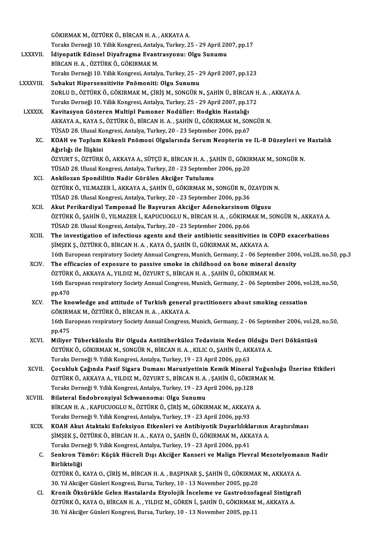GÖKIRMAKM.,ÖZTÜRKÖ.,BİRCANH.A. ,AKKAYAA.

GÖKIRMAK M., ÖZTÜRK Ö., BİRCAN H. A. , AKKAYA A.<br>Toraks Derneği 10. Yıllık Kongresi, Antalya, Turkey, 25 - 29 April 2007, pp.17<br>İdiyanatik Edinesl Diyafnasına Evantrasyonu, Olsu Sunumu

- GÖKIRMAK M., ÖZTÜRK Ö., BİRCAN H. A. , AKKAYA A.<br>Toraks Derneği 10. Yıllık Kongresi, Antalya, Turkey, 25 29 April 20<br>LXXXVII. İdiyopatik Edinsel Diyafragma Evantrasyonu: Olgu Sunumu<br>PİRCAN H. A., ÖZTÜRK Ö. GÖKIRMAK M Toraks Derneği 10. Yıllık Kongresi, Antaly<br>İdiyopatik Edinsel Diyafragma Evant<br>BİRCAN H. A. , ÖZTÜRK Ö., GÖKIRMAK M.<br>Taraka Darnaği 10. Yıllık Kongresi, Artak İdiyopatik Edinsel Diyafragma Evantrasyonu: Olgu Sunumu<br>BİRCAN H. A. , ÖZTÜRK Ö., GÖKIRMAK M.<br>Toraks Derneği 10. Yıllık Kongresi, Antalya, Turkey, 25 - 29 April 2007, pp.123<br>Suhakut Hinorsonsitiyita Pnömoniti: Olgu Sunumu BİRCAN H. A. , ÖZTÜRK Ö., GÖKIRMAK M.<br>Toraks Derneği 10. Yıllık Kongresi, Antalya, Turkey, 25 - 2<br>LXXXVIII. Subakut Hipersensitivite Pnömoniti: Olgu Sunumu<br>ZOBLU D. ÖZTÜRK Ö. CÖKIRMAK M. CİRİS M. SONCÜR N
- Toraks Derneği 10. Yıllık Kongresi, Antalya, Turkey, 25 29 April 2007, pp.123<br>Subakut Hipersensitivite Pnömoniti: Olgu Sunumu<br>ZORLU D., ÖZTÜRK Ö., GÖKIRMAK M., ÇİRİŞ M., SONGÜR N., ŞAHİN Ü., BİRCAN H. A. , AKKAYA A.<br>Tera Subakut Hipersensitivite Pnömoniti: Olgu Sunumu<br>ZORLU D., ÖZTÜRK Ö., GÖKIRMAK M., ÇİRİŞ M., SONGÜR N., ŞAHİN Ü., BİRCAN H<br>Toraks Derneği 10. Yıllık Kongresi, Antalya, Turkey, 25 - 29 April 2007, pp.172<br>Kavitasyon Gösteren ZORLU D., ÖZTÜRK Ö., GÖKIRMAK M., ÇİRİŞ M., SONGÜR N., ŞAHİN Ü., BİRCA<br>Toraks Derneği 10. Yıllık Kongresi, Antalya, Turkey, 25 - 29 April 2007, pp.1<br>LXXXIX. Kavitasyon Gösteren Multipl Pumoner Nodüller: Hodgkin Hastalığı
- Toraks Derneği 10. Yıllık Kongresi, Antalya, Turkey, 25 29 April 2007, pp.172<br>**Kavitasyon Gösteren Multipl Pumoner Nodüller: Hodgkin Hastalığı**<br>AKKAYA A., KAYA S., ÖZTÜRK Ö., BİRCAN H. A. , ŞAHİN Ü., GÖKIRMAK M., SONGÜR Kavitasyon Gösteren Multipl Pumoner Nodüller: Hodgkin Hastalığı<br>AKKAYA A., KAYA S., ÖZTÜRK Ö., BİRCAN H. A. , ŞAHİN Ü., GÖKIRMAK M., SON<br>TÜSAD 28. Ulusal Kongresi, Antalya, Turkey, 20 - 23 September 2006, pp.67<br>KOAH ve Ten TÜSAD 28. Ulusal Kongresi, Antalya, Turkey, 20 - 23 September 2006, pp.67
	- XC. KOAH ve Toplum Kökenli Pnömoni Olgularında Serum Neopterin ve IL-8 Düzeyleri ve Hastalık<br>Ağırlığı ile İlişkisi KOAH ve Toplum Kökenli Pnömoni Olgularında Serum Neopterin ve IL-8 Düzeyleri ve<br>Ağırlığı ile İlişkisi<br>ÖZYURT S., ÖZTÜRK Ö., AKKAYA A., SÜTÇÜ R., BİRCAN H. A. , ŞAHİN Ü., GÖKIRMAK M., SONGÜR N.<br>TÜSAD 28 Ulucal Kongresi, Ant Ağırlığı ile İlişkisi<br>ÖZYURT S., ÖZTÜRK Ö., AKKAYA A., SÜTÇÜ R., BİRCAN H. A. , ŞAHİN Ü., GÖKIR<br>TÜSAD 28. Ulusal Kongresi, Antalya, Turkey, 20 - 23 September 2006, pp.20<br>Ankilegen Spendilitin Nedir Görülen, Aksižer Tutulum
		-
	- ÖZYURT S., ÖZTÜRK Ö., AKKAYA A., SÜTÇÜ R., BİRCAN H. A. , ŞA<br>TÜSAD 28. Ulusal Kongresi, Antalya, Turkey, 20 23 September<br>XCI. Ankilozan Spondilitin Nadir Görülen Akciğer Tutulumu<br>ÖZTÜDK Ö. VILMAZER İ. AKKAYA A. SAHİN Ü. TÜSAD 28. Ulusal Kongresi, Antalya, Turkey, 20 - 23 September 2006, pp.20<br><mark>Ankilozan Spondilitin Nadir Görülen Akciğer Tutulumu</mark><br>ÖZTÜRK Ö., YILMAZER İ., AKKAYA A., ŞAHİN Ü., GÖKIRMAK M., SONGÜR N., ÖZAYDIN N.<br>TÜSAD 28. Ulu Ankilozan Spondilitin Nadir Görülen Akciğer Tutulumu<br>ÖZTÜRK Ö., YILMAZER İ., AKKAYA A., ŞAHİN Ü., GÖKIRMAK M., SONGÜR N., Ö<br>TÜSAD 28. Ulusal Kongresi, Antalya, Turkey, 20 - 23 September 2006, pp.36<br>Akut Barikandiyal Tamnan ÖZTÜRK Ö., YILMAZER İ., AKKAYA A., ŞAHİN Ü., GÖKIRMAK M., SONGÜR N., ÖZAYDIN<br>TÜSAD 28. Ulusal Kongresi, Antalya, Turkey, 20 - 23 September 2006, pp.36<br>XCII. Akut Perikardiyal Tamponad İle Başvuran Akciğer Adenokarsinom Olg
	- TÜSAD 28. Ulusal Kongresi, Antalya, Turkey, 20 23 September 2006, pp.36<br><mark>Akut Perikardiyal Tamponad İle Başvuran Akciğer Adenokarsinom Olgusu</mark><br>ÖZTÜRK Ö., ŞAHİN Ü., YILMAZER İ., KAPUCUOGLU N., BİRCAN H. A. , GÖKIRMAK M., Akut Perikardiyal Tamponad İle Başvuran Akciğer Adenokarsinom<br>ÖZTÜRK Ö., ŞAHİN Ü., YILMAZER İ., KAPUCUOGLU N., BİRCAN H. A. , GÖKIRM<br>TÜSAD 28. Ulusal Kongresi, Antalya, Turkey, 20 - 23 September 2006, pp.66<br>The investigati ÖZTÜRK Ö., ŞAHİN Ü., YILMAZER İ., KAPUCUOGLU N., BİRCAN H. A. , GÖKIRMAK M., SONGÜR N., AKKAYA A.<br>TÜSAD 28. Ulusal Kongresi, Antalya, Turkey, 20 - 23 September 2006, pp.66<br>XCIII. The investigation of infectious agents and
	- TÜSAD 28. Ulusal Kongresi, Antalya, Turkey, 20 23 September 2006, pp.66<br>The investigation of infectious agents and their antibiotic sensitivities in COPD exacerbations<br>SİMSEK S., ÖZTÜRK Ö., BİRCAN H. A. , KAYA Ö., SAHİN The investigation of infectious agents and their antibiotic sensitivities in COPD exacerbations<br>SIMSEK S., ÖZTÜRK Ö., BİRCAN H. A. , KAYA Ö., ŞAHİN Ü., GÖKIRMAK M., AKKAYA A.<br>16th European respiratory Society Annual Congre SIMSEK S., ÖZTÜRK Ö., BIRCAN H. A., KAYA Ö., SAHIN Ü., GÖKIRMAK M., AKKAYA A.<br>16th European respiratory Society Annual Congress, Munich, Germany, 2 - 06 September 200<br>XCIV. The efficacies of exposure to passive smoke in ch
	- 16th European respiratory Society Annual Congress, Munich, Germany, 2 06 Septem<br>The efficacies of exposure to passive smoke in childhood on bone mineral<br>ÖZTÜRK Ö., AKKAYA A., YILDIZ M., ÖZYURT S., BİRCAN H. A. , ŞAHİN Ü. The efficacies of exposure to passive smoke in childhood on bone mineral density<br>ÖZTÜRK Ö., AKKAYA A., YILDIZ M., ÖZYURT S., BİRCAN H. A. , ŞAHİN Ü., GÖKIRMAK M.<br>16th European respiratory Society Annual Congress, Munich, G ÖZTÜRK Ö., AKKAYA A., YILDIZ M., ÖZYURT S., BİRCAN H. A., ŞAHİN Ü., GÖKIRMAK M. 16th European respiratory Society Annual Congress, Munich, Germany, 2 - 06 September 2006, vo<br>pp.470<br>XCV. The knowledge and attitude of Turkish general practitioners about smoking cessation<br>COVIDMAV M. ÖZTÜDY Ö. PIDCAN H.A
	- pp.470<br>The knowledge and attitude of Turkish general<br>GÖKIRMAK M., ÖZTÜRK Ö., BİRCAN H. A. , AKKAYA A.<br>16th Euronean respiratory Society Annual Congress. The knowledge and attitude of Turkish general practitioners about smoking cessation<br>GÖKIRMAK M., ÖZTÜRK Ö., BİRCAN H. A. , AKKAYA A.<br>16th European respiratory Society Annual Congress, Munich, Germany, 2 - 06 September 2006 GÖKIRMAK M., ÖZTÜRK Ö., BİRCAN H. A. , AKKAYA A.<br>16th European respiratory Society Annual Congress, Munich, Germany, 2 - 06 September 2006, vol.28, no.50,<br>pp.475 16th European respiratory Society Annual Congress, Munich, Germany, 2 - 06 September 2006, vol.28<br>pp.475<br>XCVI. Miliyer Tüberkülozlu Bir Olguda Antitüberküloz Tedavinin Neden Olduğu Deri Döküntüsü<br>ÖZTÜDKÖ GÖKURMAK M. SONCÜR
	- pp.475<br>Miliyer Tüberkülozlu Bir Olguda Antitüberküloz Tedavinin Neden Olduğu I<br>ÖZTÜRK Ö., GÖKIRMAK M., SONGÜR N., BİRCAN H. A. , KILIC O., ŞAHİN Ü., AKKAYA A.<br>Taraka Darnaği Q. Vilik Kongresi, Antakya Turkey, 19., 22 Anril Miliyer Tüberkülozlu Bir Olguda Antitüberküloz Tedavinin Neden O<br>ÖZTÜRK Ö., GÖKIRMAK M., SONGÜR N., BİRCAN H. A. , KILIC O., ŞAHİN Ü., AKI<br>Toraks Derneği 9. Yıllık Kongresi, Antalya, Turkey, 19 - 23 April 2006, pp.63<br>Cosuk ÖZTÜRK Ö., GÖKIRMAK M., SONGÜR N., BİRCAN H. A. , KILIC O., ŞAHİN Ü., AKKAYA A.<br>Toraks Derneği 9. Yıllık Kongresi, Antalya, Turkey, 19 - 23 April 2006, pp.63<br>XCVII. Gocukluk Çağında Pasif Sigara Dumanı Maruziyetinin Kemik
- Toraks Derneği 9. Yıllık Kongresi, Antalya, Turkey, 19 23 April 2006, pp.63<br>Çocukluk Çağında Pasif Sigara Dumanı Maruziyetinin Kemik Mineral Yoğunl<br>ÖZTÜRK Ö., AKKAYA A., YILDIZ M., ÖZYURT S., BİRCAN H. A. , ŞAHİN Ü., GÖK Çocukluk Çağında Pasif Sigara Dumanı Maruziyetinin Kemik Mineral<br>ÖZTÜRK Ö., AKKAYA A., YILDIZ M., ÖZYURT S., BİRCAN H. A. , ŞAHİN Ü., GÖKIR<br>Toraks Derneği 9. Yıllık Kongresi, Antalya, Turkey, 19 - 23 April 2006, pp.128<br>Bil ÖZTÜRK Ö., AKKAYA A., YILDIZ M., ÖZYURT S., BİRCAN H. A.<br>Toraks Derneği 9. Yıllık Kongresi, Antalya, Turkey, 19 - 23 A<br>XCVIII. Bilateral Endobronşiyal Schwannoma: Olgu Sunumu<br>PROAN H.A., KABUCHOCLU N. ÖZTÜPK Ö. CİPİS M. GÖ
- Toraks Derneği 9. Yıllık Kongresi, Antalya, Turkey, 19 23 April 2006, pp.128<br>Bilateral Endobronşiyal Schwannoma: Olgu Sunumu<br>BİRCAN H. A. , KAPUCUOGLU N., ÖZTÜRK Ö., ÇİRİŞ M., GÖKIRMAK M., AKKAYA A.<br>Teraks Derneği 9. Yıl Bilateral Endobronşiyal Schwannoma: Olgu Sunumu<br>BİRCAN H. A. , KAPUCUOGLU N., ÖZTÜRK Ö., ÇİRİŞ M., GÖKIRMAK M., AKKAYA A.<br>Toraks Derneği 9. Yıllık Kongresi, Antalya, Turkey, 19 - 23 April 2006, pp.93 BİRCAN H. A. , KAPUCUOGLU N., ÖZTÜRK Ö., ÇİRİŞ M., GÖKIRMAK M., AKKAYA A.<br>Toraks Derneği 9. Yıllık Kongresi, Antalya, Turkey, 19 - 23 April 2006, pp.93<br>XCIX. KOAH Akut Ataktaki Enfeksiyon Etkenleri ve Antibiyotik Duyarlılı
- Toraks Derneği 9. Yıllık Kongresi, Antalya, Turkey, 19 23 April 2006, pp.93<br>KOAH Akut Ataktaki Enfeksiyon Etkenleri ve Antibiyotik Duyarlılıklarının<br>ŞİMŞEK Ş., ÖZTÜRK Ö., BİRCAN H. A. , KAYA O., ŞAHİN Ü., GÖKIRMAK M., AK KOAH Akut Ataktaki Enfeksiyon Etkenleri ve Antibiyotik Duyarlılıkla<br>ŞİMŞEK Ş., ÖZTÜRK Ö., BİRCAN H. A. , KAYA O., ŞAHİN Ü., GÖKIRMAK M., AKK<br>Toraks Derneği 9. Yıllık Kongresi, Antalya, Turkey, 19 - 23 April 2006, pp.41<br>San ŞİMŞEK Ş., ÖZTÜRK Ö., BİRCAN H. A. , KAYA O., ŞAHİN Ü., GÖKIRMAK M., AKKAYA A.<br>Toraks Derneği 9. Yıllık Kongresi, Antalya, Turkey, 19 - 23 April 2006, pp.41<br>C. Senkron Tümör: Küçük Hücreli Dışı Akciğer Kanseri ve Malig Toraks Derneği 9. Yıllık Kongresi, Antalya, Turkey, 19 - 23 April 2006, pp.41

# Senkron Tümör: Küçük Hücreli Dışı Akciğer Kanseri ve Malign Plevral Mezotelyomaı<br>Birlikteliği<br>ÖZTÜRK Ö., KAYA O., ÇİRİŞ M., BİRCAN H. A. , BAŞPINAR Ş., ŞAHİN Ü., GÖKIRMAK M., AKKAYA A.<br>20 Yıl Aksiğar Gürleri Konsresi Burse

Birlikteliği<br>ÖZTÜRK Ö., KAYA O., ÇİRİŞ M., BİRCAN H. A. , BAŞPINAR Ş., ŞAHİN Ü., GÖKIRMAK<br>30. Yıl Akciğer Günleri Kongresi, Bursa, Turkey, 10 - 13 November 2005, pp.20<br>Knonik Ölmünükle Celen Hastalanda Etyalajik İnsalama v ÖZTÜRK Ö., KAYA O., ÇİRİŞ M., BİRCAN H. A. , BAŞPINAR Ş., ŞAHİN Ü., GÖKIRMAK M., AKKAYA A.<br>30. Yıl Akciğer Günleri Kongresi, Bursa, Turkey, 10 - 13 November 2005, pp.20<br>CI. Kronik Öksürükle Gelen Hastalarda Etyolojik İncel

30. Yıl Akciğer Günleri Kongresi, Bursa, Turkey, 10 - 13 November 2005, pp.20<br>Kronik Öksürükle Gelen Hastalarda Etyolojik İnceleme ve Gastroözofageal Sintigra<br>ÖZTÜRK Ö., KAYA O., BİRCAN H. A. , YILDIZ M., GÖREN İ., ŞAHİN Ü Kronik Öksürükle Gelen Hastalarda Etyolojik İnceleme ve Gastroözofageal Sintigrafi<br>ÖZTÜRK Ö., KAYA O., BİRCAN H. A. , YILDIZ M., GÖREN İ., ŞAHİN Ü., GÖKIRMAK M., AKKAYA A.<br>30. Yıl Akciğer Günleri Kongresi, Bursa, Turkey, 1